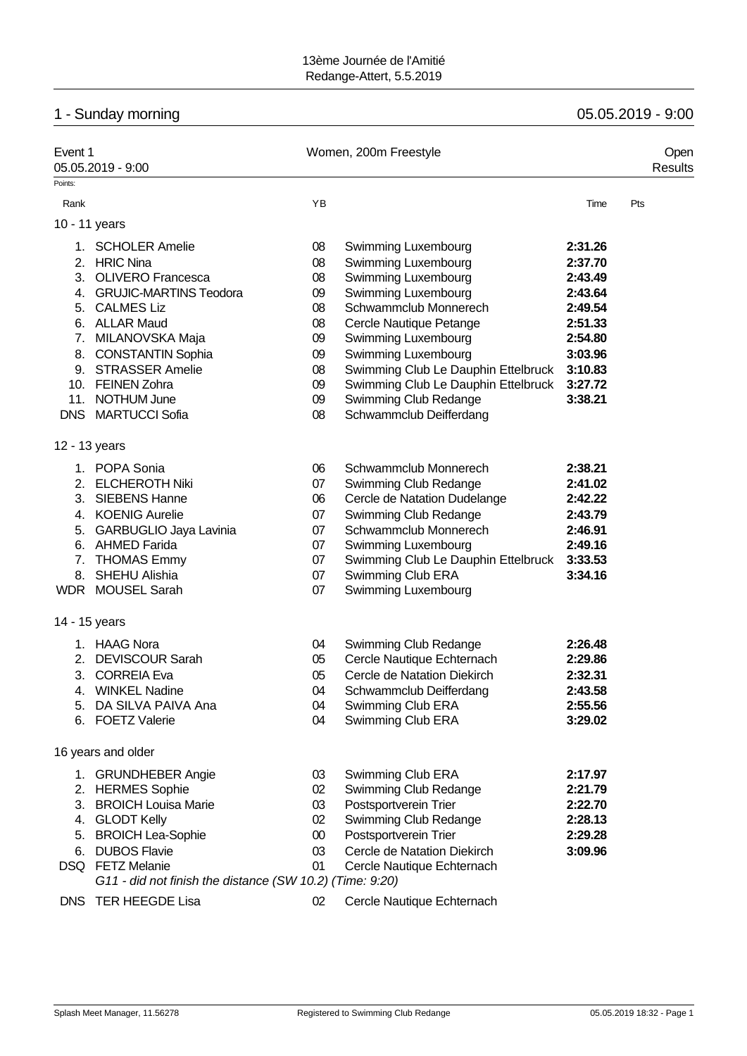# 1 - Sunday morning 05.05.2019 - 9:00

| Event 1                                    | 05.05.2019 - 9:00                                                                                                                                                                                                               |                                                                | Women, 200m Freestyle                                                                                                                                                                                                                                                                             |                                                                                                                       | Open<br><b>Results</b> |
|--------------------------------------------|---------------------------------------------------------------------------------------------------------------------------------------------------------------------------------------------------------------------------------|----------------------------------------------------------------|---------------------------------------------------------------------------------------------------------------------------------------------------------------------------------------------------------------------------------------------------------------------------------------------------|-----------------------------------------------------------------------------------------------------------------------|------------------------|
| Points:                                    |                                                                                                                                                                                                                                 |                                                                |                                                                                                                                                                                                                                                                                                   |                                                                                                                       |                        |
| Rank                                       |                                                                                                                                                                                                                                 | YB                                                             |                                                                                                                                                                                                                                                                                                   | Time                                                                                                                  | Pts                    |
| 10 - 11 years                              |                                                                                                                                                                                                                                 |                                                                |                                                                                                                                                                                                                                                                                                   |                                                                                                                       |                        |
| 11.                                        | 1. SCHOLER Amelie<br>2. HRIC Nina<br>3. OLIVERO Francesca<br>4. GRUJIC-MARTINS Teodora<br>5. CALMES Liz<br>6. ALLAR Maud<br>7. MILANOVSKA Maja<br>8. CONSTANTIN Sophia<br>9. STRASSER Amelie<br>10. FEINEN Zohra<br>NOTHUM June | 08<br>08<br>08<br>09<br>08<br>08<br>09<br>09<br>08<br>09<br>09 | Swimming Luxembourg<br>Swimming Luxembourg<br>Swimming Luxembourg<br>Swimming Luxembourg<br>Schwammclub Monnerech<br>Cercle Nautique Petange<br>Swimming Luxembourg<br>Swimming Luxembourg<br>Swimming Club Le Dauphin Ettelbruck<br>Swimming Club Le Dauphin Ettelbruck<br>Swimming Club Redange | 2:31.26<br>2:37.70<br>2:43.49<br>2:43.64<br>2:49.54<br>2:51.33<br>2:54.80<br>3:03.96<br>3:10.83<br>3:27.72<br>3:38.21 |                        |
|                                            | DNS MARTUCCI Sofia                                                                                                                                                                                                              | 08                                                             | Schwammclub Deifferdang                                                                                                                                                                                                                                                                           |                                                                                                                       |                        |
| 12 - 13 years<br>2.<br>3.<br>14 - 15 years | 1. POPA Sonia<br><b>ELCHEROTH Niki</b><br><b>SIEBENS Hanne</b><br>4. KOENIG Aurelie<br>5. GARBUGLIO Jaya Lavinia<br>6. AHMED Farida<br>7. THOMAS Emmy<br>8. SHEHU Alishia<br>WDR MOUSEL Sarah                                   | 06<br>07<br>06<br>07<br>07<br>07<br>07<br>07<br>07             | Schwammclub Monnerech<br>Swimming Club Redange<br>Cercle de Natation Dudelange<br>Swimming Club Redange<br>Schwammclub Monnerech<br>Swimming Luxembourg<br>Swimming Club Le Dauphin Ettelbruck<br>Swimming Club ERA<br>Swimming Luxembourg                                                        | 2:38.21<br>2:41.02<br>2:42.22<br>2:43.79<br>2:46.91<br>2:49.16<br>3:33.53<br>3:34.16                                  |                        |
| 2.<br>5.                                   | 1. HAAG Nora<br><b>DEVISCOUR Sarah</b><br>3. CORREIA Eva<br>4. WINKEL Nadine<br>DA SILVA PAIVA Ana<br>6. FOETZ Valerie                                                                                                          | 04<br>05<br>05<br>04<br>04<br>04                               | Swimming Club Redange<br>Cercle Nautique Echternach<br>Cercle de Natation Diekirch<br>Schwammclub Deifferdang<br>Swimming Club ERA<br>Swimming Club ERA                                                                                                                                           | 2:26.48<br>2:29.86<br>2:32.31<br>2:43.58<br>2:55.56<br>3:29.02                                                        |                        |
|                                            | 16 years and older                                                                                                                                                                                                              |                                                                |                                                                                                                                                                                                                                                                                                   |                                                                                                                       |                        |
| 2.<br>3.<br>5.<br>6.                       | 1. GRUNDHEBER Angie<br><b>HERMES Sophie</b><br><b>BROICH Louisa Marie</b><br>4. GLODT Kelly<br><b>BROICH Lea-Sophie</b><br><b>DUBOS Flavie</b><br>DSQ FETZ Melanie<br>G11 - did not finish the distance (SW 10.2) (Time: 9:20)  | 03<br>02<br>03<br>02<br>00<br>03<br>01                         | Swimming Club ERA<br>Swimming Club Redange<br>Postsportverein Trier<br>Swimming Club Redange<br>Postsportverein Trier<br>Cercle de Natation Diekirch<br>Cercle Nautique Echternach                                                                                                                | 2:17.97<br>2:21.79<br>2:22.70<br>2:28.13<br>2:29.28<br>3:09.96                                                        |                        |
|                                            | DNS TER HEEGDE Lisa                                                                                                                                                                                                             | 02                                                             | Cercle Nautique Echternach                                                                                                                                                                                                                                                                        |                                                                                                                       |                        |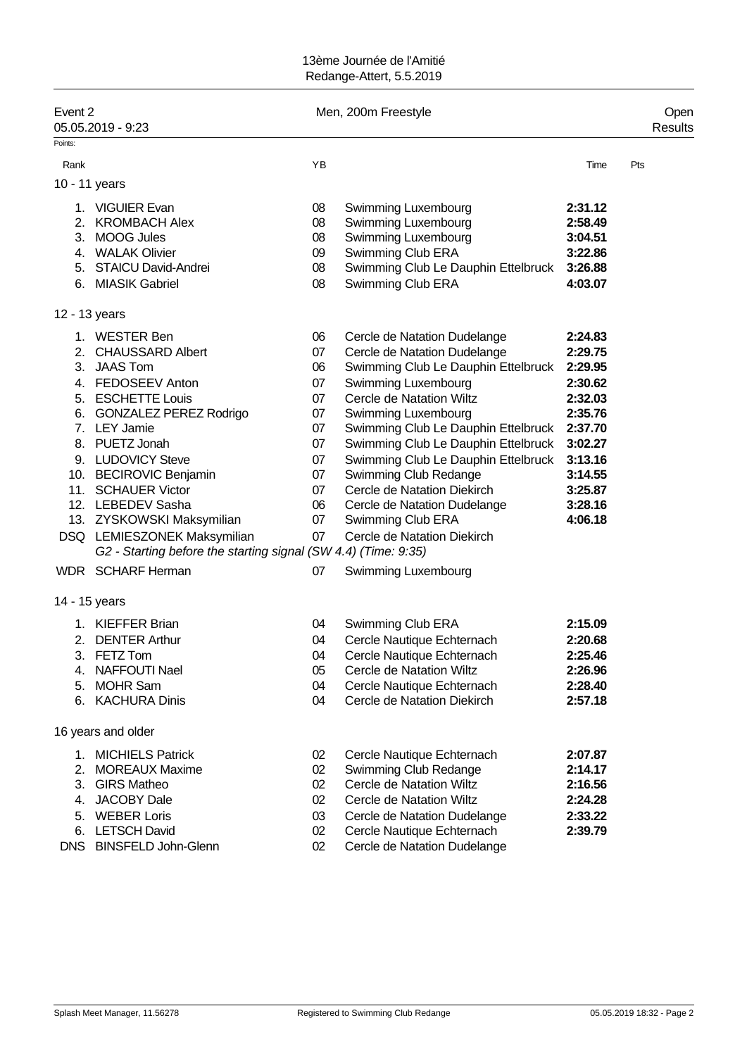| Event 2 | 05.05.2019 - 9:23                                              |    | Men, 200m Freestyle                 |         | Open<br>Results |
|---------|----------------------------------------------------------------|----|-------------------------------------|---------|-----------------|
| Points: |                                                                |    |                                     |         |                 |
| Rank    |                                                                | YB |                                     | Time    | Pts             |
|         | 10 - 11 years                                                  |    |                                     |         |                 |
|         | 1. VIGUIER Evan                                                | 08 | Swimming Luxembourg                 | 2:31.12 |                 |
| 2.      | <b>KROMBACH Alex</b>                                           | 08 | Swimming Luxembourg                 | 2:58.49 |                 |
|         | 3. MOOG Jules                                                  | 08 | Swimming Luxembourg                 | 3:04.51 |                 |
|         | 4. WALAK Olivier                                               | 09 | Swimming Club ERA                   | 3:22.86 |                 |
| 5.      | <b>STAICU David-Andrei</b>                                     | 08 | Swimming Club Le Dauphin Ettelbruck | 3:26.88 |                 |
|         | 6. MIASIK Gabriel                                              | 08 | Swimming Club ERA                   | 4:03.07 |                 |
|         | 12 - 13 years                                                  |    |                                     |         |                 |
|         | 1. WESTER Ben                                                  | 06 | Cercle de Natation Dudelange        | 2:24.83 |                 |
|         | 2. CHAUSSARD Albert                                            | 07 | Cercle de Natation Dudelange        | 2:29.75 |                 |
|         | 3. JAAS Tom                                                    | 06 | Swimming Club Le Dauphin Ettelbruck | 2:29.95 |                 |
|         | 4. FEDOSEEV Anton                                              | 07 | Swimming Luxembourg                 | 2:30.62 |                 |
|         | 5. ESCHETTE Louis                                              | 07 | Cercle de Natation Wiltz            | 2:32.03 |                 |
|         | 6. GONZALEZ PEREZ Rodrigo                                      | 07 | Swimming Luxembourg                 | 2:35.76 |                 |
|         | 7. LEY Jamie                                                   | 07 | Swimming Club Le Dauphin Ettelbruck | 2:37.70 |                 |
|         | 8. PUETZ Jonah                                                 | 07 | Swimming Club Le Dauphin Ettelbruck | 3:02.27 |                 |
|         | 9. LUDOVICY Steve                                              | 07 | Swimming Club Le Dauphin Ettelbruck | 3:13.16 |                 |
|         | 10. BECIROVIC Benjamin                                         | 07 | Swimming Club Redange               | 3:14.55 |                 |
|         | 11. SCHAUER Victor                                             | 07 | Cercle de Natation Diekirch         | 3:25.87 |                 |
|         | 12. LEBEDEV Sasha                                              | 06 | Cercle de Natation Dudelange        | 3:28.16 |                 |
|         | 13. ZYSKOWSKI Maksymilian                                      | 07 | Swimming Club ERA                   | 4:06.18 |                 |
|         | DSQ LEMIESZONEK Maksymilian                                    | 07 | Cercle de Natation Diekirch         |         |                 |
|         | G2 - Starting before the starting signal (SW 4.4) (Time: 9:35) |    |                                     |         |                 |
|         | WDR SCHARF Herman                                              | 07 | <b>Swimming Luxembourg</b>          |         |                 |
|         | 14 - 15 years                                                  |    |                                     |         |                 |
|         | 1. KIEFFER Brian                                               | 04 | Swimming Club ERA                   | 2:15.09 |                 |
|         | 2. DENTER Arthur                                               | 04 | Cercle Nautique Echternach          | 2:20.68 |                 |
|         | 3. FETZ Tom                                                    | 04 | Cercle Nautique Echternach          | 2:25.46 |                 |
|         | 4. NAFFOUTI Nael                                               | 05 | Cercle de Natation Wiltz            | 2:26.96 |                 |
| 5.      | <b>MOHR Sam</b>                                                | 04 | Cercle Nautique Echternach          | 2:28.40 |                 |
| 6.      | <b>KACHURA Dinis</b>                                           | 04 | Cercle de Natation Diekirch         | 2:57.18 |                 |
|         | 16 years and older                                             |    |                                     |         |                 |
|         | 1. MICHIELS Patrick                                            | 02 | Cercle Nautique Echternach          | 2:07.87 |                 |
| 2.      | <b>MOREAUX Maxime</b>                                          | 02 | Swimming Club Redange               | 2:14.17 |                 |
| 3.      | <b>GIRS Matheo</b>                                             | 02 | <b>Cercle de Natation Wiltz</b>     | 2:16.56 |                 |
| 4.      | <b>JACOBY Dale</b>                                             | 02 | Cercle de Natation Wiltz            | 2:24.28 |                 |
| 5.      | <b>WEBER Loris</b>                                             | 03 | Cercle de Natation Dudelange        | 2:33.22 |                 |
|         | 6. LETSCH David                                                | 02 | Cercle Nautique Echternach          | 2:39.79 |                 |

DNS BINSFELD John-Glenn 02 Cercle de Natation Dudelange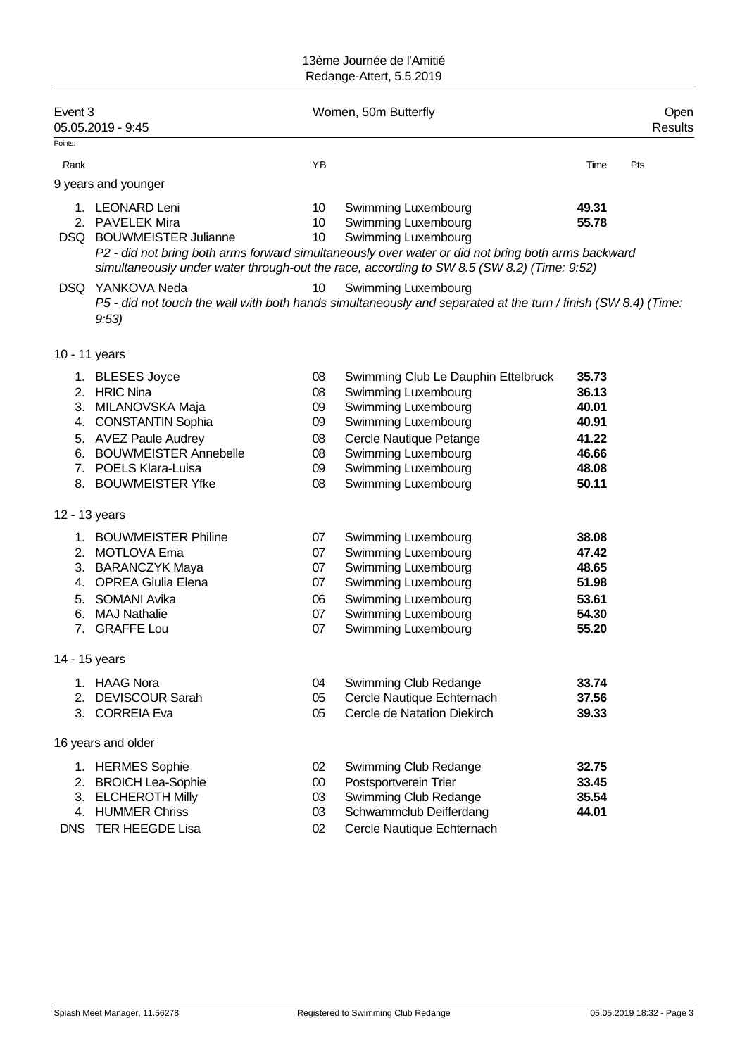|         |                              |                 | Redange-Attert, 5.5.2019                                                                                      |       |                        |
|---------|------------------------------|-----------------|---------------------------------------------------------------------------------------------------------------|-------|------------------------|
| Event 3 | 05.05.2019 - 9:45            |                 | Women, 50m Butterfly                                                                                          |       | Open<br><b>Results</b> |
| Points: |                              |                 |                                                                                                               |       |                        |
| Rank    |                              | YB              |                                                                                                               | Time  | Pts                    |
|         | 9 years and younger          |                 |                                                                                                               |       |                        |
|         | 1. LEONARD Leni              | 10              | Swimming Luxembourg                                                                                           | 49.31 |                        |
|         | 2. PAVELEK Mira              | 10 <sup>°</sup> | Swimming Luxembourg                                                                                           | 55.78 |                        |
|         | DSQ BOUWMEISTER Julianne     | 10              | Swimming Luxembourg                                                                                           |       |                        |
|         |                              |                 | P2 - did not bring both arms forward simultaneously over water or did not bring both arms backward            |       |                        |
|         |                              |                 | simultaneously under water through-out the race, according to SW 8.5 (SW 8.2) (Time: 9:52)                    |       |                        |
|         | DSQ YANKOVA Neda             | 10              | Swimming Luxembourg                                                                                           |       |                        |
|         |                              |                 | P5 - did not touch the wall with both hands simultaneously and separated at the turn / finish (SW 8.4) (Time: |       |                        |
|         | 9:53)                        |                 |                                                                                                               |       |                        |
|         |                              |                 |                                                                                                               |       |                        |
|         | 10 - 11 years                |                 |                                                                                                               |       |                        |
|         | 1. BLESES Joyce              | 08              | Swimming Club Le Dauphin Ettelbruck                                                                           | 35.73 |                        |
|         | 2. HRIC Nina                 | 08              | Swimming Luxembourg                                                                                           | 36.13 |                        |
|         | 3. MILANOVSKA Maja           | 09              | Swimming Luxembourg                                                                                           | 40.01 |                        |
| 4.      | <b>CONSTANTIN Sophia</b>     | 09              | Swimming Luxembourg                                                                                           | 40.91 |                        |
|         | 5. AVEZ Paule Audrey         | 08              | Cercle Nautique Petange                                                                                       | 41.22 |                        |
| 6.      | <b>BOUWMEISTER Annebelle</b> | 08              | Swimming Luxembourg                                                                                           | 46.66 |                        |
|         | 7. POELS Klara-Luisa         | 09              | Swimming Luxembourg                                                                                           | 48.08 |                        |
|         | 8. BOUWMEISTER Yfke          | 08              | Swimming Luxembourg                                                                                           | 50.11 |                        |
|         | 12 - 13 years                |                 |                                                                                                               |       |                        |
|         | 1. BOUWMEISTER Philine       | 07              | Swimming Luxembourg                                                                                           | 38.08 |                        |
|         | 2. MOTLOVA Ema               | 07              | Swimming Luxembourg                                                                                           | 47.42 |                        |
|         | 3. BARANCZYK Maya            | 07              | Swimming Luxembourg                                                                                           | 48.65 |                        |
|         | 4. OPREA Giulia Elena        | 07              | Swimming Luxembourg                                                                                           | 51.98 |                        |
| 5.      | SOMANI Avika                 | 06              | Swimming Luxembourg                                                                                           | 53.61 |                        |
| 6.      | <b>MAJ Nathalie</b>          | 07              | Swimming Luxembourg                                                                                           | 54.30 |                        |
| 7.      | <b>GRAFFE Lou</b>            | 07              | Swimming Luxembourg                                                                                           | 55.20 |                        |
|         | 14 - 15 years                |                 |                                                                                                               |       |                        |
|         | 1. HAAG Nora                 | 04              | Swimming Club Redange                                                                                         | 33.74 |                        |
| 2.      | <b>DEVISCOUR Sarah</b>       | 05              | Cercle Nautique Echternach                                                                                    | 37.56 |                        |
|         | 3. CORREIA Eva               | 05              | Cercle de Natation Diekirch                                                                                   | 39.33 |                        |
|         | 16 years and older           |                 |                                                                                                               |       |                        |
|         | 1. HERMES Sophie             | 02              | Swimming Club Redange                                                                                         | 32.75 |                        |
| 2.      | <b>BROICH Lea-Sophie</b>     | 00              | Postsportverein Trier                                                                                         | 33.45 |                        |
| 3.      | <b>ELCHEROTH Milly</b>       | 03              | Swimming Club Redange                                                                                         | 35.54 |                        |
|         | 4. HUMMER Chriss             | 03              | Schwammclub Deifferdang                                                                                       | 44.01 |                        |
|         | DNS TER HEEGDE Lisa          | 02              | Cercle Nautique Echternach                                                                                    |       |                        |
|         |                              |                 |                                                                                                               |       |                        |
|         |                              |                 |                                                                                                               |       |                        |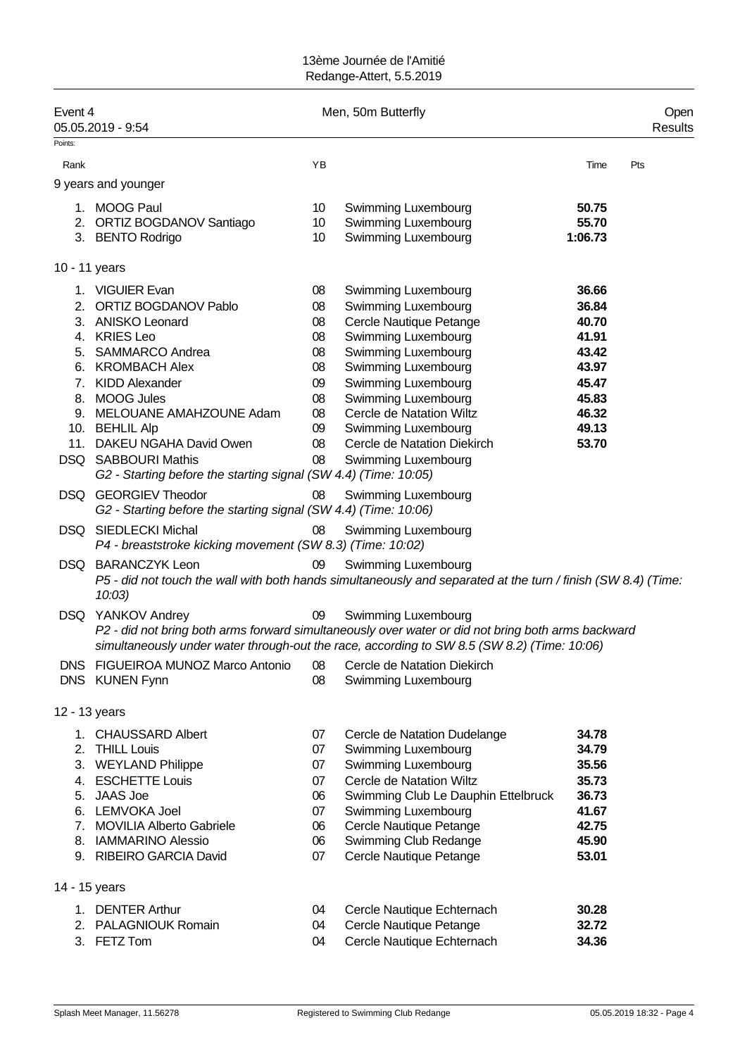| Event 4       | 05.05.2019 - 9:54                                                                        |    | Men, 50m Butterfly                                                                                                                                                                                                              |         | Open<br>Results |
|---------------|------------------------------------------------------------------------------------------|----|---------------------------------------------------------------------------------------------------------------------------------------------------------------------------------------------------------------------------------|---------|-----------------|
| Points:       |                                                                                          |    |                                                                                                                                                                                                                                 |         |                 |
| Rank          |                                                                                          | YB |                                                                                                                                                                                                                                 | Time    | Pts             |
|               | 9 years and younger                                                                      |    |                                                                                                                                                                                                                                 |         |                 |
|               | 1. MOOG Paul                                                                             | 10 | Swimming Luxembourg                                                                                                                                                                                                             | 50.75   |                 |
|               | 2. ORTIZ BOGDANOV Santiago                                                               | 10 | Swimming Luxembourg                                                                                                                                                                                                             | 55.70   |                 |
|               | 3. BENTO Rodrigo                                                                         | 10 | Swimming Luxembourg                                                                                                                                                                                                             | 1:06.73 |                 |
| 10 - 11 years |                                                                                          |    |                                                                                                                                                                                                                                 |         |                 |
|               | 1. VIGUIER Evan                                                                          | 08 | Swimming Luxembourg                                                                                                                                                                                                             | 36.66   |                 |
|               | 2. ORTIZ BOGDANOV Pablo                                                                  | 08 | Swimming Luxembourg                                                                                                                                                                                                             | 36.84   |                 |
|               | 3. ANISKO Leonard                                                                        | 08 | Cercle Nautique Petange                                                                                                                                                                                                         | 40.70   |                 |
|               | 4. KRIES Leo                                                                             | 08 | Swimming Luxembourg                                                                                                                                                                                                             | 41.91   |                 |
|               | 5. SAMMARCO Andrea                                                                       | 08 | Swimming Luxembourg                                                                                                                                                                                                             | 43.42   |                 |
|               | 6. KROMBACH Alex                                                                         | 08 | Swimming Luxembourg                                                                                                                                                                                                             | 43.97   |                 |
|               | 7. KIDD Alexander                                                                        | 09 | Swimming Luxembourg                                                                                                                                                                                                             | 45.47   |                 |
|               | 8. MOOG Jules                                                                            | 08 | Swimming Luxembourg                                                                                                                                                                                                             | 45.83   |                 |
|               | 9. MELOUANE AMAHZOUNE Adam                                                               | 08 | Cercle de Natation Wiltz                                                                                                                                                                                                        | 46.32   |                 |
|               | 10. BEHLIL Alp                                                                           | 09 | Swimming Luxembourg                                                                                                                                                                                                             | 49.13   |                 |
|               | 11. DAKEU NGAHA David Owen                                                               | 08 | Cercle de Natation Diekirch                                                                                                                                                                                                     | 53.70   |                 |
|               | DSQ SABBOURI Mathis                                                                      | 08 | Swimming Luxembourg                                                                                                                                                                                                             |         |                 |
|               | G2 - Starting before the starting signal (SW 4.4) (Time: 10:05)                          |    |                                                                                                                                                                                                                                 |         |                 |
|               | DSQ GEORGIEV Theodor<br>G2 - Starting before the starting signal (SW 4.4) (Time: 10:06)  | 08 | Swimming Luxembourg                                                                                                                                                                                                             |         |                 |
|               | <b>DSQ SIEDLECKI Michal</b><br>P4 - breaststroke kicking movement (SW 8.3) (Time: 10:02) | 08 | Swimming Luxembourg                                                                                                                                                                                                             |         |                 |
|               |                                                                                          |    |                                                                                                                                                                                                                                 |         |                 |
|               | DSQ BARANCZYK Leon<br>$10:03$ )                                                          | 09 | Swimming Luxembourg<br>P5 - did not touch the wall with both hands simultaneously and separated at the turn / finish (SW 8.4) (Time:                                                                                            |         |                 |
|               | DSQ YANKOV Andrey                                                                        | 09 | <b>Swimming Luxembourg</b><br>P2 - did not bring both arms forward simultaneously over water or did not bring both arms backward<br>simultaneously under water through-out the race, according to SW 8.5 (SW 8.2) (Time: 10:06) |         |                 |
|               | DNS FIGUEIROA MUNOZ Marco Antonio                                                        | 08 | Cercle de Natation Diekirch                                                                                                                                                                                                     |         |                 |
|               | DNS KUNEN Fynn                                                                           | 08 | Swimming Luxembourg                                                                                                                                                                                                             |         |                 |
| 12 - 13 years |                                                                                          |    |                                                                                                                                                                                                                                 |         |                 |
|               | 1. CHAUSSARD Albert                                                                      | 07 | Cercle de Natation Dudelange                                                                                                                                                                                                    | 34.78   |                 |
|               | 2. THILL Louis                                                                           | 07 | Swimming Luxembourg                                                                                                                                                                                                             | 34.79   |                 |
|               | 3. WEYLAND Philippe                                                                      | 07 | Swimming Luxembourg                                                                                                                                                                                                             | 35.56   |                 |
|               | 4. ESCHETTE Louis                                                                        | 07 | Cercle de Natation Wiltz                                                                                                                                                                                                        | 35.73   |                 |
|               | 5. JAAS Joe                                                                              | 06 | Swimming Club Le Dauphin Ettelbruck                                                                                                                                                                                             | 36.73   |                 |
|               | 6. LEMVOKA Joel                                                                          | 07 | Swimming Luxembourg                                                                                                                                                                                                             | 41.67   |                 |
|               | 7. MOVILIA Alberto Gabriele                                                              | 06 | Cercle Nautique Petange                                                                                                                                                                                                         | 42.75   |                 |
|               | 8. IAMMARINO Alessio                                                                     | 06 | Swimming Club Redange                                                                                                                                                                                                           | 45.90   |                 |
|               | 9. RIBEIRO GARCIA David                                                                  | 07 | Cercle Nautique Petange                                                                                                                                                                                                         | 53.01   |                 |
| 14 - 15 years |                                                                                          |    |                                                                                                                                                                                                                                 |         |                 |
|               | 1. DENTER Arthur                                                                         | 04 | Cercle Nautique Echternach                                                                                                                                                                                                      | 30.28   |                 |
|               | 2. PALAGNIOUK Romain                                                                     | 04 | Cercle Nautique Petange                                                                                                                                                                                                         | 32.72   |                 |
|               | 3. FETZ Tom                                                                              | 04 | Cercle Nautique Echternach                                                                                                                                                                                                      | 34.36   |                 |
|               |                                                                                          |    |                                                                                                                                                                                                                                 |         |                 |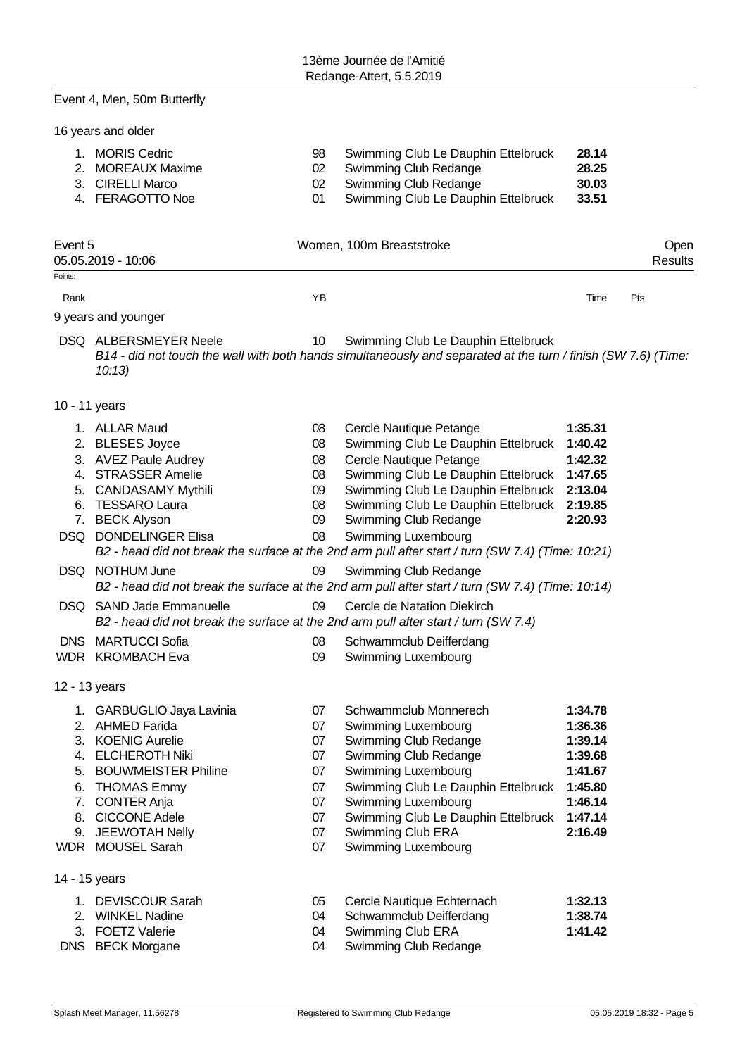|               | Event 4, Men, 50m Butterfly                                                                                                                                                                                               |                                                          |                                                                                                                                                                                                                                                                                                                                                                     |                                                                                                 |                 |
|---------------|---------------------------------------------------------------------------------------------------------------------------------------------------------------------------------------------------------------------------|----------------------------------------------------------|---------------------------------------------------------------------------------------------------------------------------------------------------------------------------------------------------------------------------------------------------------------------------------------------------------------------------------------------------------------------|-------------------------------------------------------------------------------------------------|-----------------|
|               | 16 years and older                                                                                                                                                                                                        |                                                          |                                                                                                                                                                                                                                                                                                                                                                     |                                                                                                 |                 |
|               | 1. MORIS Cedric<br>2. MOREAUX Maxime<br>3. CIRELLI Marco<br>4. FERAGOTTO Noe                                                                                                                                              | 98<br>02<br>02<br>01                                     | Swimming Club Le Dauphin Ettelbruck<br>Swimming Club Redange<br>Swimming Club Redange<br>Swimming Club Le Dauphin Ettelbruck                                                                                                                                                                                                                                        | 28.14<br>28.25<br>30.03<br>33.51                                                                |                 |
| Event 5       | 05.05.2019 - 10:06                                                                                                                                                                                                        |                                                          | Women, 100m Breaststroke                                                                                                                                                                                                                                                                                                                                            |                                                                                                 | Open<br>Results |
| Points:       |                                                                                                                                                                                                                           |                                                          |                                                                                                                                                                                                                                                                                                                                                                     |                                                                                                 |                 |
| Rank          | 9 years and younger                                                                                                                                                                                                       | YB                                                       |                                                                                                                                                                                                                                                                                                                                                                     | Time                                                                                            | Pts             |
|               | DSQ ALBERSMEYER Neele<br>10:13                                                                                                                                                                                            | 10                                                       | Swimming Club Le Dauphin Ettelbruck<br>B14 - did not touch the wall with both hands simultaneously and separated at the turn / finish (SW 7.6) (Time:                                                                                                                                                                                                               |                                                                                                 |                 |
| 10 - 11 years |                                                                                                                                                                                                                           |                                                          |                                                                                                                                                                                                                                                                                                                                                                     |                                                                                                 |                 |
| 6.            | 1. ALLAR Maud<br>2. BLESES Joyce<br>3. AVEZ Paule Audrey<br>4. STRASSER Amelie<br>5. CANDASAMY Mythili<br><b>TESSARO Laura</b><br>7. BECK Alyson<br>DSQ DONDELINGER Elisa                                                 | 08<br>08<br>08<br>08<br>09<br>08<br>09<br>08             | Cercle Nautique Petange<br>Swimming Club Le Dauphin Ettelbruck<br>Cercle Nautique Petange<br>Swimming Club Le Dauphin Ettelbruck<br>Swimming Club Le Dauphin Ettelbruck<br>Swimming Club Le Dauphin Ettelbruck<br>Swimming Club Redange<br>Swimming Luxembourg<br>B2 - head did not break the surface at the 2nd arm pull after start / turn (SW 7.4) (Time: 10:21) | 1:35.31<br>1:40.42<br>1:42.32<br>1:47.65<br>2:13.04<br>2:19.85<br>2:20.93                       |                 |
|               | DSQ NOTHUM June                                                                                                                                                                                                           | 09                                                       | Swimming Club Redange<br>B2 - head did not break the surface at the 2nd arm pull after start / turn (SW 7.4) (Time: 10:14)                                                                                                                                                                                                                                          |                                                                                                 |                 |
|               | DSQ SAND Jade Emmanuelle                                                                                                                                                                                                  | 09                                                       | Cercle de Natation Diekirch<br>B2 - head did not break the surface at the 2nd arm pull after start / turn (SW 7.4)                                                                                                                                                                                                                                                  |                                                                                                 |                 |
|               | <b>DNS</b> MARTUCCI Sofia<br>WDR KROMBACH Eva                                                                                                                                                                             | 08<br>09                                                 | Schwammclub Deifferdang<br>Swimming Luxembourg                                                                                                                                                                                                                                                                                                                      |                                                                                                 |                 |
|               | 12 - 13 years                                                                                                                                                                                                             |                                                          |                                                                                                                                                                                                                                                                                                                                                                     |                                                                                                 |                 |
| 6.<br>7.      | 1. GARBUGLIO Jaya Lavinia<br>2. AHMED Farida<br>3. KOENIG Aurelie<br>4. ELCHEROTH Niki<br>5. BOUWMEISTER Philine<br><b>THOMAS Emmy</b><br><b>CONTER Anja</b><br>8. CICCONE Adele<br>9. JEEWOTAH Nelly<br>WDR MOUSEL Sarah | 07<br>07<br>07<br>07<br>07<br>07<br>07<br>07<br>07<br>07 | Schwammclub Monnerech<br>Swimming Luxembourg<br>Swimming Club Redange<br>Swimming Club Redange<br>Swimming Luxembourg<br>Swimming Club Le Dauphin Ettelbruck<br>Swimming Luxembourg<br>Swimming Club Le Dauphin Ettelbruck<br>Swimming Club ERA<br>Swimming Luxembourg                                                                                              | 1:34.78<br>1:36.36<br>1:39.14<br>1:39.68<br>1:41.67<br>1:45.80<br>1:46.14<br>1:47.14<br>2:16.49 |                 |
|               | 14 - 15 years                                                                                                                                                                                                             |                                                          |                                                                                                                                                                                                                                                                                                                                                                     |                                                                                                 |                 |
| 2.            | 1. DEVISCOUR Sarah<br><b>WINKEL Nadine</b><br>3. FOETZ Valerie<br>DNS BECK Morgane                                                                                                                                        | 05<br>04<br>04<br>04                                     | Cercle Nautique Echternach<br>Schwammclub Deifferdang<br>Swimming Club ERA<br>Swimming Club Redange                                                                                                                                                                                                                                                                 | 1:32.13<br>1:38.74<br>1:41.42                                                                   |                 |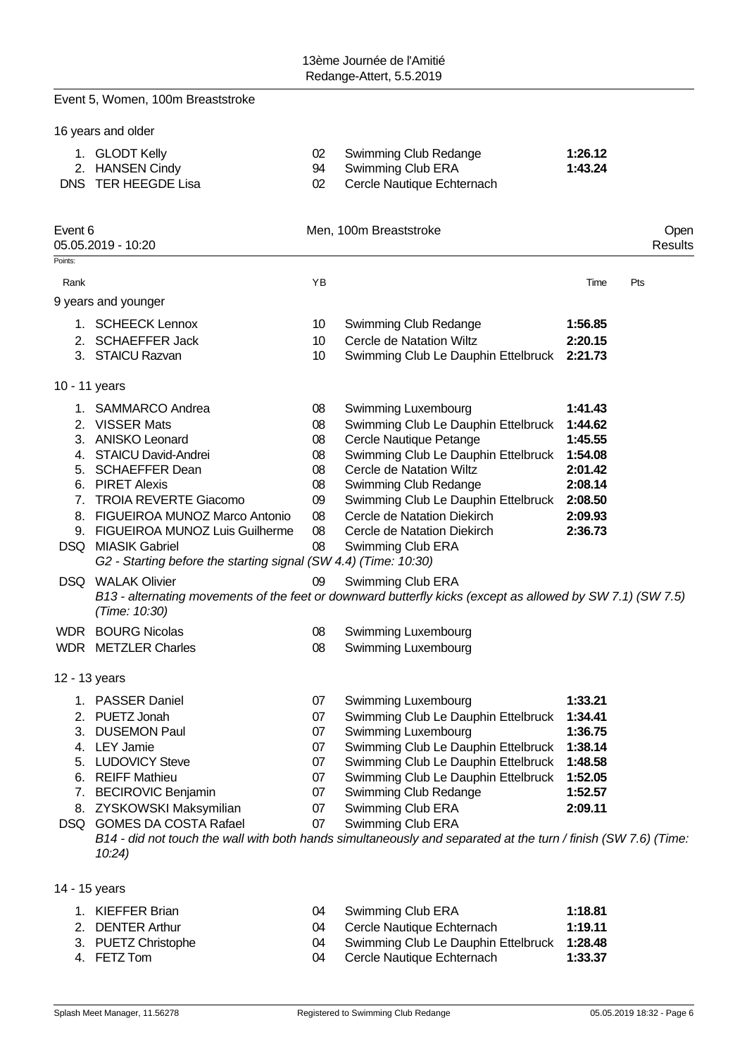|                    | Event 5, Women, 100m Breaststroke                                                                                                                                                                                                                                                                                         |                                                          |                                                                                                                                                                                                                                                                                                                                                                                             |                                                                                                 |                 |
|--------------------|---------------------------------------------------------------------------------------------------------------------------------------------------------------------------------------------------------------------------------------------------------------------------------------------------------------------------|----------------------------------------------------------|---------------------------------------------------------------------------------------------------------------------------------------------------------------------------------------------------------------------------------------------------------------------------------------------------------------------------------------------------------------------------------------------|-------------------------------------------------------------------------------------------------|-----------------|
|                    | 16 years and older                                                                                                                                                                                                                                                                                                        |                                                          |                                                                                                                                                                                                                                                                                                                                                                                             |                                                                                                 |                 |
|                    | 1. GLODT Kelly<br>2. HANSEN Cindy<br>DNS TER HEEGDE Lisa                                                                                                                                                                                                                                                                  | 02<br>94<br>02                                           | Swimming Club Redange<br>Swimming Club ERA<br>Cercle Nautique Echternach                                                                                                                                                                                                                                                                                                                    | 1:26.12<br>1:43.24                                                                              |                 |
| Event 6<br>Points: | 05.05.2019 - 10:20                                                                                                                                                                                                                                                                                                        |                                                          | Men, 100m Breaststroke                                                                                                                                                                                                                                                                                                                                                                      |                                                                                                 | Open<br>Results |
| Rank               |                                                                                                                                                                                                                                                                                                                           | YB                                                       |                                                                                                                                                                                                                                                                                                                                                                                             | Time                                                                                            | Pts             |
|                    | 9 years and younger                                                                                                                                                                                                                                                                                                       |                                                          |                                                                                                                                                                                                                                                                                                                                                                                             |                                                                                                 |                 |
|                    | 1. SCHEECK Lennox<br>2. SCHAEFFER Jack<br>3. STAICU Razvan                                                                                                                                                                                                                                                                | 10<br>10<br>10                                           | Swimming Club Redange<br>Cercle de Natation Wiltz<br>Swimming Club Le Dauphin Ettelbruck                                                                                                                                                                                                                                                                                                    | 1:56.85<br>2:20.15<br>2:21.73                                                                   |                 |
| 10 - 11 years      |                                                                                                                                                                                                                                                                                                                           |                                                          |                                                                                                                                                                                                                                                                                                                                                                                             |                                                                                                 |                 |
|                    | 1. SAMMARCO Andrea<br>2. VISSER Mats<br>3. ANISKO Leonard<br>4. STAICU David-Andrei<br>5. SCHAEFFER Dean<br>6. PIRET Alexis<br>7. TROIA REVERTE Giacomo<br>8. FIGUEIROA MUNOZ Marco Antonio<br>9. FIGUEIROA MUNOZ Luis Guilherme<br>DSQ MIASIK Gabriel<br>G2 - Starting before the starting signal (SW 4.4) (Time: 10:30) | 08<br>08<br>08<br>08<br>08<br>08<br>09<br>08<br>08<br>08 | Swimming Luxembourg<br>Swimming Club Le Dauphin Ettelbruck<br>Cercle Nautique Petange<br>Swimming Club Le Dauphin Ettelbruck<br>Cercle de Natation Wiltz<br>Swimming Club Redange<br>Swimming Club Le Dauphin Ettelbruck<br>Cercle de Natation Diekirch<br>Cercle de Natation Diekirch<br>Swimming Club ERA                                                                                 | 1:41.43<br>1:44.62<br>1:45.55<br>1:54.08<br>2:01.42<br>2:08.14<br>2:08.50<br>2:09.93<br>2:36.73 |                 |
|                    | <b>DSQ</b> WALAK Olivier<br>(Time: 10:30)                                                                                                                                                                                                                                                                                 | 09                                                       | Swimming Club ERA<br>B13 - alternating movements of the feet or downward butterfly kicks (except as allowed by SW 7.1) (SW 7.5)                                                                                                                                                                                                                                                             |                                                                                                 |                 |
|                    | <b>WDR</b> BOURG Nicolas<br><b>WDR</b> METZLER Charles                                                                                                                                                                                                                                                                    | 08<br>08                                                 | Swimming Luxembourg<br>Swimming Luxembourg                                                                                                                                                                                                                                                                                                                                                  |                                                                                                 |                 |
| 12 - 13 years      |                                                                                                                                                                                                                                                                                                                           |                                                          |                                                                                                                                                                                                                                                                                                                                                                                             |                                                                                                 |                 |
|                    | 1. PASSER Daniel<br>2. PUETZ Jonah<br>3. DUSEMON Paul<br>4. LEY Jamie<br>5. LUDOVICY Steve<br>6. REIFF Mathieu<br>7. BECIROVIC Benjamin<br>8. ZYSKOWSKI Maksymilian<br>DSQ GOMES DA COSTA Rafael<br>10:24                                                                                                                 | 07<br>07<br>07<br>07<br>07<br>07<br>07<br>07<br>07       | Swimming Luxembourg<br>Swimming Club Le Dauphin Ettelbruck<br>Swimming Luxembourg<br>Swimming Club Le Dauphin Ettelbruck<br>Swimming Club Le Dauphin Ettelbruck<br>Swimming Club Le Dauphin Ettelbruck<br>Swimming Club Redange<br>Swimming Club ERA<br>Swimming Club ERA<br>B14 - did not touch the wall with both hands simultaneously and separated at the turn / finish (SW 7.6) (Time: | 1:33.21<br>1:34.41<br>1:36.75<br>1:38.14<br>1:48.58<br>1:52.05<br>1:52.57<br>2:09.11            |                 |
| 14 - 15 years      |                                                                                                                                                                                                                                                                                                                           |                                                          |                                                                                                                                                                                                                                                                                                                                                                                             |                                                                                                 |                 |
|                    | 1. KIEFFER Brian<br>2. DENTER Arthur                                                                                                                                                                                                                                                                                      | 04<br>04                                                 | Swimming Club ERA<br>Cercle Nautique Echternach                                                                                                                                                                                                                                                                                                                                             | 1:18.81<br>1:19.11                                                                              |                 |

- 3. PUETZ Christophe 04 Swimming Club Le Dauphin Ettelbruck **1:28.48**
- 4. FETZ Tom 04 Cercle Nautique Echternach **1:33.37**
- Splash Meet Manager, 11.56278 **Registered to Swimming Club Redange** 05.05.2019 18:32 Page 6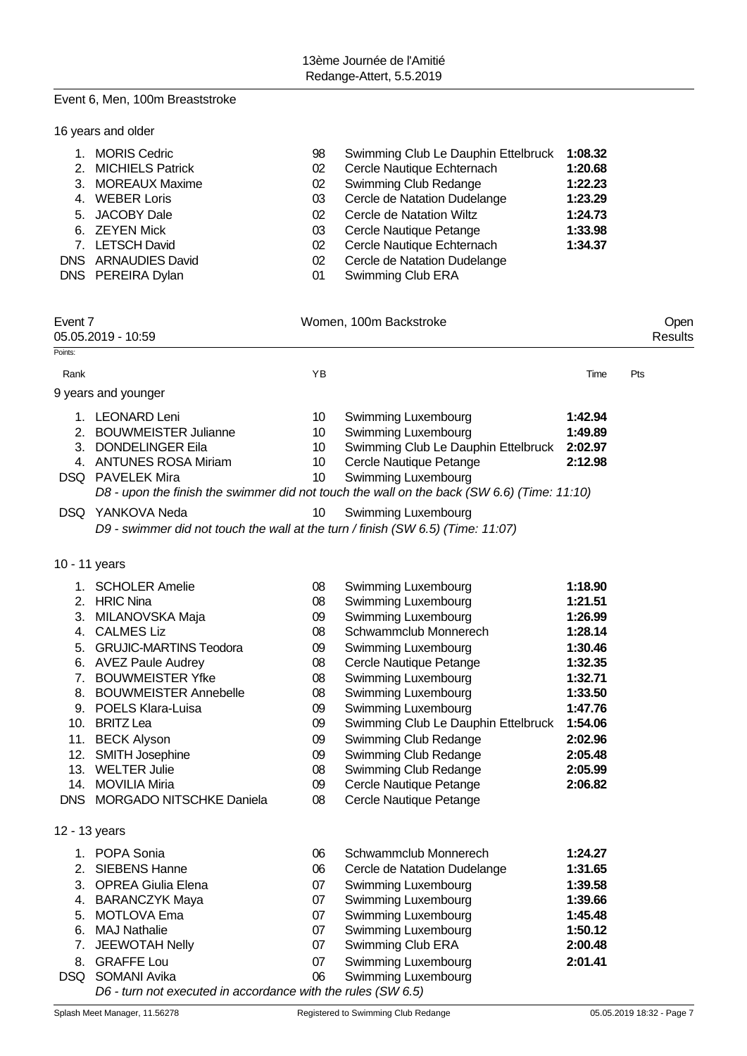# Event 6, Men, 100m Breaststroke

| 16 years and older |
|--------------------|
|--------------------|

| 1. MORIS Cedric     | 98 | Swimming Club Le Dauphin Ettelbruck | 1:08.32 |
|---------------------|----|-------------------------------------|---------|
| 2. MICHIELS Patrick | 02 | Cercle Nautique Echternach          | 1:20.68 |
| 3. MOREAUX Maxime   | 02 | Swimming Club Redange               | 1:22.23 |
| 4. WEBER Loris      | 03 | Cercle de Natation Dudelange        | 1:23.29 |
| 5. JACOBY Dale      | 02 | Cercle de Natation Wiltz            | 1:24.73 |
| 6. ZEYEN Mick       | 03 | Cercle Nautique Petange             | 1:33.98 |
| 7. LETSCH David     | 02 | Cercle Nautique Echternach          | 1:34.37 |
| DNS ARNAUDIES David | 02 | Cercle de Natation Dudelange        |         |
| DNS PEREIRA Dylan   | 01 | Swimming Club ERA                   |         |

| Event 7 | 05.05.2019 - 10:59                                                              |                 | Women, 100m Backstroke                                                                     |         | Open<br>Results |
|---------|---------------------------------------------------------------------------------|-----------------|--------------------------------------------------------------------------------------------|---------|-----------------|
| Points: |                                                                                 |                 |                                                                                            |         |                 |
| Rank    |                                                                                 | YB              |                                                                                            | Time    | Pts             |
|         | 9 years and younger                                                             |                 |                                                                                            |         |                 |
|         | 1. LEONARD Leni                                                                 | 10              | <b>Swimming Luxembourg</b>                                                                 | 1:42.94 |                 |
|         | 2. BOUWMEISTER Julianne                                                         | 10              | Swimming Luxembourg                                                                        | 1:49.89 |                 |
|         | 3. DONDELINGER Eila                                                             | 10              | Swimming Club Le Dauphin Ettelbruck                                                        | 2:02.97 |                 |
|         | 4. ANTUNES ROSA Miriam                                                          | 10 <sup>°</sup> | Cercle Nautique Petange                                                                    | 2:12.98 |                 |
|         | DSQ PAVELEK Mira                                                                | 10              | <b>Swimming Luxembourg</b>                                                                 |         |                 |
|         |                                                                                 |                 | D8 - upon the finish the swimmer did not touch the wall on the back (SW 6.6) (Time: 11:10) |         |                 |
|         | DSQ YANKOVA Neda                                                                | 10              | Swimming Luxembourg                                                                        |         |                 |
|         | D9 - swimmer did not touch the wall at the turn / finish (SW 6.5) (Time: 11:07) |                 |                                                                                            |         |                 |
|         | 10 - 11 years                                                                   |                 |                                                                                            |         |                 |
|         | 1. SCHOLER Amelie                                                               | 08              | Swimming Luxembourg                                                                        | 1:18.90 |                 |
|         | 2. HRIC Nina                                                                    | 08              | Swimming Luxembourg                                                                        | 1:21.51 |                 |
|         | 3. MILANOVSKA Maja                                                              | 09              | Swimming Luxembourg                                                                        | 1:26.99 |                 |
|         | 4. CALMES Liz                                                                   | 08              | Schwammclub Monnerech                                                                      | 1:28.14 |                 |
|         | 5. GRUJIC-MARTINS Teodora                                                       | 09              | Swimming Luxembourg                                                                        | 1:30.46 |                 |
|         | 6. AVEZ Paule Audrey                                                            | 08              | Cercle Nautique Petange                                                                    | 1:32.35 |                 |
| 7.      | <b>BOUWMEISTER Yfke</b>                                                         | 08              | Swimming Luxembourg                                                                        | 1:32.71 |                 |
|         | 8. BOUWMEISTER Annebelle                                                        | 08              | Swimming Luxembourg                                                                        | 1:33.50 |                 |
|         | 9. POELS Klara-Luisa                                                            | 09              | Swimming Luxembourg                                                                        | 1:47.76 |                 |
|         | 10. BRITZ Lea                                                                   | 09              | Swimming Club Le Dauphin Ettelbruck                                                        | 1:54.06 |                 |
|         | 11. BECK Alyson                                                                 | 09              | Swimming Club Redange                                                                      | 2:02.96 |                 |
|         | 12. SMITH Josephine                                                             | 09              | Swimming Club Redange                                                                      | 2:05.48 |                 |
|         | 13. WELTER Julie                                                                | 08              | Swimming Club Redange                                                                      | 2:05.99 |                 |
|         | 14. MOVILIA Miria                                                               | 09              | Cercle Nautique Petange                                                                    | 2:06.82 |                 |
|         | DNS MORGADO NITSCHKE Daniela                                                    | 08              | Cercle Nautique Petange                                                                    |         |                 |
|         | 12 - 13 years                                                                   |                 |                                                                                            |         |                 |
|         | 1. POPA Sonia                                                                   | 06              | Schwammclub Monnerech                                                                      | 1:24.27 |                 |
|         | 2. SIEBENS Hanne                                                                | 06              | Cercle de Natation Dudelange                                                               | 1:31.65 |                 |
| 3.      | <b>OPREA Giulia Elena</b>                                                       | 07              | Swimming Luxembourg                                                                        | 1:39.58 |                 |
| 4.      | <b>BARANCZYK Maya</b>                                                           | 07              | Swimming Luxembourg                                                                        | 1:39.66 |                 |
| 5.      | <b>MOTLOVA Ema</b>                                                              | 07              | Swimming Luxembourg                                                                        | 1:45.48 |                 |
| 6.      | <b>MAJ Nathalie</b>                                                             | 07              | Swimming Luxembourg                                                                        | 1:50.12 |                 |
| 7.      | JEEWOTAH Nelly                                                                  | 07              | Swimming Club ERA                                                                          | 2:00.48 |                 |
| 8.      | <b>GRAFFE Lou</b>                                                               | 07              | Swimming Luxembourg                                                                        | 2:01.41 |                 |
|         | DSQ SOMANI Avika                                                                | 06              | Swimming Luxembourg                                                                        |         |                 |
|         | D6 - turn not executed in accordance with the rules (SW 6.5)                    |                 |                                                                                            |         |                 |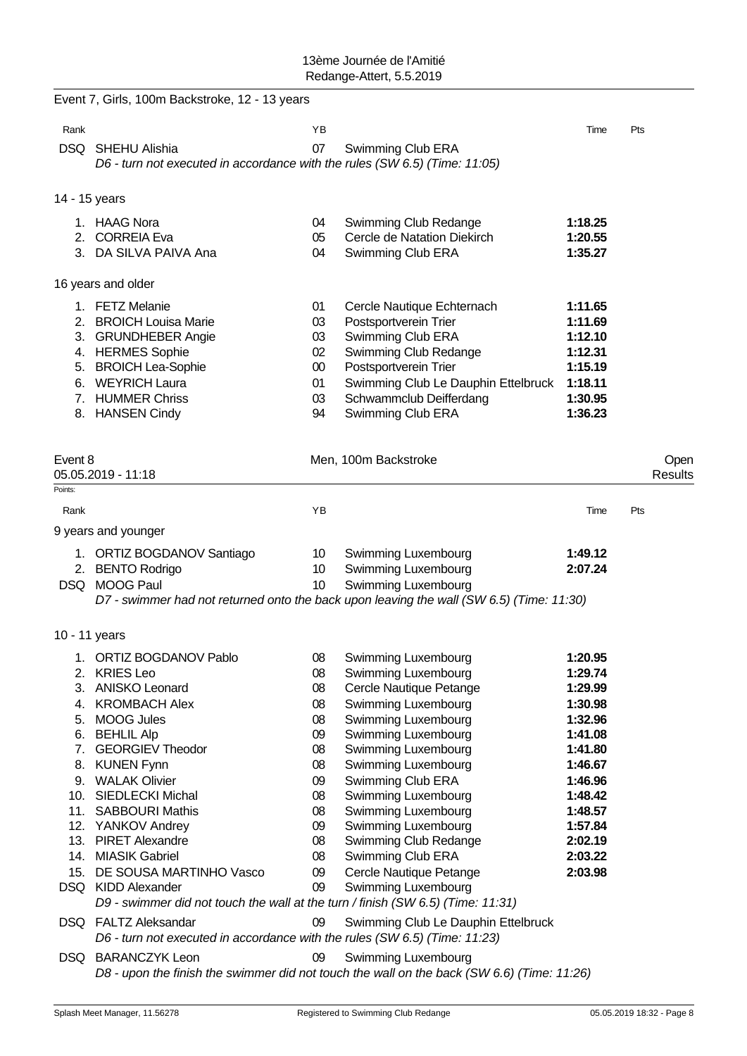|               | Event 7, Girls, 100m Backstroke, 12 - 13 years                                                     |                 |                                                                                                                   |         |         |
|---------------|----------------------------------------------------------------------------------------------------|-----------------|-------------------------------------------------------------------------------------------------------------------|---------|---------|
| Rank          |                                                                                                    | ΥB              |                                                                                                                   | Time    | Pts     |
|               | DSQ SHEHU Alishia                                                                                  | 07              | Swimming Club ERA                                                                                                 |         |         |
|               | D6 - turn not executed in accordance with the rules (SW 6.5) (Time: 11:05)                         |                 |                                                                                                                   |         |         |
| 14 - 15 years |                                                                                                    |                 |                                                                                                                   |         |         |
|               | 1. HAAG Nora                                                                                       | 04              | Swimming Club Redange                                                                                             | 1:18.25 |         |
|               | 2. CORREIA Eva                                                                                     | 05              | Cercle de Natation Diekirch                                                                                       | 1:20.55 |         |
|               | 3. DA SILVA PAIVA Ana                                                                              | 04              | Swimming Club ERA                                                                                                 | 1:35.27 |         |
|               | 16 years and older                                                                                 |                 |                                                                                                                   |         |         |
|               | 1. FETZ Melanie                                                                                    | 01              | Cercle Nautique Echternach                                                                                        | 1:11.65 |         |
|               | 2. BROICH Louisa Marie                                                                             | 03              | Postsportverein Trier                                                                                             | 1:11.69 |         |
|               | 3. GRUNDHEBER Angie                                                                                | 03              | Swimming Club ERA                                                                                                 | 1:12.10 |         |
|               | 4. HERMES Sophie                                                                                   | 02              | Swimming Club Redange                                                                                             | 1:12.31 |         |
|               | 5. BROICH Lea-Sophie                                                                               | 00              | Postsportverein Trier                                                                                             | 1:15.19 |         |
|               | 6. WEYRICH Laura                                                                                   | 01              | Swimming Club Le Dauphin Ettelbruck                                                                               | 1:18.11 |         |
|               | 7. HUMMER Chriss                                                                                   | 03              | Schwammclub Deifferdang                                                                                           | 1:30.95 |         |
|               | 8. HANSEN Cindy                                                                                    | 94              | Swimming Club ERA                                                                                                 | 1:36.23 |         |
|               |                                                                                                    |                 |                                                                                                                   |         |         |
| Event 8       |                                                                                                    |                 | Men, 100m Backstroke                                                                                              |         | Open    |
|               | 05.05.2019 - 11:18                                                                                 |                 |                                                                                                                   |         | Results |
| Points:       |                                                                                                    |                 |                                                                                                                   |         |         |
| Rank          |                                                                                                    | YB              |                                                                                                                   | Time    | Pts     |
|               | 9 years and younger                                                                                |                 |                                                                                                                   |         |         |
|               | 1. ORTIZ BOGDANOV Santiago                                                                         | 10 <sup>°</sup> | Swimming Luxembourg                                                                                               | 1:49.12 |         |
|               | 2. BENTO Rodrigo                                                                                   | 10              | Swimming Luxembourg                                                                                               | 2:07.24 |         |
|               | DSQ MOOG Paul                                                                                      | 10              | Swimming Luxembourg                                                                                               |         |         |
|               |                                                                                                    |                 | D7 - swimmer had not returned onto the back upon leaving the wall (SW 6.5) (Time: 11:30)                          |         |         |
| 10 - 11 years |                                                                                                    |                 |                                                                                                                   |         |         |
| 1.            | ORTIZ BOGDANOV Pablo                                                                               | 08              | Swimming Luxembourg                                                                                               | 1:20.95 |         |
|               | 2. KRIES Leo                                                                                       | 08              | Swimming Luxembourg                                                                                               | 1:29.74 |         |
|               | 3. ANISKO Leonard                                                                                  | 08              | Cercle Nautique Petange                                                                                           | 1:29.99 |         |
|               | 4. KROMBACH Alex                                                                                   | 08              | Swimming Luxembourg                                                                                               | 1:30.98 |         |
| 5.            | <b>MOOG Jules</b>                                                                                  | 08              | Swimming Luxembourg                                                                                               | 1:32.96 |         |
|               | 6. BEHLIL Alp                                                                                      | 09              | Swimming Luxembourg                                                                                               | 1:41.08 |         |
| 7.            | <b>GEORGIEV Theodor</b>                                                                            | 08              | Swimming Luxembourg                                                                                               | 1:41.80 |         |
|               | 8. KUNEN Fynn                                                                                      | 08              | Swimming Luxembourg                                                                                               | 1:46.67 |         |
|               | 9. WALAK Olivier                                                                                   | 09              | Swimming Club ERA                                                                                                 | 1:46.96 |         |
|               | 10. SIEDLECKI Michal                                                                               | 08              | Swimming Luxembourg                                                                                               | 1:48.42 |         |
|               | 11. SABBOURI Mathis                                                                                | 08              | Swimming Luxembourg                                                                                               | 1:48.57 |         |
|               | 12. YANKOV Andrey                                                                                  | 09              | Swimming Luxembourg                                                                                               | 1:57.84 |         |
|               | 13. PIRET Alexandre                                                                                | 08              | Swimming Club Redange                                                                                             | 2:02.19 |         |
|               | 14. MIASIK Gabriel                                                                                 | 08              | Swimming Club ERA                                                                                                 | 2:03.22 |         |
| 15.           | DE SOUSA MARTINHO Vasco                                                                            | 09              | Cercle Nautique Petange                                                                                           | 2:03.98 |         |
|               | DSQ KIDD Alexander                                                                                 | 09              | Swimming Luxembourg                                                                                               |         |         |
|               | D9 - swimmer did not touch the wall at the turn / finish (SW 6.5) (Time: 11:31)                    |                 |                                                                                                                   |         |         |
|               | DSQ FALTZ Aleksandar<br>D6 - turn not executed in accordance with the rules (SW 6.5) (Time: 11:23) | 09              | Swimming Club Le Dauphin Ettelbruck                                                                               |         |         |
|               |                                                                                                    |                 |                                                                                                                   |         |         |
|               | DSQ BARANCZYK Leon                                                                                 | 09              | Swimming Luxembourg<br>D8 - upon the finish the swimmer did not touch the wall on the back (SW 6.6) (Time: 11:26) |         |         |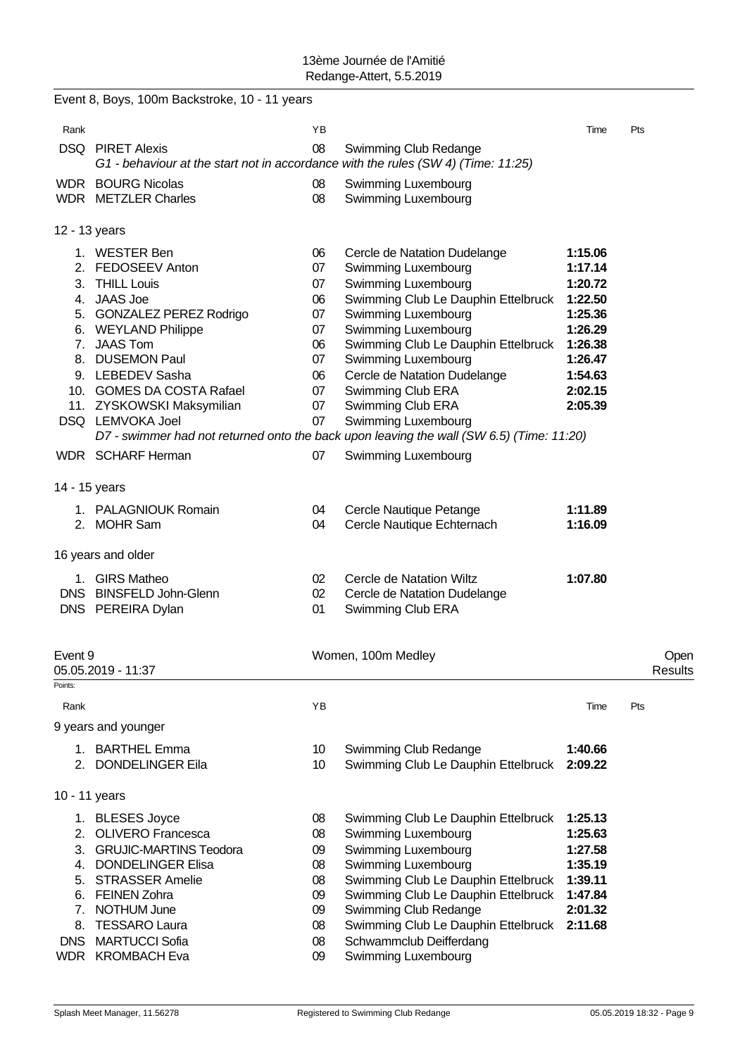|               | Event 8, Boys, 100m Backstroke, 10 - 11 years                                                                |          |                                                                                          |         |                        |
|---------------|--------------------------------------------------------------------------------------------------------------|----------|------------------------------------------------------------------------------------------|---------|------------------------|
| Rank          |                                                                                                              | ΥB       |                                                                                          | Time    | Pts                    |
|               | <b>DSQ PIRET Alexis</b><br>G1 - behaviour at the start not in accordance with the rules (SW 4) (Time: 11:25) | 08       | Swimming Club Redange                                                                    |         |                        |
|               | <b>WDR</b> BOURG Nicolas<br><b>WDR</b> METZLER Charles                                                       | 08<br>08 | Swimming Luxembourg<br>Swimming Luxembourg                                               |         |                        |
| 12 - 13 years |                                                                                                              |          |                                                                                          |         |                        |
|               | 1. WESTER Ben                                                                                                | 06       | Cercle de Natation Dudelange                                                             | 1:15.06 |                        |
|               | 2. FEDOSEEV Anton                                                                                            | 07       | Swimming Luxembourg                                                                      | 1:17.14 |                        |
|               | 3. THILL Louis                                                                                               | 07       | Swimming Luxembourg                                                                      | 1:20.72 |                        |
|               | 4. JAAS Joe                                                                                                  | 06       | Swimming Club Le Dauphin Ettelbruck                                                      | 1:22.50 |                        |
|               | 5. GONZALEZ PEREZ Rodrigo                                                                                    | 07       | Swimming Luxembourg                                                                      | 1:25.36 |                        |
|               | 6. WEYLAND Philippe                                                                                          | 07       | Swimming Luxembourg                                                                      | 1:26.29 |                        |
|               | 7. JAAS Tom                                                                                                  | 06       | Swimming Club Le Dauphin Ettelbruck                                                      | 1:26.38 |                        |
|               | 8. DUSEMON Paul                                                                                              | 07       | Swimming Luxembourg                                                                      | 1:26.47 |                        |
|               | 9. LEBEDEV Sasha                                                                                             | 06       | Cercle de Natation Dudelange                                                             | 1:54.63 |                        |
|               | 10. GOMES DA COSTA Rafael                                                                                    | 07       | Swimming Club ERA                                                                        | 2:02.15 |                        |
|               | 11. ZYSKOWSKI Maksymilian                                                                                    | 07       | Swimming Club ERA                                                                        | 2:05.39 |                        |
|               | DSQ LEMVOKA Joel                                                                                             | 07       | Swimming Luxembourg                                                                      |         |                        |
|               |                                                                                                              |          | D7 - swimmer had not returned onto the back upon leaving the wall (SW 6.5) (Time: 11:20) |         |                        |
|               | WDR SCHARF Herman                                                                                            | 07       | Swimming Luxembourg                                                                      |         |                        |
| 14 - 15 years |                                                                                                              |          |                                                                                          |         |                        |
|               | 1. PALAGNIOUK Romain                                                                                         | 04       | Cercle Nautique Petange                                                                  | 1:11.89 |                        |
|               | 2. MOHR Sam                                                                                                  | 04       | Cercle Nautique Echternach                                                               | 1:16.09 |                        |
|               | 16 years and older                                                                                           |          |                                                                                          |         |                        |
|               | 1. GIRS Matheo                                                                                               | 02       | Cercle de Natation Wiltz                                                                 | 1:07.80 |                        |
|               | DNS BINSFELD John-Glenn                                                                                      | 02       | Cercle de Natation Dudelange                                                             |         |                        |
|               | DNS PEREIRA Dylan                                                                                            | 01       | Swimming Club ERA                                                                        |         |                        |
|               |                                                                                                              |          |                                                                                          |         |                        |
| Event 9       | 05.05.2019 - 11:37                                                                                           |          | Women, 100m Medley                                                                       |         | Open<br><b>Results</b> |
| Points:       |                                                                                                              |          |                                                                                          |         |                        |
| Rank          |                                                                                                              | YB       |                                                                                          | Time    | Pts                    |
|               | 9 years and younger                                                                                          |          |                                                                                          |         |                        |
|               | 1. BARTHEL Emma                                                                                              | 10       | Swimming Club Redange                                                                    | 1:40.66 |                        |
|               | 2. DONDELINGER Eila                                                                                          | 10       | Swimming Club Le Dauphin Ettelbruck                                                      | 2:09.22 |                        |
| 10 - 11 years |                                                                                                              |          |                                                                                          |         |                        |
|               | 1. BLESES Joyce                                                                                              | 08       | Swimming Club Le Dauphin Ettelbruck                                                      | 1:25.13 |                        |
|               | 2. OLIVERO Francesca                                                                                         | 08       | Swimming Luxembourg                                                                      | 1:25.63 |                        |
| 3.            | <b>GRUJIC-MARTINS Teodora</b>                                                                                | 09       | Swimming Luxembourg                                                                      | 1:27.58 |                        |
| 4.            | <b>DONDELINGER Elisa</b>                                                                                     | 08       | Swimming Luxembourg                                                                      | 1:35.19 |                        |
| 5.            | <b>STRASSER Amelie</b>                                                                                       | 08       | Swimming Club Le Dauphin Ettelbruck                                                      | 1:39.11 |                        |
| 6.            | <b>FEINEN Zohra</b>                                                                                          | 09       | Swimming Club Le Dauphin Ettelbruck                                                      | 1:47.84 |                        |
| 7.            | NOTHUM June                                                                                                  | 09       | Swimming Club Redange                                                                    | 2:01.32 |                        |
| 8.            | <b>TESSARO Laura</b>                                                                                         | 08       | Swimming Club Le Dauphin Ettelbruck 2:11.68                                              |         |                        |
|               | DNS MARTUCCI Sofia                                                                                           | 08       | Schwammclub Deifferdang                                                                  |         |                        |
|               | WDR KROMBACH Eva                                                                                             | 09       | Swimming Luxembourg                                                                      |         |                        |
|               |                                                                                                              |          |                                                                                          |         |                        |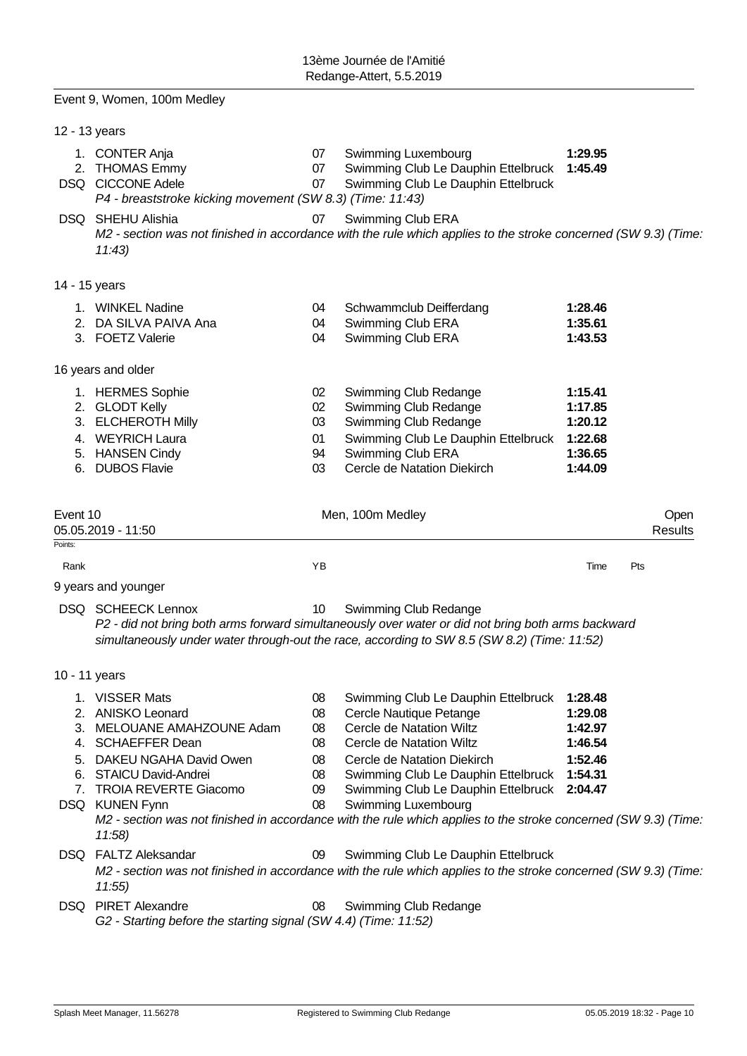|                     | Event 9, Women, 100m Medley                                                                                                                                                                       |                                               |                                                                                                                                                                                                                                                                                                                                                                                               |                                                     |                        |
|---------------------|---------------------------------------------------------------------------------------------------------------------------------------------------------------------------------------------------|-----------------------------------------------|-----------------------------------------------------------------------------------------------------------------------------------------------------------------------------------------------------------------------------------------------------------------------------------------------------------------------------------------------------------------------------------------------|-----------------------------------------------------|------------------------|
| 12 - 13 years       |                                                                                                                                                                                                   |                                               |                                                                                                                                                                                                                                                                                                                                                                                               |                                                     |                        |
|                     | 1. CONTER Anja<br>2. THOMAS Emmy<br>DSQ CICCONE Adele<br>P4 - breaststroke kicking movement (SW 8.3) (Time: 11:43)                                                                                | 07<br>07<br>07                                | <b>Swimming Luxembourg</b><br>Swimming Club Le Dauphin Ettelbruck<br>Swimming Club Le Dauphin Ettelbruck                                                                                                                                                                                                                                                                                      | 1:29.95<br>1:45.49                                  |                        |
|                     | DSQ SHEHU Alishia<br>11:43                                                                                                                                                                        | 07                                            | Swimming Club ERA<br>M2 - section was not finished in accordance with the rule which applies to the stroke concerned (SW 9.3) (Time:                                                                                                                                                                                                                                                          |                                                     |                        |
| 14 - 15 years       |                                                                                                                                                                                                   |                                               |                                                                                                                                                                                                                                                                                                                                                                                               |                                                     |                        |
|                     | 1. WINKEL Nadine<br>2. DA SILVA PAIVA Ana<br>3. FOETZ Valerie                                                                                                                                     | 04<br>04<br>04                                | Schwammclub Deifferdang<br>Swimming Club ERA<br>Swimming Club ERA                                                                                                                                                                                                                                                                                                                             | 1:28.46<br>1:35.61<br>1:43.53                       |                        |
|                     | 16 years and older                                                                                                                                                                                |                                               |                                                                                                                                                                                                                                                                                                                                                                                               |                                                     |                        |
| 6.                  | 1. HERMES Sophie<br>2. GLODT Kelly<br>3. ELCHEROTH Milly<br>4. WEYRICH Laura<br>5. HANSEN Cindy<br><b>DUBOS Flavie</b>                                                                            | 02 <sub>2</sub><br>02<br>03<br>01<br>94<br>03 | Swimming Club Redange<br>Swimming Club Redange<br>Swimming Club Redange<br>Swimming Club Le Dauphin Ettelbruck 1:22.68<br>Swimming Club ERA<br>Cercle de Natation Diekirch                                                                                                                                                                                                                    | 1:15.41<br>1:17.85<br>1:20.12<br>1:36.65<br>1:44.09 |                        |
| Event 10<br>Points: | 05.05.2019 - 11:50                                                                                                                                                                                |                                               | Men, 100m Medley                                                                                                                                                                                                                                                                                                                                                                              |                                                     | Open<br><b>Results</b> |
| Rank                |                                                                                                                                                                                                   | ΥB                                            |                                                                                                                                                                                                                                                                                                                                                                                               | Time                                                | Pts                    |
|                     | 9 years and younger                                                                                                                                                                               |                                               |                                                                                                                                                                                                                                                                                                                                                                                               |                                                     |                        |
|                     | <b>DSQ SCHEECK Lennox</b>                                                                                                                                                                         | 10                                            | Swimming Club Redange<br>P2 - did not bring both arms forward simultaneously over water or did not bring both arms backward<br>simultaneously under water through-out the race, according to SW 8.5 (SW 8.2) (Time: 11:52)                                                                                                                                                                    |                                                     |                        |
| 10 - 11 years       |                                                                                                                                                                                                   |                                               |                                                                                                                                                                                                                                                                                                                                                                                               |                                                     |                        |
| 5.                  | 1. VISSER Mats<br>2. ANISKO Leonard<br>3. MELOUANE AMAHZOUNE Adam<br>4. SCHAEFFER Dean<br>DAKEU NGAHA David Owen<br>6. STAICU David-Andrei<br>7. TROIA REVERTE Giacomo<br>DSQ KUNEN Fynn<br>11:58 | 08<br>08<br>08<br>08<br>08<br>08<br>09<br>08  | Swimming Club Le Dauphin Ettelbruck 1:28.48<br>Cercle Nautique Petange<br>Cercle de Natation Wiltz<br>Cercle de Natation Wiltz<br>Cercle de Natation Diekirch<br>Swimming Club Le Dauphin Ettelbruck 1:54.31<br>Swimming Club Le Dauphin Ettelbruck<br>Swimming Luxembourg<br>M2 - section was not finished in accordance with the rule which applies to the stroke concerned (SW 9.3) (Time: | 1:29.08<br>1:42.97<br>1:46.54<br>1:52.46<br>2:04.47 |                        |
|                     | DSQ FALTZ Aleksandar<br>11:55                                                                                                                                                                     | 09                                            | Swimming Club Le Dauphin Ettelbruck<br>M2 - section was not finished in accordance with the rule which applies to the stroke concerned (SW 9.3) (Time:                                                                                                                                                                                                                                        |                                                     |                        |
|                     | DSQ PIRET Alexandre<br>G2 - Starting before the starting signal (SW 4.4) (Time: 11:52)                                                                                                            | 08                                            | Swimming Club Redange                                                                                                                                                                                                                                                                                                                                                                         |                                                     |                        |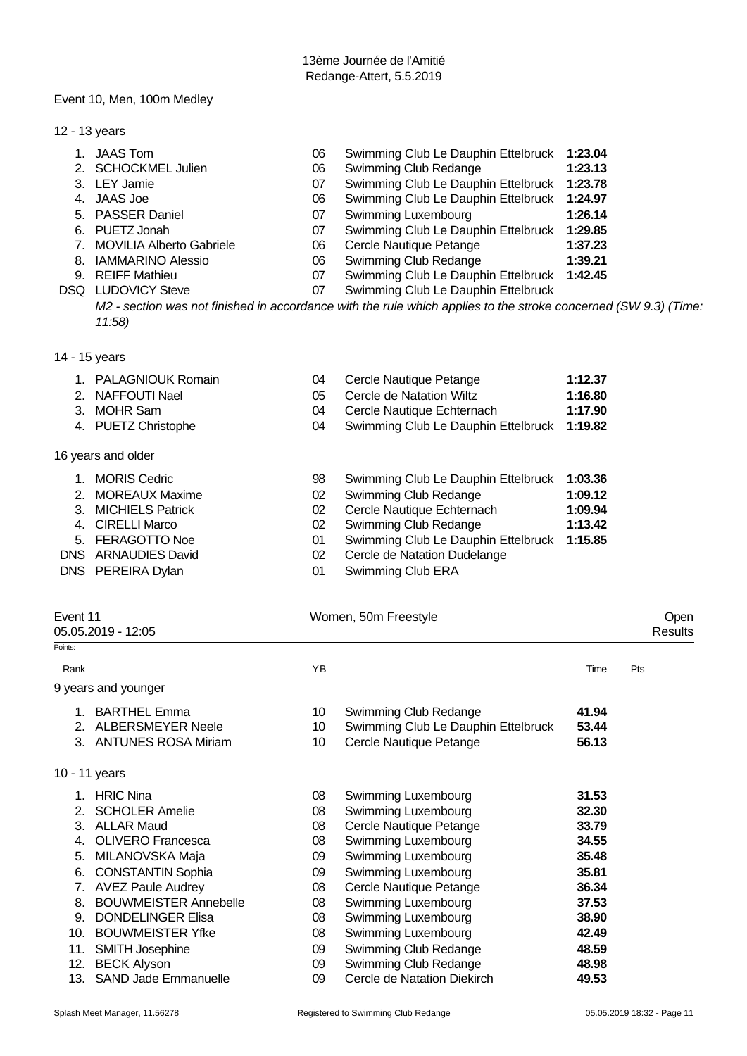# Event 10, Men, 100m Medley

12 - 13 years

| JAAS Tom                    | 06 | Swimming Club Le Dauphin Ettelbruck 1:23.04 |         |
|-----------------------------|----|---------------------------------------------|---------|
|                             |    |                                             |         |
| 2. SCHOCKMEL Julien         | 06 | Swimming Club Redange                       | 1:23.13 |
| 3. LEY Jamie                | 07 | Swimming Club Le Dauphin Ettelbruck 1:23.78 |         |
| 4. JAAS Joe                 | 06 | Swimming Club Le Dauphin Ettelbruck 1:24.97 |         |
| 5. PASSER Daniel            | 07 | Swimming Luxembourg                         | 1:26.14 |
| 6. PUETZ Jonah              | 07 | Swimming Club Le Dauphin Ettelbruck         | 1:29.85 |
| 7. MOVILIA Alberto Gabriele | 06 | Cercle Nautique Petange                     | 1:37.23 |
| 8. IAMMARINO Alessio        | 06 | Swimming Club Redange                       | 1:39.21 |
| 9. REIFF Mathieu            | 07 | Swimming Club Le Dauphin Ettelbruck 1:42.45 |         |
| <b>DSQ LUDOVICY Steve</b>   | 07 | Swimming Club Le Dauphin Ettelbruck         |         |
|                             |    |                                             |         |

*M2 - section was not finished in accordance with the rule which applies to the stroke concerned (SW 9.3) (Time: 11:58)*

14 - 15 years

|    | 1. PALAGNIOUK Romain | 04           | Cercle Nautique Petange             | 1:12.37         |
|----|----------------------|--------------|-------------------------------------|-----------------|
|    | 2. NAFFOUTI Nael     | 05           | Cercle de Natation Wiltz            | 1:16.80         |
|    | 3. MOHR Sam          | 04           | Cercle Nautique Echternach          | 1:17.90         |
|    | 4. PUETZ Christophe  | 04           | Swimming Club Le Dauphin Ettelbruck | 1:19.82         |
|    | 16 years and older   |              |                                     |                 |
| 1. | <b>MORIS Cedric</b>  | 98           | Swimming Club Le Dauphin Ettelbruck | 1:03.36         |
|    | 2. MOREAUX Maxime    | 02           | Swimming Club Redange               | 1:09.12         |
|    | 3. MICHIELS Patrick  | 02           | Cercle Nautique Echternach          | 1:09.94         |
|    | 4. CIRELLI Marco     | 02           | Swimming Club Redange               | 1:13.42         |
| E. | FEDACOTTO Nos        | $\mathsf{A}$ | Cuimming Club Le Douphin Ettelbruak | $A \cdot AE$ of |

- 5. FERAGOTTO Noe 01 Swimming Club Le Dauphin Ettelbruck **1:15.85**
- DNS ARNAUDIES David 02 Cercle de Natation Dudelange
- DNS PEREIRA Dylan 01 Swimming Club ERA

| Event 11<br>05.05.2019 - 12:05 |                                                                               |                | Women, 50m Freestyle                                                                    |                         |     |  |  |
|--------------------------------|-------------------------------------------------------------------------------|----------------|-----------------------------------------------------------------------------------------|-------------------------|-----|--|--|
| Points:                        |                                                                               |                |                                                                                         |                         |     |  |  |
| Rank                           |                                                                               | ΥB             |                                                                                         | Time                    | Pts |  |  |
|                                | 9 years and younger                                                           |                |                                                                                         |                         |     |  |  |
| $\mathcal{P}$<br>3.            | <b>BARTHEL Emma</b><br><b>ALBERSMEYER Neele</b><br><b>ANTUNES ROSA Miriam</b> | 10<br>10<br>10 | Swimming Club Redange<br>Swimming Club Le Dauphin Ettelbruck<br>Cercle Nautique Petange | 41.94<br>53.44<br>56.13 |     |  |  |
|                                | 10 - 11 years                                                                 |                |                                                                                         |                         |     |  |  |
|                                | <b>HRIC Nina</b>                                                              | 08             | Swimming Luxembourg                                                                     | 31.53                   |     |  |  |
| 2.<br>3.                       | <b>SCHOLER Amelie</b><br><b>ALLAR Maud</b>                                    | 08<br>08       | Swimming Luxembourg<br>Cercle Nautique Petange                                          | 32.30<br>33.79          |     |  |  |
| 4.<br>5.                       | <b>OLIVERO Francesca</b><br>MILANOVSKA Maja                                   | 08<br>09       | Swimming Luxembourg<br>Swimming Luxembourg                                              | 34.55<br>35.48          |     |  |  |
| 6.<br>7.                       | <b>CONSTANTIN Sophia</b><br><b>AVEZ Paule Audrey</b>                          | 09<br>08       | Swimming Luxembourg<br>Cercle Nautique Petange                                          | 35.81<br>36.34          |     |  |  |
| 8.                             | <b>BOUWMEISTER Annebelle</b>                                                  | 08             | Swimming Luxembourg                                                                     | 37.53                   |     |  |  |
| 9.<br>10.                      | <b>DONDELINGER Elisa</b><br><b>BOUWMEISTER Yfke</b>                           | 08<br>08       | Swimming Luxembourg<br>Swimming Luxembourg                                              | 38.90<br>42.49          |     |  |  |
| 11.<br>12.                     | <b>SMITH Josephine</b><br><b>BECK Alyson</b>                                  | 09<br>09       | Swimming Club Redange<br>Swimming Club Redange                                          | 48.59<br>48.98          |     |  |  |
| 13.                            | <b>SAND Jade Emmanuelle</b>                                                   | 09             | Cercle de Natation Diekirch                                                             | 49.53                   |     |  |  |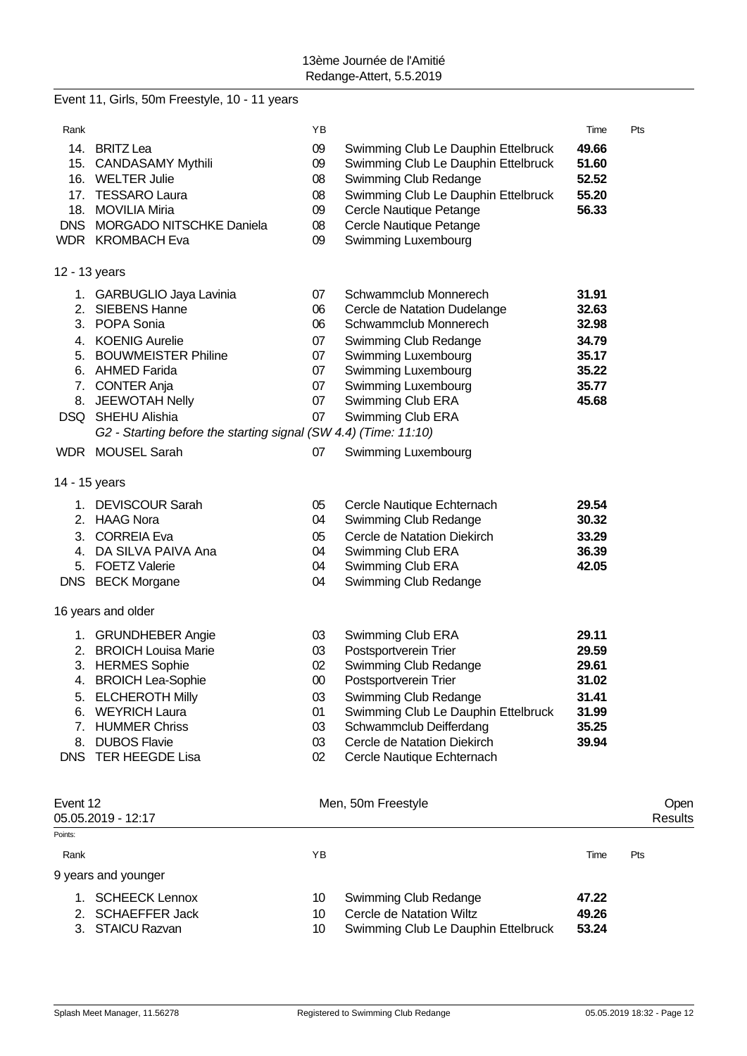|            | Event 11, Girls, 50m Freestyle, 10 - 11 years                                        |        |                                     |       |         |
|------------|--------------------------------------------------------------------------------------|--------|-------------------------------------|-------|---------|
| Rank       |                                                                                      | ΥB     |                                     | Time  | Pts     |
|            | 14. BRITZ Lea                                                                        | 09     | Swimming Club Le Dauphin Ettelbruck | 49.66 |         |
|            | 15. CANDASAMY Mythili                                                                | 09     | Swimming Club Le Dauphin Ettelbruck | 51.60 |         |
|            | 16. WELTER Julie                                                                     | 08     | Swimming Club Redange               | 52.52 |         |
| 17.        | <b>TESSARO Laura</b>                                                                 | 08     | Swimming Club Le Dauphin Ettelbruck | 55.20 |         |
|            | 18. MOVILIA Miria                                                                    | 09     | Cercle Nautique Petange             | 56.33 |         |
| <b>DNS</b> | <b>MORGADO NITSCHKE Daniela</b>                                                      | 08     | Cercle Nautique Petange             |       |         |
|            | WDR KROMBACH Eva                                                                     | 09     | Swimming Luxembourg                 |       |         |
|            | 12 - 13 years                                                                        |        |                                     |       |         |
|            | 1. GARBUGLIO Jaya Lavinia                                                            | 07     | Schwammclub Monnerech               | 31.91 |         |
|            | 2. SIEBENS Hanne                                                                     | 06     | Cercle de Natation Dudelange        | 32.63 |         |
|            | 3. POPA Sonia                                                                        | 06     | Schwammclub Monnerech               | 32.98 |         |
|            | 4. KOENIG Aurelie                                                                    | 07     | Swimming Club Redange               | 34.79 |         |
|            | 5. BOUWMEISTER Philine                                                               | 07     | Swimming Luxembourg                 | 35.17 |         |
|            | 6. AHMED Farida                                                                      | 07     | Swimming Luxembourg                 | 35.22 |         |
|            | 7. CONTER Anja                                                                       | 07     | Swimming Luxembourg                 | 35.77 |         |
|            | 8. JEEWOTAH Nelly                                                                    | 07     | Swimming Club ERA                   | 45.68 |         |
|            | DSQ SHEHU Alishia<br>G2 - Starting before the starting signal (SW 4.4) (Time: 11:10) | 07     | Swimming Club ERA                   |       |         |
|            | WDR MOUSEL Sarah                                                                     | 07     | Swimming Luxembourg                 |       |         |
|            | 14 - 15 years                                                                        |        |                                     |       |         |
|            |                                                                                      |        |                                     |       |         |
|            | 1. DEVISCOUR Sarah                                                                   | 05     | Cercle Nautique Echternach          | 29.54 |         |
|            | 2. HAAG Nora                                                                         | 04     | Swimming Club Redange               | 30.32 |         |
|            | 3. CORREIA Eva                                                                       | 05     | Cercle de Natation Diekirch         | 33.29 |         |
|            | 4. DA SILVA PAIVA Ana                                                                | 04     | Swimming Club ERA                   | 36.39 |         |
|            | 5. FOETZ Valerie                                                                     | 04     | Swimming Club ERA                   | 42.05 |         |
|            | DNS BECK Morgane                                                                     | 04     | Swimming Club Redange               |       |         |
|            | 16 years and older                                                                   |        |                                     |       |         |
|            | 1. GRUNDHEBER Angie                                                                  | 03     | Swimming Club ERA                   | 29.11 |         |
|            | 2. BROICH Louisa Marie                                                               | 03     | Postsportverein Trier               | 29.59 |         |
|            | 3. HERMES Sophie                                                                     | 02     | Swimming Club Redange               | 29.61 |         |
|            | 4. BROICH Lea-Sophie                                                                 | $00\,$ | Postsportverein Trier               | 31.02 |         |
|            | 5. ELCHEROTH Milly                                                                   | 03     | Swimming Club Redange               | 31.41 |         |
| 6.         | <b>WEYRICH Laura</b>                                                                 | 01     | Swimming Club Le Dauphin Ettelbruck | 31.99 |         |
|            | 7. HUMMER Chriss                                                                     | 03     | Schwammclub Deifferdang             | 35.25 |         |
| 8.         | <b>DUBOS Flavie</b>                                                                  | 03     | Cercle de Natation Diekirch         | 39.94 |         |
|            | DNS TER HEEGDE Lisa                                                                  | 02     | Cercle Nautique Echternach          |       |         |
|            |                                                                                      |        |                                     |       |         |
| Event 12   |                                                                                      |        | Men, 50m Freestyle                  |       | Open    |
|            | 05.05.2019 - 12:17                                                                   |        |                                     |       | Results |
| Points:    |                                                                                      |        |                                     |       |         |
| Rank       |                                                                                      | YB     |                                     | Time  | Pts     |
|            | 9 years and younger                                                                  |        |                                     |       |         |
| 1.         | <b>SCHEECK Lennox</b>                                                                | 10     | Swimming Club Redange               | 47.22 |         |
| 2.         | <b>SCHAEFFER Jack</b>                                                                | 10     | Cercle de Natation Wiltz            | 49.26 |         |
|            | 3. STAICU Razvan                                                                     | 10     | Swimming Club Le Dauphin Ettelbruck | 53.24 |         |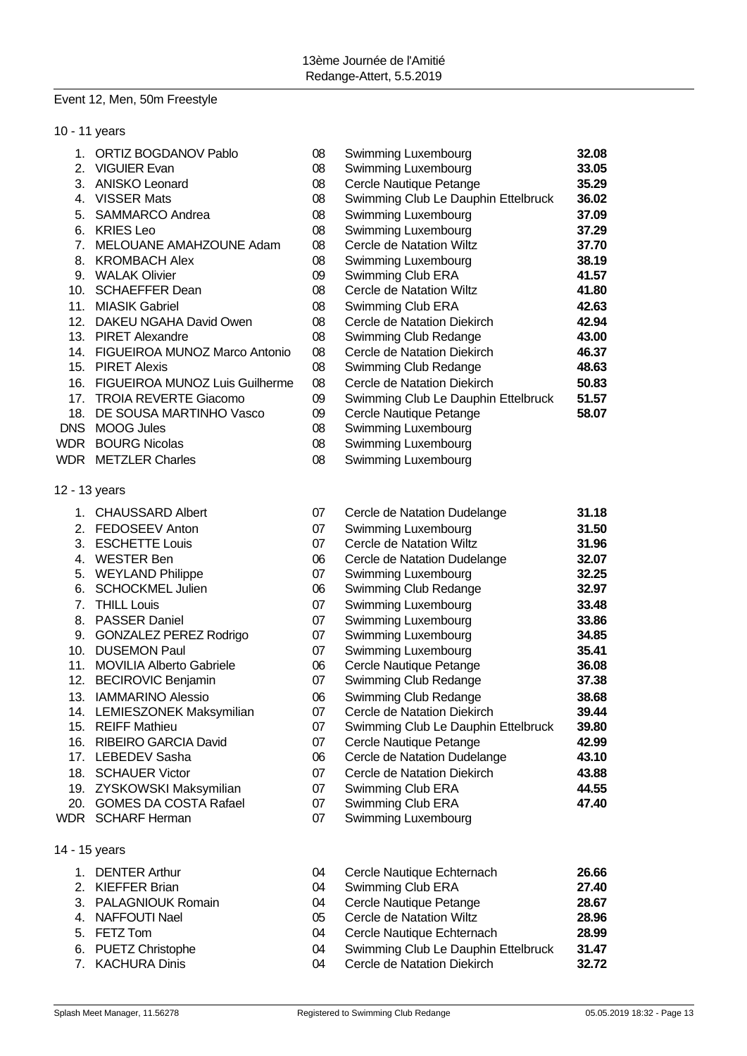# Event 12, Men, 50m Freestyle

|     | 10 - 11 years                      |    |                                     |       |
|-----|------------------------------------|----|-------------------------------------|-------|
|     | 1. ORTIZ BOGDANOV Pablo            | 08 | Swimming Luxembourg                 | 32.08 |
|     | 2. VIGUIER Evan                    | 08 | Swimming Luxembourg                 | 33.05 |
|     | 3. ANISKO Leonard                  | 08 | Cercle Nautique Petange             | 35.29 |
|     | 4. VISSER Mats                     | 08 | Swimming Club Le Dauphin Ettelbruck | 36.02 |
|     | 5. SAMMARCO Andrea                 | 08 | Swimming Luxembourg                 | 37.09 |
|     | 6. KRIES Leo                       | 08 | Swimming Luxembourg                 | 37.29 |
|     | 7. MELOUANE AMAHZOUNE Adam         | 08 | Cercle de Natation Wiltz            | 37.70 |
|     | 8. KROMBACH Alex                   | 08 | Swimming Luxembourg                 | 38.19 |
|     | 9. WALAK Olivier                   | 09 | Swimming Club ERA                   | 41.57 |
|     | 10. SCHAEFFER Dean                 | 08 | Cercle de Natation Wiltz            | 41.80 |
|     | 11. MIASIK Gabriel                 | 08 | Swimming Club ERA                   | 42.63 |
|     | 12. DAKEU NGAHA David Owen         | 08 | Cercle de Natation Diekirch         | 42.94 |
|     | 13. PIRET Alexandre                | 08 | Swimming Club Redange               | 43.00 |
|     | 14. FIGUEIROA MUNOZ Marco Antonio  | 08 | Cercle de Natation Diekirch         | 46.37 |
|     | 15. PIRET Alexis                   | 08 | Swimming Club Redange               | 48.63 |
|     | 16. FIGUEIROA MUNOZ Luis Guilherme | 08 | Cercle de Natation Diekirch         | 50.83 |
| 17. | <b>TROIA REVERTE Giacomo</b>       | 09 | Swimming Club Le Dauphin Ettelbruck | 51.57 |
| 18. | DE SOUSA MARTINHO Vasco            | 09 | Cercle Nautique Petange             | 58.07 |
|     | DNS MOOG Jules                     | 08 | Swimming Luxembourg                 |       |
|     | <b>WDR</b> BOURG Nicolas           | 08 | Swimming Luxembourg                 |       |
|     | <b>WDR</b> METZLER Charles         | 08 | Swimming Luxembourg                 |       |
|     | 12 - 13 years                      |    |                                     |       |
|     | 1. CHAUSSARD Albert                | 07 | Cercle de Natation Dudelange        | 31.18 |
|     | 2. FEDOSEEV Anton                  | 07 | Swimming Luxembourg                 | 31.50 |
|     | 3. ESCHETTE Louis                  | 07 | Cercle de Natation Wiltz            | 31.96 |
|     | 4. WESTER Ben                      | 06 | Cercle de Natation Dudelange        | 32.07 |
|     | 5. WEYLAND Philippe                | 07 | Swimming Luxembourg                 | 32.25 |
| 6.  | <b>SCHOCKMEL Julien</b>            | 06 | Swimming Club Redange               | 32.97 |
|     | 7. THILL Louis                     | 07 | Swimming Luxembourg                 | 33.48 |
|     | 8. PASSER Daniel                   | 07 | Swimming Luxembourg                 | 33.86 |
|     | 9. GONZALEZ PEREZ Rodrigo          | 07 | Swimming Luxembourg                 | 34.85 |
|     | 10. DUSEMON Paul                   | 07 | Swimming Luxembourg                 | 35.41 |
|     | 11. MOVILIA Alberto Gabriele       | 06 | Cercle Nautique Petange             | 36.08 |
|     | 12. BECIROVIC Benjamin             | 07 | Swimming Club Redange               | 37.38 |
|     | 13. IAMMARINO Alessio              | 06 | Swimming Club Redange               | 38.68 |
|     | 14. LEMIESZONEK Maksymilian        | 07 | Cercle de Natation Diekirch         | 39.44 |
|     | 15. REIFF Mathieu                  | 07 | Swimming Club Le Dauphin Ettelbruck | 39.80 |
| 16. | RIBEIRO GARCIA David               | 07 | Cercle Nautique Petange             | 42.99 |
|     | 17. LEBEDEV Sasha                  | 06 | Cercle de Natation Dudelange        | 43.10 |
|     | 18. SCHAUER Victor                 | 07 | Cercle de Natation Diekirch         | 43.88 |
|     | 19. ZYSKOWSKI Maksymilian          | 07 | Swimming Club ERA                   | 44.55 |
|     | 20. GOMES DA COSTA Rafael          | 07 | Swimming Club ERA                   | 47.40 |
|     | WDR SCHARF Herman                  | 07 | Swimming Luxembourg                 |       |

- 
- 14 15 years

1. DENTER Arthur **1. DENTER Arthur 1. DENTER Arthur** 1. DENTER Arthur 1. 26.66<br>1. Cercle Nautique Echternach 1. 27.40<br>27.40 2. KIEFFER Brian **27.40**<br>2. PALAGNIOUK Romain 1994 Cercle Nautique Petange 1996-28.67 3. PALAGNIOUK Romain 04 Cercle Nautique Petange **28.67**

5. FETZ Tom 04 Cercle Nautique Echternach **28.99** 6. PUETZ Christophe 04 Swimming Club Le Dauphin Ettelbruck **31.47** 7. KACHURA Dinis 04 Cercle de Natation Diekirch **32.72**

07 Swimming Luxembourg

05 Cercle de Natation Wiltz<br>04 Cercle Nautique Echterna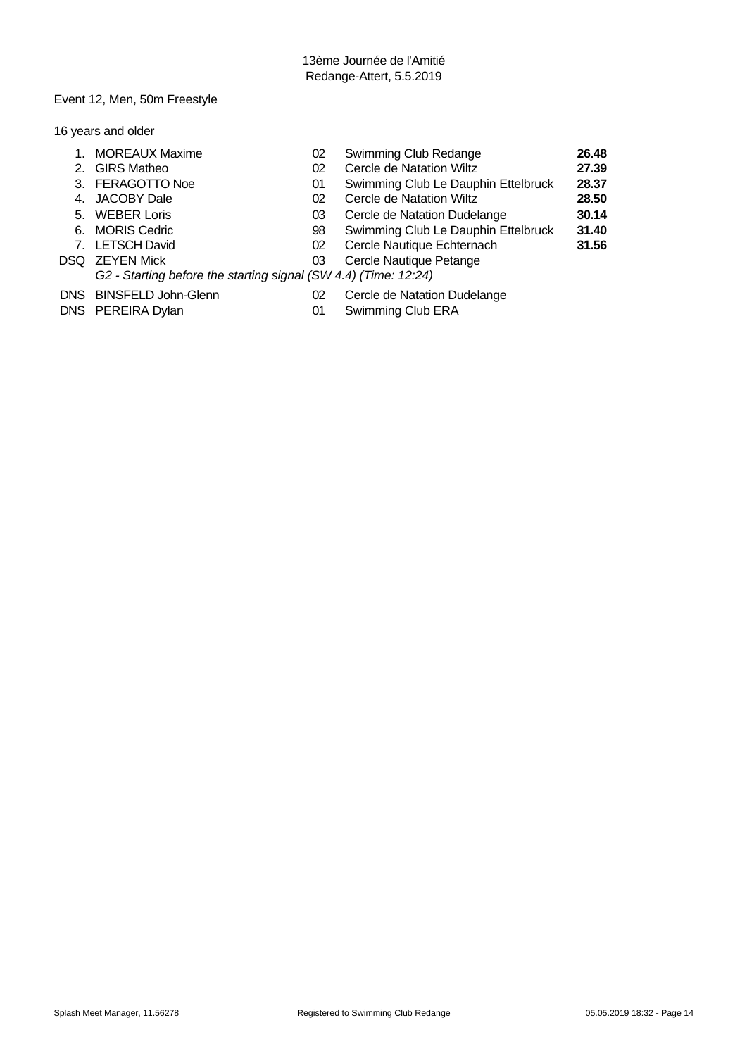# Event 12, Men, 50m Freestyle

|  | 16 years and older |  |  |
|--|--------------------|--|--|
|--|--------------------|--|--|

| <b>MOREAUX Maxime</b>   | 02 | Swimming Club Redange               | 26.48                                                           |
|-------------------------|----|-------------------------------------|-----------------------------------------------------------------|
| 2. GIRS Matheo          | 02 | Cercle de Natation Wiltz            | 27.39                                                           |
| 3. FERAGOTTO Noe        | 01 | Swimming Club Le Dauphin Ettelbruck | 28.37                                                           |
| 4. JACOBY Dale          | 02 | Cercle de Natation Wiltz            | 28.50                                                           |
| 5. WEBER Loris          | 03 | Cercle de Natation Dudelange        | 30.14                                                           |
| 6. MORIS Cedric         | 98 | Swimming Club Le Dauphin Ettelbruck | 31.40                                                           |
| 7. LETSCH David         | 02 | Cercle Nautique Echternach          | 31.56                                                           |
| DSQ ZEYEN Mick          | 03 | Cercle Nautique Petange             |                                                                 |
|                         |    |                                     |                                                                 |
| DNS BINSFELD John-Glenn | 02 | Cercle de Natation Dudelange        |                                                                 |
| DNS PEREIRA Dylan       | 01 | Swimming Club ERA                   |                                                                 |
|                         |    |                                     | G2 - Starting before the starting signal (SW 4.4) (Time: 12:24) |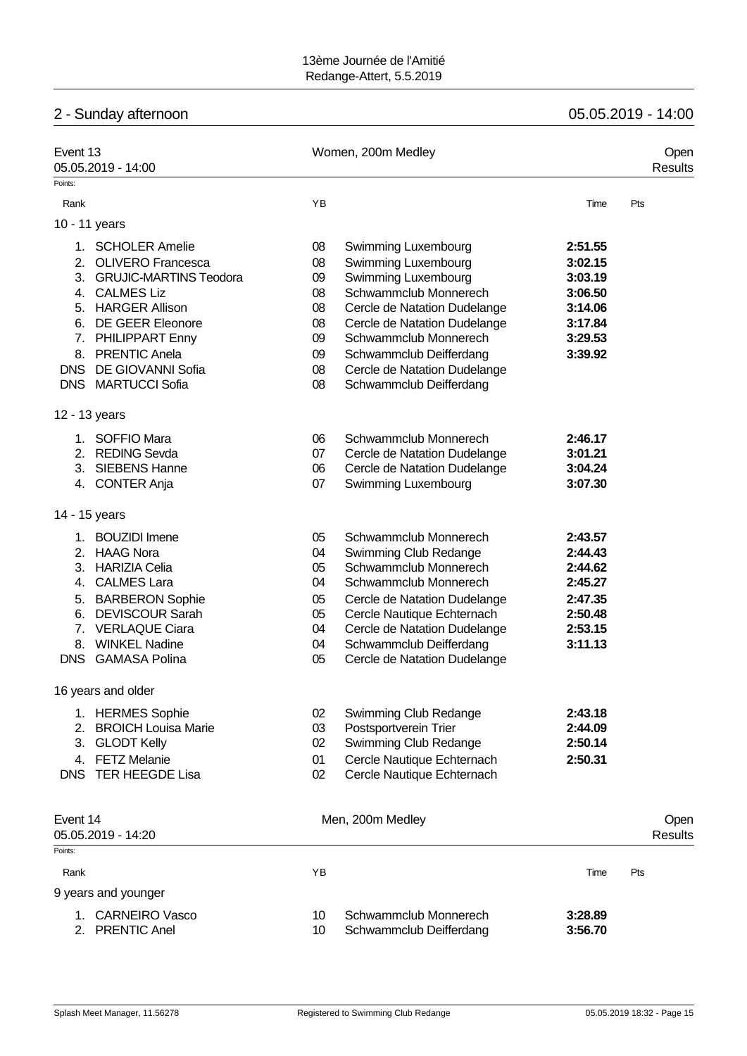# 2 - Sunday afternoon 05.05.2019 - 14:00

| Event 13   | 05.05.2019 - 14:00                       |          | Women, 200m Medley                               |                    | Open<br><b>Results</b> |
|------------|------------------------------------------|----------|--------------------------------------------------|--------------------|------------------------|
| Points:    |                                          |          |                                                  |                    |                        |
| Rank       |                                          | YB       |                                                  | Time               | Pts                    |
|            | 10 - 11 years                            |          |                                                  |                    |                        |
|            |                                          |          |                                                  |                    |                        |
|            | 1. SCHOLER Amelie                        | 08       | Swimming Luxembourg                              | 2:51.55            |                        |
| 2.         | <b>OLIVERO Francesca</b>                 | 08       | Swimming Luxembourg                              | 3:02.15            |                        |
|            | 3. GRUJIC-MARTINS Teodora                | 09       | Swimming Luxembourg                              | 3:03.19            |                        |
|            | 4. CALMES Liz                            | 08       | Schwammclub Monnerech                            | 3:06.50            |                        |
| 5.         | <b>HARGER Allison</b>                    | 08       | Cercle de Natation Dudelange                     | 3:14.06            |                        |
| 6.         | <b>DE GEER Eleonore</b>                  | 08       | Cercle de Natation Dudelange                     | 3:17.84            |                        |
|            | 7. PHILIPPART Enny                       | 09       | Schwammclub Monnerech                            | 3:29.53            |                        |
|            | 8. PRENTIC Anela                         | 09       | Schwammclub Deifferdang                          | 3:39.92            |                        |
| <b>DNS</b> | DE GIOVANNI Sofia                        | 08       | Cercle de Natation Dudelange                     |                    |                        |
| <b>DNS</b> | <b>MARTUCCI Sofia</b>                    | 08       | Schwammclub Deifferdang                          |                    |                        |
|            | 12 - 13 years                            |          |                                                  |                    |                        |
| 1.         | <b>SOFFIO Mara</b>                       | 06       | Schwammclub Monnerech                            | 2:46.17            |                        |
| 2.         | <b>REDING Sevda</b>                      | 07       | Cercle de Natation Dudelange                     | 3:01.21            |                        |
| 3.         | <b>SIEBENS Hanne</b>                     | 06       | Cercle de Natation Dudelange                     | 3:04.24            |                        |
|            | 4. CONTER Anja                           | 07       | Swimming Luxembourg                              | 3:07.30            |                        |
|            | 14 - 15 years                            |          |                                                  |                    |                        |
| 1.         | <b>BOUZIDI</b> Imene                     | 05       | Schwammclub Monnerech                            | 2:43.57            |                        |
| 2.         | <b>HAAG Nora</b>                         | 04       | Swimming Club Redange                            | 2:44.43            |                        |
| 3.         | <b>HARIZIA Celia</b>                     | 05       | Schwammclub Monnerech                            | 2:44.62            |                        |
|            | 4. CALMES Lara                           | 04       | Schwammclub Monnerech                            | 2:45.27            |                        |
| 5.         | <b>BARBERON Sophie</b>                   | 05       | Cercle de Natation Dudelange                     | 2:47.35            |                        |
| 6.         | <b>DEVISCOUR Sarah</b>                   | 05       | Cercle Nautique Echternach                       | 2:50.48            |                        |
| 7.         | <b>VERLAQUE Ciara</b>                    | 04       | Cercle de Natation Dudelange                     | 2:53.15            |                        |
| 8.         | <b>WINKEL Nadine</b>                     | 04       | Schwammclub Deifferdang                          | 3:11.13            |                        |
| <b>DNS</b> | <b>GAMASA Polina</b>                     | 05       | Cercle de Natation Dudelange                     |                    |                        |
|            | 16 years and older                       |          |                                                  |                    |                        |
|            | 1. HERMES Sophie                         | 02       | Swimming Club Redange                            | 2:43.18            |                        |
| 2.         | <b>BROICH Louisa Marie</b>               | 03       | Postsportverein Trier                            | 2:44.09            |                        |
| 3.         | <b>GLODT Kelly</b>                       | 02       | Swimming Club Redange                            | 2:50.14            |                        |
| 4.         | <b>FETZ Melanie</b>                      | 01       | Cercle Nautique Echternach                       | 2:50.31            |                        |
| <b>DNS</b> | <b>TER HEEGDE Lisa</b>                   | 02       | Cercle Nautique Echternach                       |                    |                        |
|            |                                          |          |                                                  |                    |                        |
| Event 14   |                                          |          | Men, 200m Medley                                 |                    | Open                   |
| Points:    | 05.05.2019 - 14:20                       |          |                                                  |                    | <b>Results</b>         |
| Rank       |                                          | YB       |                                                  | Time               | Pts                    |
|            | 9 years and younger                      |          |                                                  |                    |                        |
|            |                                          |          |                                                  |                    |                        |
| 2.         | 1. CARNEIRO Vasco<br><b>PRENTIC Anel</b> | 10<br>10 | Schwammclub Monnerech<br>Schwammclub Deifferdang | 3:28.89<br>3:56.70 |                        |
|            |                                          |          |                                                  |                    |                        |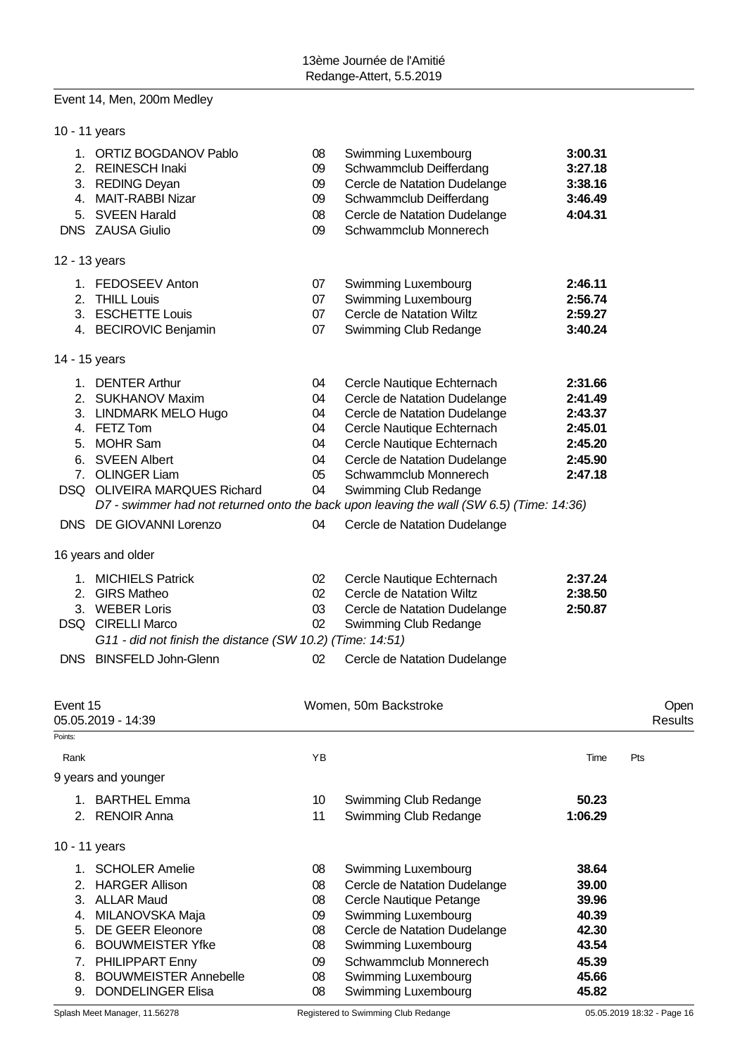# Event 14, Men, 200m Medley

|                     | 10 - 11 years                                                                                                                                                                             |                                              |                                                                                                                                                                                                                                                                                                                                      |                                                                           |                 |
|---------------------|-------------------------------------------------------------------------------------------------------------------------------------------------------------------------------------------|----------------------------------------------|--------------------------------------------------------------------------------------------------------------------------------------------------------------------------------------------------------------------------------------------------------------------------------------------------------------------------------------|---------------------------------------------------------------------------|-----------------|
| 4.<br>5.            | 1. ORTIZ BOGDANOV Pablo<br>2. REINESCH Inaki<br>3. REDING Deyan<br><b>MAIT-RABBI Nizar</b><br><b>SVEEN Harald</b><br>DNS ZAUSA Giulio                                                     | 08<br>09<br>09<br>09<br>08<br>09             | Swimming Luxembourg<br>Schwammclub Deifferdang<br>Cercle de Natation Dudelange<br>Schwammclub Deifferdang<br>Cercle de Natation Dudelange<br>Schwammclub Monnerech                                                                                                                                                                   | 3:00.31<br>3:27.18<br>3:38.16<br>3:46.49<br>4:04.31                       |                 |
|                     | 12 - 13 years                                                                                                                                                                             |                                              |                                                                                                                                                                                                                                                                                                                                      |                                                                           |                 |
| 2.                  | 1. FEDOSEEV Anton<br><b>THILL Louis</b><br>3. ESCHETTE Louis<br>4. BECIROVIC Benjamin                                                                                                     | 07<br>07<br>07<br>07                         | Swimming Luxembourg<br>Swimming Luxembourg<br>Cercle de Natation Wiltz<br>Swimming Club Redange                                                                                                                                                                                                                                      | 2:46.11<br>2:56.74<br>2:59.27<br>3:40.24                                  |                 |
|                     | 14 - 15 years                                                                                                                                                                             |                                              |                                                                                                                                                                                                                                                                                                                                      |                                                                           |                 |
|                     | 1. DENTER Arthur<br>2. SUKHANOV Maxim<br>3. LINDMARK MELO Hugo<br>4. FETZ Tom<br>5. MOHR Sam<br>6. SVEEN Albert<br>7. OLINGER Liam<br>DSQ OLIVEIRA MARQUES Richard                        | 04<br>04<br>04<br>04<br>04<br>04<br>05<br>04 | Cercle Nautique Echternach<br>Cercle de Natation Dudelange<br>Cercle de Natation Dudelange<br>Cercle Nautique Echternach<br>Cercle Nautique Echternach<br>Cercle de Natation Dudelange<br>Schwammclub Monnerech<br>Swimming Club Redange<br>D7 - swimmer had not returned onto the back upon leaving the wall (SW 6.5) (Time: 14:36) | 2:31.66<br>2:41.49<br>2:43.37<br>2:45.01<br>2:45.20<br>2:45.90<br>2:47.18 |                 |
|                     | DNS DE GIOVANNI Lorenzo                                                                                                                                                                   | 04                                           | Cercle de Natation Dudelange                                                                                                                                                                                                                                                                                                         |                                                                           |                 |
|                     | 16 years and older                                                                                                                                                                        |                                              |                                                                                                                                                                                                                                                                                                                                      |                                                                           |                 |
|                     | 1. MICHIELS Patrick<br>2. GIRS Matheo<br>3. WEBER Loris<br>DSQ CIRELLI Marco<br>G11 - did not finish the distance (SW 10.2) (Time: 14:51)<br>DNS BINSFELD John-Glenn                      | 02<br>02<br>03<br>02<br>02                   | Cercle Nautique Echternach<br>Cercle de Natation Wiltz<br>Cercle de Natation Dudelange<br>Swimming Club Redange<br>Cercle de Natation Dudelange                                                                                                                                                                                      | 2:37.24<br>2:38.50<br>2:50.87                                             |                 |
| Event 15<br>Points: | 05.05.2019 - 14:39                                                                                                                                                                        |                                              | Women, 50m Backstroke                                                                                                                                                                                                                                                                                                                |                                                                           | Open<br>Results |
| Rank                |                                                                                                                                                                                           | YB                                           |                                                                                                                                                                                                                                                                                                                                      | Time                                                                      | Pts             |
|                     | 9 years and younger                                                                                                                                                                       |                                              |                                                                                                                                                                                                                                                                                                                                      |                                                                           |                 |
| 2.                  | 1. BARTHEL Emma<br><b>RENOIR Anna</b>                                                                                                                                                     | 10<br>11                                     | Swimming Club Redange<br>Swimming Club Redange                                                                                                                                                                                                                                                                                       | 50.23<br>1:06.29                                                          |                 |
|                     | 10 - 11 years                                                                                                                                                                             |                                              |                                                                                                                                                                                                                                                                                                                                      |                                                                           |                 |
| 1.<br>2.<br>5.      | <b>SCHOLER Amelie</b><br><b>HARGER Allison</b><br>3. ALLAR Maud<br>4. MILANOVSKA Maja<br><b>DE GEER Eleonore</b><br>6. BOUWMEISTER Yfke<br>7. PHILIPPART Enny<br>8. BOUWMEISTER Annebelle | 08<br>08<br>08<br>09<br>08<br>08<br>09<br>08 | Swimming Luxembourg<br>Cercle de Natation Dudelange<br>Cercle Nautique Petange<br>Swimming Luxembourg<br>Cercle de Natation Dudelange<br>Swimming Luxembourg<br>Schwammclub Monnerech<br>Swimming Luxembourg                                                                                                                         | 38.64<br>39.00<br>39.96<br>40.39<br>42.30<br>43.54<br>45.39<br>45.66      |                 |
| 9.                  | <b>DONDELINGER Elisa</b>                                                                                                                                                                  | 08                                           | Swimming Luxembourg                                                                                                                                                                                                                                                                                                                  | 45.82                                                                     |                 |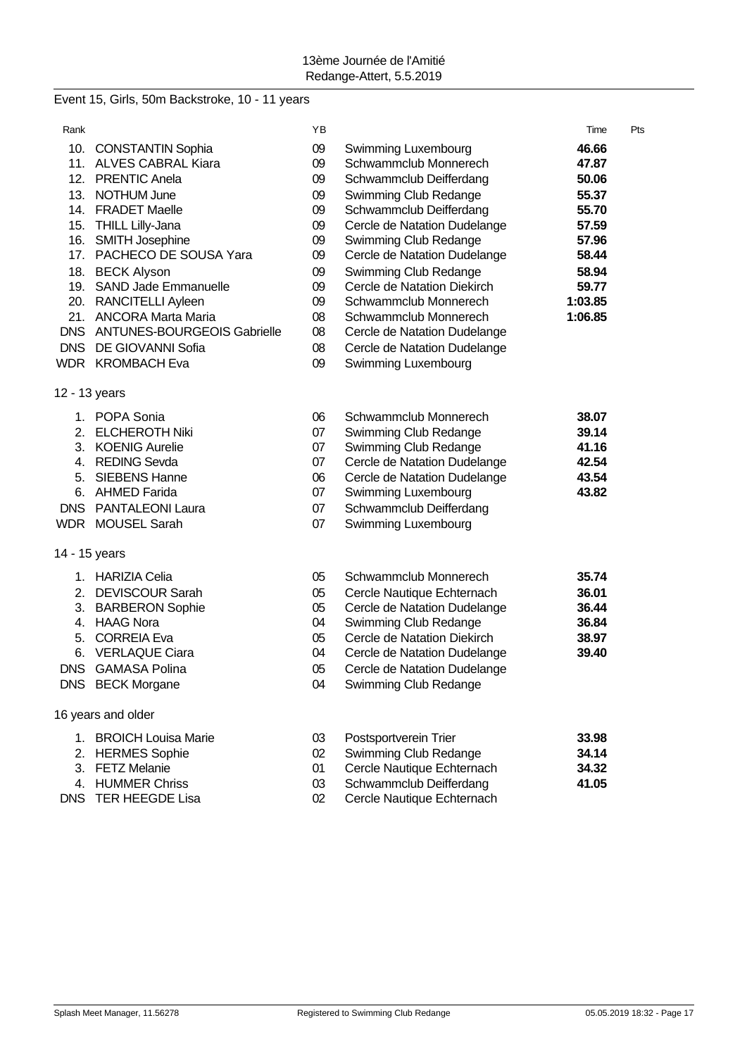# Event 15, Girls, 50m Backstroke, 10 - 11 years

| Rank |                                 | ΥB |                              | Time    | Pts |
|------|---------------------------------|----|------------------------------|---------|-----|
|      | 10. CONSTANTIN Sophia           | 09 | Swimming Luxembourg          | 46.66   |     |
|      | 11. ALVES CABRAL Kiara          | 09 | Schwammclub Monnerech        | 47.87   |     |
|      | 12. PRENTIC Anela               | 09 | Schwammclub Deifferdang      | 50.06   |     |
|      | 13. NOTHUM June                 | 09 | Swimming Club Redange        | 55.37   |     |
|      | 14. FRADET Maelle               | 09 | Schwammclub Deifferdang      | 55.70   |     |
| 15.  | THILL Lilly-Jana                | 09 | Cercle de Natation Dudelange | 57.59   |     |
|      | 16. SMITH Josephine             | 09 | Swimming Club Redange        | 57.96   |     |
|      | 17. PACHECO DE SOUSA Yara       | 09 | Cercle de Natation Dudelange | 58.44   |     |
|      | 18. BECK Alyson                 | 09 | Swimming Club Redange        | 58.94   |     |
|      | 19. SAND Jade Emmanuelle        | 09 | Cercle de Natation Diekirch  | 59.77   |     |
|      | 20. RANCITELLI Ayleen           | 09 | Schwammclub Monnerech        | 1:03.85 |     |
|      | 21. ANCORA Marta Maria          | 08 | Schwammclub Monnerech        | 1:06.85 |     |
|      | DNS ANTUNES-BOURGEOIS Gabrielle | 08 | Cercle de Natation Dudelange |         |     |
|      | DNS DE GIOVANNI Sofia           | 08 | Cercle de Natation Dudelange |         |     |
|      | WDR KROMBACH Eva                | 09 | Swimming Luxembourg          |         |     |
|      | 12 - 13 years                   |    |                              |         |     |
|      | 1. POPA Sonia                   | 06 | Schwammclub Monnerech        | 38.07   |     |
|      | 2. ELCHEROTH Niki               | 07 | Swimming Club Redange        | 39.14   |     |
|      | 3. KOENIG Aurelie               | 07 | Swimming Club Redange        | 41.16   |     |
|      | 4. REDING Sevda                 | 07 | Cercle de Natation Dudelange | 42.54   |     |
| 5.   | <b>SIEBENS Hanne</b>            | 06 | Cercle de Natation Dudelange | 43.54   |     |
|      | 6. AHMED Farida                 | 07 | Swimming Luxembourg          | 43.82   |     |
|      | DNS PANTALEONI Laura            | 07 | Schwammclub Deifferdang      |         |     |
|      | WDR MOUSEL Sarah                | 07 | Swimming Luxembourg          |         |     |
|      | 14 - 15 years                   |    |                              |         |     |
|      | 1. HARIZIA Celia                | 05 | Schwammclub Monnerech        | 35.74   |     |
| 2.   | <b>DEVISCOUR Sarah</b>          | 05 | Cercle Nautique Echternach   | 36.01   |     |
|      | 3. BARBERON Sophie              | 05 | Cercle de Natation Dudelange | 36.44   |     |
|      | 4. HAAG Nora                    | 04 | Swimming Club Redange        | 36.84   |     |
| 5.   | <b>CORREIA Eva</b>              | 05 | Cercle de Natation Diekirch  | 38.97   |     |
| 6.   | <b>VERLAQUE Ciara</b>           | 04 | Cercle de Natation Dudelange | 39.40   |     |
|      | <b>DNS</b> GAMASA Polina        | 05 | Cercle de Natation Dudelange |         |     |
|      | DNS BECK Morgane                | 04 | Swimming Club Redange        |         |     |
|      | 16 years and older              |    |                              |         |     |
| 1.   | <b>BROICH Louisa Marie</b>      | 03 | Postsportverein Trier        | 33.98   |     |
|      | 2. HERMES Sophie                | 02 | Swimming Club Redange        | 34.14   |     |
|      | 3. FETZ Melanie                 | 01 | Cercle Nautique Echternach   | 34.32   |     |
|      | 4. HUMMER Chriss                | 03 | Schwammclub Deifferdang      | 41.05   |     |

- 
- 
- 
- 4. HUMMER Chriss 03 Schwammclub Deifferdang<br>DNS TER HEEGDE Lisa 02 Cercle Nautique Echternac 02 Cercle Nautique Echternach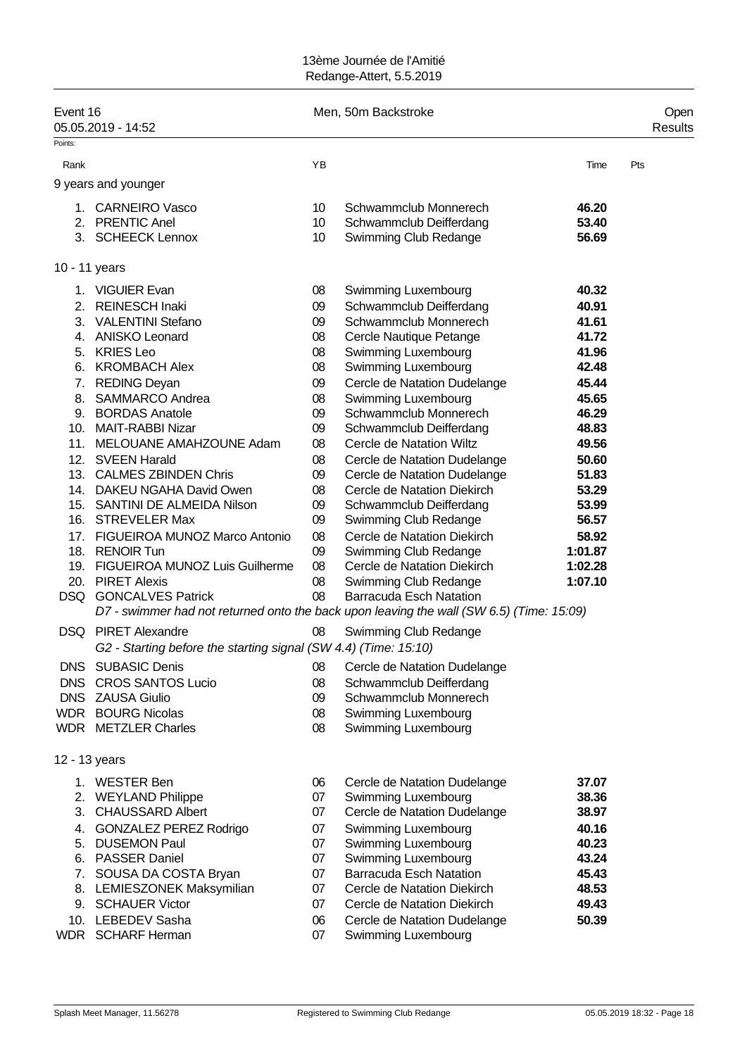| Event 16      | 05.05.2019 - 14:52                                                                       |          | Men, 50m Backstroke                                          |                | Open<br>Results |
|---------------|------------------------------------------------------------------------------------------|----------|--------------------------------------------------------------|----------------|-----------------|
| Points:       |                                                                                          |          |                                                              |                |                 |
| Rank          |                                                                                          | YB       |                                                              | Time           | Pts             |
|               | 9 years and younger                                                                      |          |                                                              |                |                 |
| 1.            | <b>CARNEIRO Vasco</b>                                                                    | 10       | Schwammclub Monnerech                                        | 46.20          |                 |
|               | 2. PRENTIC Anel                                                                          | 10       | Schwammclub Deifferdang                                      | 53.40          |                 |
|               | 3. SCHEECK Lennox                                                                        | 10       | Swimming Club Redange                                        | 56.69          |                 |
|               |                                                                                          |          |                                                              |                |                 |
| 10 - 11 years |                                                                                          |          |                                                              |                |                 |
|               | 1. VIGUIER Evan                                                                          | 08       | Swimming Luxembourg                                          | 40.32          |                 |
| 2.            | <b>REINESCH Inaki</b>                                                                    | 09       | Schwammclub Deifferdang                                      | 40.91          |                 |
|               | 3. VALENTINI Stefano                                                                     | 09       | Schwammclub Monnerech                                        | 41.61          |                 |
|               | 4. ANISKO Leonard                                                                        | 08       | Cercle Nautique Petange                                      | 41.72          |                 |
|               | 5. KRIES Leo                                                                             | 08       | Swimming Luxembourg                                          | 41.96          |                 |
|               | 6. KROMBACH Alex                                                                         | 08       | Swimming Luxembourg                                          | 42.48          |                 |
|               | 7. REDING Deyan                                                                          | 09       | Cercle de Natation Dudelange                                 | 45.44          |                 |
|               | 8. SAMMARCO Andrea                                                                       | 08       | Swimming Luxembourg                                          | 45.65          |                 |
|               | 9. BORDAS Anatole                                                                        | 09       | Schwammclub Monnerech                                        | 46.29          |                 |
|               | 10. MAIT-RABBI Nizar                                                                     | 09       | Schwammclub Deifferdang<br>Cercle de Natation Wiltz          | 48.83          |                 |
|               | 11. MELOUANE AMAHZOUNE Adam<br>12. SVEEN Harald                                          | 08       |                                                              | 49.56          |                 |
|               | 13. CALMES ZBINDEN Chris                                                                 | 08<br>09 | Cercle de Natation Dudelange<br>Cercle de Natation Dudelange | 50.60<br>51.83 |                 |
|               | 14. DAKEU NGAHA David Owen                                                               | 08       | Cercle de Natation Diekirch                                  | 53.29          |                 |
|               | 15. SANTINI DE ALMEIDA Nilson                                                            | 09       | Schwammclub Deifferdang                                      | 53.99          |                 |
|               | 16. STREVELER Max                                                                        | 09       | Swimming Club Redange                                        | 56.57          |                 |
| 17.           | FIGUEIROA MUNOZ Marco Antonio                                                            | 08       | Cercle de Natation Diekirch                                  | 58.92          |                 |
| 18.           | <b>RENOIR Tun</b>                                                                        | 09       | Swimming Club Redange                                        | 1:01.87        |                 |
|               | 19. FIGUEIROA MUNOZ Luis Guilherme                                                       | 08       | Cercle de Natation Diekirch                                  | 1:02.28        |                 |
|               | 20. PIRET Alexis                                                                         | 08       | Swimming Club Redange                                        | 1:07.10        |                 |
|               | DSQ GONCALVES Patrick                                                                    | 08       | <b>Barracuda Esch Natation</b>                               |                |                 |
|               | D7 - swimmer had not returned onto the back upon leaving the wall (SW 6.5) (Time: 15:09) |          |                                                              |                |                 |
|               | <b>DSQ</b> PIRET Alexandre                                                               | 08       | Swimming Club Redange                                        |                |                 |
|               | G2 - Starting before the starting signal (SW 4.4) (Time: 15:10)                          |          |                                                              |                |                 |
|               | DNS SUBASIC Denis                                                                        | 08       | Cercle de Natation Dudelange                                 |                |                 |
|               | DNS CROS SANTOS Lucio                                                                    | 08       | Schwammclub Deifferdang                                      |                |                 |
|               | DNS ZAUSA Giulio                                                                         | 09       | Schwammclub Monnerech                                        |                |                 |
|               | <b>WDR</b> BOURG Nicolas                                                                 | 08       | Swimming Luxembourg                                          |                |                 |
|               | <b>WDR</b> METZLER Charles                                                               | 08       | Swimming Luxembourg                                          |                |                 |
| 12 - 13 years |                                                                                          |          |                                                              |                |                 |
|               | 1. WESTER Ben                                                                            | 06       | Cercle de Natation Dudelange                                 | 37.07          |                 |
|               | 2. WEYLAND Philippe                                                                      | 07       | Swimming Luxembourg                                          | 38.36          |                 |
| 3.            | <b>CHAUSSARD Albert</b>                                                                  | 07       | Cercle de Natation Dudelange                                 | 38.97          |                 |
|               | 4. GONZALEZ PEREZ Rodrigo                                                                | 07       | Swimming Luxembourg                                          | 40.16          |                 |
|               | 5. DUSEMON Paul                                                                          | 07       | Swimming Luxembourg                                          | 40.23          |                 |
|               | 6. PASSER Daniel                                                                         | 07       | Swimming Luxembourg                                          | 43.24          |                 |
|               | 7. SOUSA DA COSTA Bryan                                                                  | 07       | <b>Barracuda Esch Natation</b>                               | 45.43          |                 |
|               | 8. LEMIESZONEK Maksymilian                                                               | 07       | Cercle de Natation Diekirch                                  | 48.53          |                 |
|               | 9. SCHAUER Victor                                                                        | 07       | Cercle de Natation Diekirch                                  | 49.43          |                 |
|               | 10. LEBEDEV Sasha                                                                        | 06       | Cercle de Natation Dudelange                                 | 50.39          |                 |
|               | WDR SCHARF Herman                                                                        | 07       | Swimming Luxembourg                                          |                |                 |
|               |                                                                                          |          |                                                              |                |                 |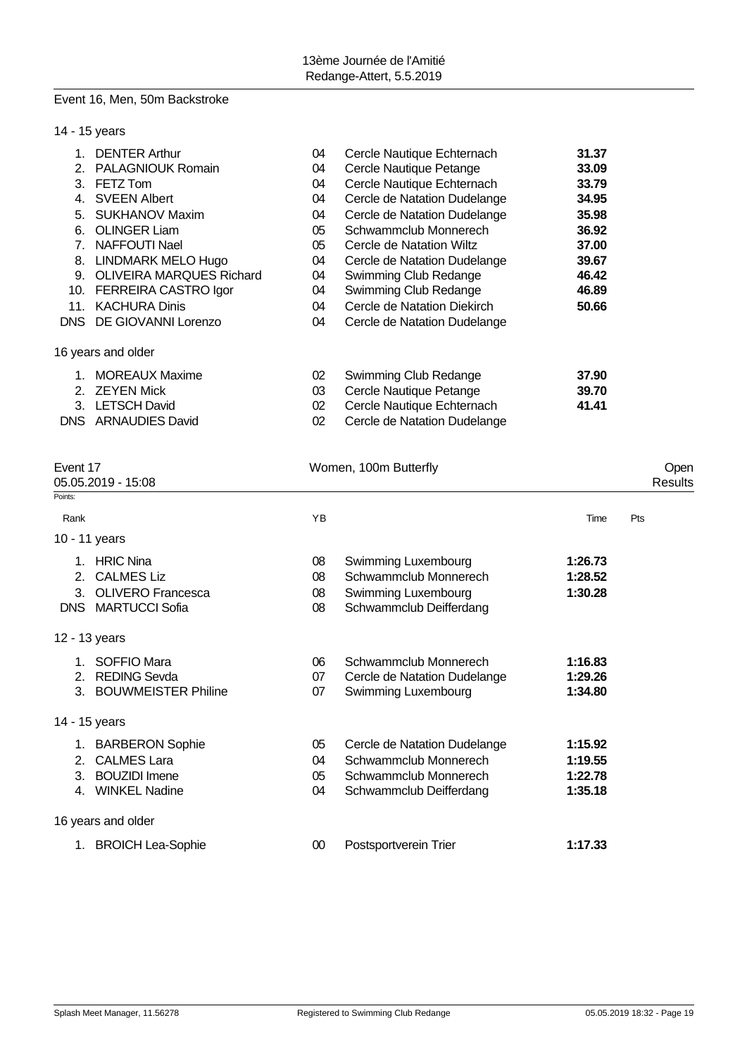# Event 16, Men, 50m Backstroke

|       | 14 - 15 years                   |    |                              |       |
|-------|---------------------------------|----|------------------------------|-------|
| 1.    | <b>DENTER Arthur</b>            | 04 | Cercle Nautique Echternach   | 31.37 |
| $2 -$ | <b>PALAGNIOUK Romain</b>        | 04 | Cercle Nautique Petange      | 33.09 |
| 3.    | FETZ Tom                        | 04 | Cercle Nautique Echternach   | 33.79 |
| 4.    | <b>SVEEN Albert</b>             | 04 | Cercle de Natation Dudelange | 34.95 |
| 5.    | <b>SUKHANOV Maxim</b>           | 04 | Cercle de Natation Dudelange | 35.98 |
| 6.    | <b>OLINGER Liam</b>             | 05 | Schwammclub Monnerech        | 36.92 |
| 7.    | <b>NAFFOUTI Nael</b>            | 05 | Cercle de Natation Wiltz     | 37.00 |
| 8.    | <b>LINDMARK MELO Hugo</b>       | 04 | Cercle de Natation Dudelange | 39.67 |
| 9.    | <b>OLIVEIRA MARQUES Richard</b> | 04 | Swimming Club Redange        | 46.42 |
|       | 10. FERREIRA CASTRO Igor        | 04 | Swimming Club Redange        | 46.89 |
| 11.   | <b>KACHURA Dinis</b>            | 04 | Cercle de Natation Diekirch  | 50.66 |
| DNS . | DE GIOVANNI Lorenzo             | 04 | Cercle de Natation Dudelange |       |
|       | 16 years and older              |    |                              |       |
| 1.    | <b>MOREAUX Maxime</b>           | 02 | Swimming Club Redange        | 37.90 |
|       | 2. ZEYEN Mick                   | 03 | Cercle Nautique Petange      | 39.70 |
|       | 3. LETSCH David                 | 02 | Cercle Nautique Echternach   | 41.41 |
|       | DNS ARNAUDIES David             | 02 | Cercle de Natation Dudelange |       |

| Event 17<br>05.05.2019 - 15:08 |                           |    | Women, 100m Butterfly        |         |     |  |  |
|--------------------------------|---------------------------|----|------------------------------|---------|-----|--|--|
| Points:                        |                           |    |                              |         |     |  |  |
| Rank                           |                           | YB |                              | Time    | Pts |  |  |
|                                | 10 - 11 years             |    |                              |         |     |  |  |
|                                | 1. HRIC Nina              | 08 | Swimming Luxembourg          | 1:26.73 |     |  |  |
| 2.                             | <b>CALMES Liz</b>         | 08 | Schwammclub Monnerech        | 1:28.52 |     |  |  |
| 3.                             | <b>OLIVERO</b> Francesca  | 08 | Swimming Luxembourg          | 1:30.28 |     |  |  |
|                                | <b>DNS MARTUCCI Sofia</b> | 08 | Schwammclub Deifferdang      |         |     |  |  |
|                                | 12 - 13 years             |    |                              |         |     |  |  |
| 1.                             | SOFFIO Mara               | 06 | Schwammclub Monnerech        | 1:16.83 |     |  |  |
| 2.                             | <b>REDING Sevda</b>       | 07 | Cercle de Natation Dudelange | 1:29.26 |     |  |  |
|                                | 3. BOUWMEISTER Philine    | 07 | Swimming Luxembourg          | 1:34.80 |     |  |  |
|                                | 14 - 15 years             |    |                              |         |     |  |  |
|                                | 1. BARBERON Sophie        | 05 | Cercle de Natation Dudelange | 1:15.92 |     |  |  |
| 2.                             | <b>CALMES Lara</b>        | 04 | Schwammclub Monnerech        | 1:19.55 |     |  |  |
|                                | 3. BOUZIDI Imene          | 05 | Schwammclub Monnerech        | 1:22.78 |     |  |  |
|                                | 4. WINKEL Nadine          | 04 | Schwammclub Deifferdang      | 1:35.18 |     |  |  |
|                                | 16 years and older        |    |                              |         |     |  |  |
|                                | 1. BROICH Lea-Sophie      | 00 | Postsportverein Trier        | 1:17.33 |     |  |  |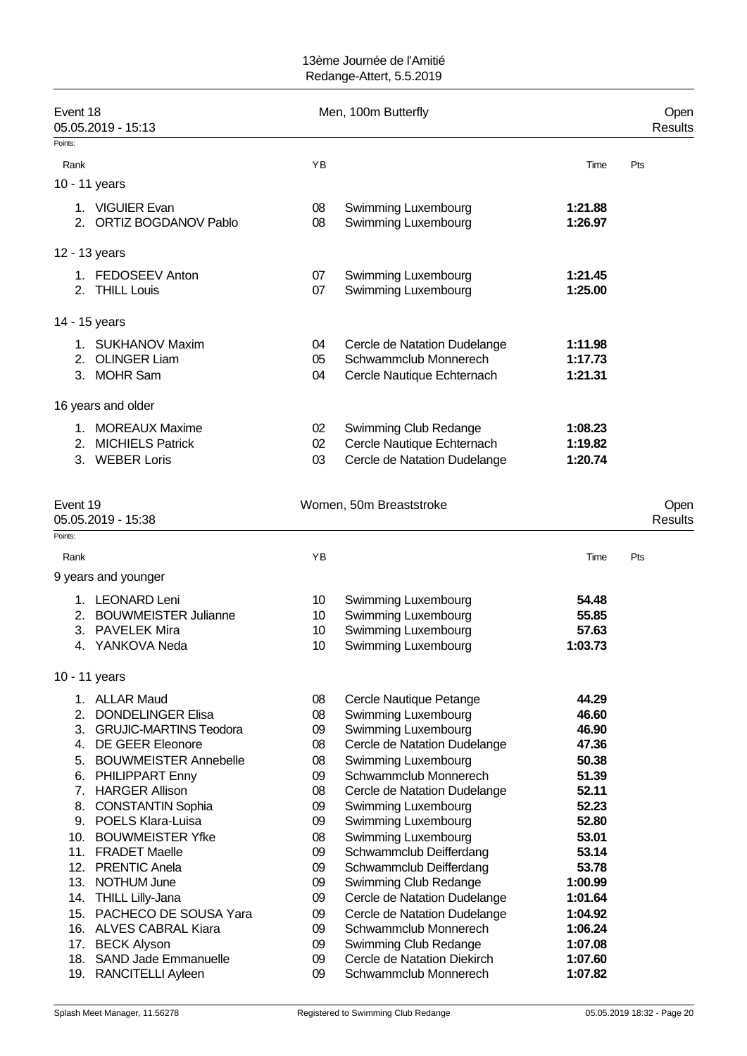| Event 18<br>05.05.2019 - 15:13                        |          | Men, 100m Butterfly                                  |                    | Open<br><b>Results</b> |
|-------------------------------------------------------|----------|------------------------------------------------------|--------------------|------------------------|
| Points:                                               |          |                                                      |                    |                        |
| Rank                                                  | YB       |                                                      | Time               | Pts                    |
| 10 - 11 years                                         |          |                                                      |                    |                        |
| 1. VIGUIER Evan<br>2. ORTIZ BOGDANOV Pablo            | 08<br>08 | Swimming Luxembourg<br>Swimming Luxembourg           | 1:21.88<br>1:26.97 |                        |
| 12 - 13 years                                         |          |                                                      |                    |                        |
| 1. FEDOSEEV Anton                                     | 07       | <b>Swimming Luxembourg</b>                           | 1:21.45            |                        |
| 2. THILL Louis                                        | 07       | Swimming Luxembourg                                  | 1:25.00            |                        |
| 14 - 15 years                                         |          |                                                      |                    |                        |
| 1. SUKHANOV Maxim                                     | 04       | Cercle de Natation Dudelange                         | 1:11.98            |                        |
| 2. OLINGER Liam                                       | 05       | Schwammclub Monnerech                                | 1:17.73            |                        |
| 3. MOHR Sam                                           | 04       | Cercle Nautique Echternach                           | 1:21.31            |                        |
| 16 years and older                                    |          |                                                      |                    |                        |
| 1. MOREAUX Maxime                                     | 02       | Swimming Club Redange                                | 1:08.23            |                        |
| 2. MICHIELS Patrick                                   | 02       | Cercle Nautique Echternach                           | 1:19.82            |                        |
| 3. WEBER Loris                                        | 03       | Cercle de Natation Dudelange                         | 1:20.74            |                        |
| Event 19<br>05.05.2019 - 15:38                        |          | Women, 50m Breaststroke                              |                    | Open<br><b>Results</b> |
| Points:<br>Rank                                       | ΥB       |                                                      | Time               | Pts                    |
| 9 years and younger                                   |          |                                                      |                    |                        |
|                                                       |          |                                                      |                    |                        |
| 1. LEONARD Leni<br>2. BOUWMEISTER Julianne            | 10<br>10 | Swimming Luxembourg<br>Swimming Luxembourg           | 54.48<br>55.85     |                        |
| <b>PAVELEK Mira</b><br>3.                             | 10       | Swimming Luxembourg                                  | 57.63              |                        |
| 4. YANKOVA Neda                                       | 10       | Swimming Luxembourg                                  | 1:03.73            |                        |
| 10 - 11 years                                         |          |                                                      |                    |                        |
| 1. ALLAR Maud                                         | 08       | Cercle Nautique Petange                              | 44.29              |                        |
| <b>DONDELINGER Elisa</b><br>2.                        | 08       | Swimming Luxembourg                                  | 46.60              |                        |
| <b>GRUJIC-MARTINS Teodora</b><br>3.                   | 09       | Swimming Luxembourg                                  | 46.90              |                        |
| 4. DE GEER Eleonore                                   | 08       | Cercle de Natation Dudelange                         | 47.36              |                        |
| <b>BOUWMEISTER Annebelle</b><br>5.                    | 08       | Swimming Luxembourg                                  | 50.38              |                        |
| PHILIPPART Enny<br>6.<br>7. HARGER Allison            | 09       | Schwammclub Monnerech                                | 51.39<br>52.11     |                        |
| <b>CONSTANTIN Sophia</b><br>8.                        | 08<br>09 | Cercle de Natation Dudelange<br>Swimming Luxembourg  | 52.23              |                        |
| 9. POELS Klara-Luisa                                  | 09       | Swimming Luxembourg                                  | 52.80              |                        |
| 10. BOUWMEISTER Yfke                                  | 08       | Swimming Luxembourg                                  | 53.01              |                        |
| 11. FRADET Maelle                                     | 09       | Schwammclub Deifferdang                              | 53.14              |                        |
| 12. PRENTIC Anela                                     | 09       | Schwammclub Deifferdang                              | 53.78              |                        |
| 13. NOTHUM June                                       | 09       | Swimming Club Redange                                | 1:00.99            |                        |
| 14. THILL Lilly-Jana                                  | 09       | Cercle de Natation Dudelange                         | 1:01.64            |                        |
| PACHECO DE SOUSA Yara<br>15.                          | 09       | Cercle de Natation Dudelange                         | 1:04.92            |                        |
| 16. ALVES CABRAL Kiara                                | 09       | Schwammclub Monnerech                                | 1:06.24            |                        |
| 17. BECK Alyson<br><b>SAND Jade Emmanuelle</b><br>18. | 09<br>09 | Swimming Club Redange<br>Cercle de Natation Diekirch | 1:07.08<br>1:07.60 |                        |
| RANCITELLI Ayleen<br>19.                              | 09       | Schwammclub Monnerech                                | 1:07.82            |                        |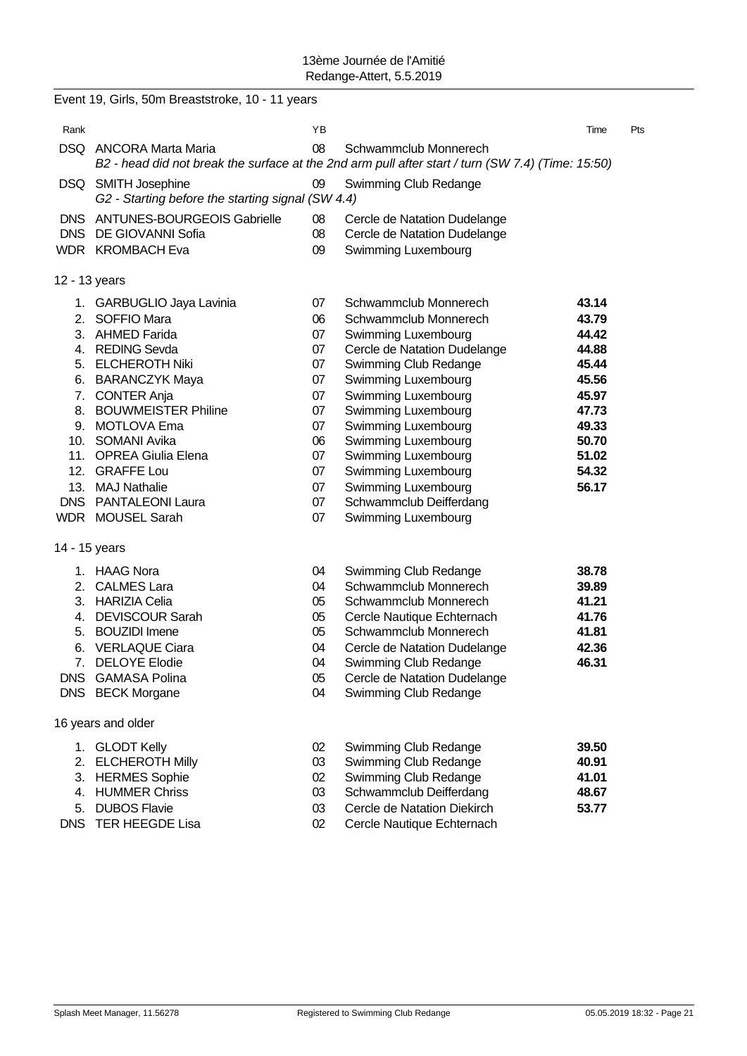|            | Event 19, Girls, 50m Breaststroke, 10 - 11 years                         |          |                                                                                                                            |                |     |
|------------|--------------------------------------------------------------------------|----------|----------------------------------------------------------------------------------------------------------------------------|----------------|-----|
| Rank       |                                                                          | ΥB       |                                                                                                                            | Time           | Pts |
|            | DSQ ANCORA Marta Maria                                                   | 08       | Schwammclub Monnerech<br>B2 - head did not break the surface at the 2nd arm pull after start / turn (SW 7.4) (Time: 15:50) |                |     |
|            | DSQ SMITH Josephine<br>G2 - Starting before the starting signal (SW 4.4) | 09       | Swimming Club Redange                                                                                                      |                |     |
| DNS.       | <b>ANTUNES-BOURGEOIS Gabrielle</b>                                       | 08       | Cercle de Natation Dudelange                                                                                               |                |     |
|            | DNS DE GIOVANNI Sofia                                                    | 08       | Cercle de Natation Dudelange                                                                                               |                |     |
|            | WDR KROMBACH Eva                                                         | 09       | <b>Swimming Luxembourg</b>                                                                                                 |                |     |
|            | 12 - 13 years                                                            |          |                                                                                                                            |                |     |
|            | 1. GARBUGLIO Jaya Lavinia                                                | 07       | Schwammclub Monnerech                                                                                                      | 43.14          |     |
|            | 2. SOFFIO Mara                                                           | 06       | Schwammclub Monnerech                                                                                                      | 43.79          |     |
|            | 3. AHMED Farida                                                          | 07       | Swimming Luxembourg                                                                                                        | 44.42          |     |
|            | 4. REDING Sevda                                                          | 07       | Cercle de Natation Dudelange                                                                                               | 44.88          |     |
|            | 5. ELCHEROTH Niki                                                        | 07       | Swimming Club Redange                                                                                                      | 45.44          |     |
|            | 6. BARANCZYK Maya                                                        | 07       | Swimming Luxembourg                                                                                                        | 45.56          |     |
|            | 7. CONTER Anja                                                           | 07       | Swimming Luxembourg                                                                                                        | 45.97          |     |
|            | 8. BOUWMEISTER Philine                                                   | 07       | Swimming Luxembourg                                                                                                        | 47.73          |     |
|            | 9. MOTLOVA Ema<br>10. SOMANI Avika                                       | 07<br>06 | Swimming Luxembourg<br>Swimming Luxembourg                                                                                 | 49.33<br>50.70 |     |
|            | 11. OPREA Giulia Elena                                                   | 07       | Swimming Luxembourg                                                                                                        | 51.02          |     |
|            | 12. GRAFFE Lou                                                           | 07       | Swimming Luxembourg                                                                                                        | 54.32          |     |
|            | 13. MAJ Nathalie                                                         | 07       | Swimming Luxembourg                                                                                                        | 56.17          |     |
|            | DNS PANTALEONI Laura                                                     | 07       | Schwammclub Deifferdang                                                                                                    |                |     |
|            | WDR MOUSEL Sarah                                                         | 07       | Swimming Luxembourg                                                                                                        |                |     |
|            | 14 - 15 years                                                            |          |                                                                                                                            |                |     |
|            | 1. HAAG Nora                                                             | 04       | Swimming Club Redange                                                                                                      | 38.78          |     |
|            | 2. CALMES Lara                                                           | 04       | Schwammclub Monnerech                                                                                                      | 39.89          |     |
|            | 3. HARIZIA Celia                                                         | 05       | Schwammclub Monnerech                                                                                                      | 41.21          |     |
|            | 4. DEVISCOUR Sarah                                                       | 05       | Cercle Nautique Echternach                                                                                                 | 41.76          |     |
|            | 5. BOUZIDI Imene                                                         | 05       | Schwammclub Monnerech                                                                                                      | 41.81          |     |
| 6.         | <b>VERLAQUE Ciara</b>                                                    | 04       | Cercle de Natation Dudelange                                                                                               | 42.36          |     |
|            | 7. DELOYE Elodie                                                         | 04       | Swimming Club Redange                                                                                                      | 46.31          |     |
| <b>DNS</b> | <b>GAMASA Polina</b>                                                     | 05       | Cercle de Natation Dudelange                                                                                               |                |     |
|            | DNS BECK Morgane                                                         | 04       | Swimming Club Redange                                                                                                      |                |     |
|            | 16 years and older                                                       |          |                                                                                                                            |                |     |
|            | 1. GLODT Kelly                                                           | 02       | Swimming Club Redange                                                                                                      | 39.50          |     |
|            | 2. ELCHEROTH Milly                                                       | 03       | Swimming Club Redange                                                                                                      | 40.91          |     |
|            | 3. HERMES Sophie                                                         | 02       | Swimming Club Redange                                                                                                      | 41.01          |     |
|            | 4. HUMMER Chriss                                                         | 03       | Schwammclub Deifferdang                                                                                                    | 48.67          |     |
|            | 5. DUBOS Flavie                                                          | 03       | Cercle de Natation Diekirch                                                                                                | 53.77          |     |
|            | DNS TER HEEGDE Lisa                                                      | 02       | Cercle Nautique Echternach                                                                                                 |                |     |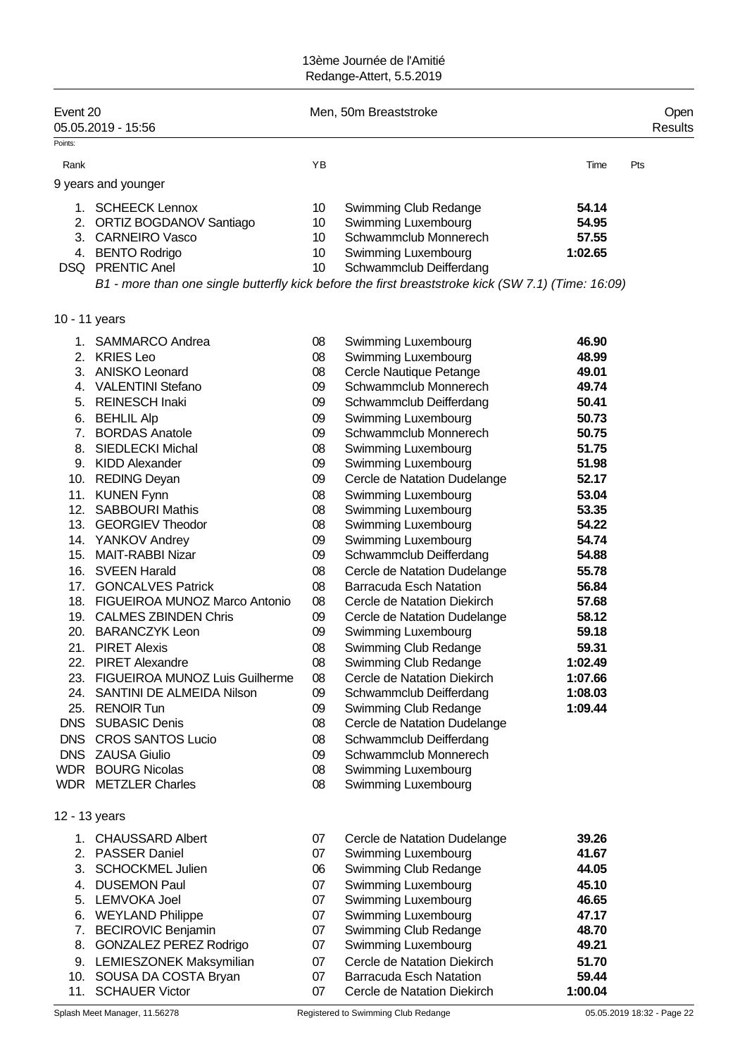| YB<br>Time<br>Pts<br>Rank<br>9 years and younger<br><b>SCHEECK Lennox</b><br>54.14<br>10<br>Swimming Club Redange<br>1.<br>2. ORTIZ BOGDANOV Santiago<br>Swimming Luxembourg<br>54.95<br>10<br>Schwammclub Monnerech<br>57.55<br>3. CARNEIRO Vasco<br>10<br>4. BENTO Rodrigo<br>10<br><b>Swimming Luxembourg</b><br>1:02.65<br>DSQ PRENTIC Anel<br>10<br>Schwammclub Deifferdang<br>B1 - more than one single butterfly kick before the first breaststroke kick (SW 7.1) (Time: 16:09)<br>10 - 11 years<br><b>SAMMARCO Andrea</b><br>08<br>Swimming Luxembourg<br>46.90<br>1.<br>2. KRIES Leo<br>08<br>Swimming Luxembourg<br>48.99<br>3. ANISKO Leonard<br>08<br>Cercle Nautique Petange<br>49.01<br>4. VALENTINI Stefano<br>Schwammclub Monnerech<br>09<br>49.74<br>5. REINESCH Inaki<br>09<br>50.41<br>Schwammclub Deifferdang<br>6. BEHLIL Alp<br>09<br>Swimming Luxembourg<br>50.73<br>Schwammclub Monnerech<br>7. BORDAS Anatole<br>09<br>50.75<br>8. SIEDLECKI Michal<br>08<br>51.75<br>Swimming Luxembourg<br>9. KIDD Alexander<br>09<br>Swimming Luxembourg<br>51.98<br>10. REDING Deyan<br>09<br>Cercle de Natation Dudelange<br>52.17<br><b>KUNEN Fynn</b><br>08<br>Swimming Luxembourg<br>53.04<br>11.<br>12. SABBOURI Mathis<br>Swimming Luxembourg<br>53.35<br>08<br>54.22<br>13. GEORGIEV Theodor<br>08<br>Swimming Luxembourg<br>54.74<br>14. YANKOV Andrey<br>09<br>Swimming Luxembourg<br>15. MAIT-RABBI Nizar<br>09<br>Schwammclub Deifferdang<br>54.88<br><b>SVEEN Harald</b><br>16.<br>08<br>Cercle de Natation Dudelange<br>55.78<br>08<br><b>GONCALVES Patrick</b><br><b>Barracuda Esch Natation</b><br>56.84<br>17.<br>18. FIGUEIROA MUNOZ Marco Antonio<br>08<br>57.68<br>Cercle de Natation Diekirch<br>19. CALMES ZBINDEN Chris<br>09<br>58.12<br>Cercle de Natation Dudelange<br>20. BARANCZYK Leon<br>09<br>59.18<br>Swimming Luxembourg<br>21. PIRET Alexis<br>08<br>Swimming Club Redange<br>59.31<br>22. PIRET Alexandre<br>08<br>Swimming Club Redange<br>1:02.49<br>23. FIGUEIROA MUNOZ Luis Guilherme<br>08<br>Cercle de Natation Diekirch<br>1:07.66<br>24. SANTINI DE ALMEIDA Nilson<br>09<br>Schwammclub Deifferdang<br>1:08.03<br>25. RENOIR Tun<br>Swimming Club Redange<br>1:09.44<br>09<br><b>DNS</b> SUBASIC Denis<br>Cercle de Natation Dudelange<br>08<br>DNS CROS SANTOS Lucio<br>Schwammclub Deifferdang<br>08<br>Schwammclub Monnerech<br>DNS ZAUSA Giulio<br>09<br><b>WDR</b> BOURG Nicolas<br>08<br>Swimming Luxembourg<br><b>WDR</b> METZLER Charles<br>08<br>Swimming Luxembourg<br>12 - 13 years<br>1. CHAUSSARD Albert<br>Cercle de Natation Dudelange<br>07<br>39.26<br>2. PASSER Daniel<br>07<br>Swimming Luxembourg<br>41.67<br>3. SCHOCKMEL Julien<br>06<br>Swimming Club Redange<br>44.05<br>Swimming Luxembourg<br>4. DUSEMON Paul<br>07<br>45.10<br>Swimming Luxembourg<br>5. LEMVOKA Joel<br>07<br>46.65<br>Swimming Luxembourg<br>6. WEYLAND Philippe<br>47.17<br>07<br>7. BECIROVIC Benjamin<br>Swimming Club Redange<br>48.70<br>07<br>8. GONZALEZ PEREZ Rodrigo<br>Swimming Luxembourg<br>49.21<br>07<br>9. LEMIESZONEK Maksymilian<br>Cercle de Natation Diekirch<br>51.70<br>07<br>59.44<br>10. SOUSA DA COSTA Bryan<br>07<br><b>Barracuda Esch Natation</b><br>11. SCHAUER Victor<br>07<br>Cercle de Natation Diekirch<br>1:00.04 | Event 20 | 05.05.2019 - 15:56 | Men, 50m Breaststroke | Open<br><b>Results</b> |
|--------------------------------------------------------------------------------------------------------------------------------------------------------------------------------------------------------------------------------------------------------------------------------------------------------------------------------------------------------------------------------------------------------------------------------------------------------------------------------------------------------------------------------------------------------------------------------------------------------------------------------------------------------------------------------------------------------------------------------------------------------------------------------------------------------------------------------------------------------------------------------------------------------------------------------------------------------------------------------------------------------------------------------------------------------------------------------------------------------------------------------------------------------------------------------------------------------------------------------------------------------------------------------------------------------------------------------------------------------------------------------------------------------------------------------------------------------------------------------------------------------------------------------------------------------------------------------------------------------------------------------------------------------------------------------------------------------------------------------------------------------------------------------------------------------------------------------------------------------------------------------------------------------------------------------------------------------------------------------------------------------------------------------------------------------------------------------------------------------------------------------------------------------------------------------------------------------------------------------------------------------------------------------------------------------------------------------------------------------------------------------------------------------------------------------------------------------------------------------------------------------------------------------------------------------------------------------------------------------------------------------------------------------------------------------------------------------------------------------------------------------------------------------------------------------------------------------------------------------------------------------------------------------------------------------------------------------------------------------------------------------------------------------------------------------------------------------------------------------------------------------------------------------------------------------------------------------------------------------------------------------------------------------------------------------|----------|--------------------|-----------------------|------------------------|
|                                                                                                                                                                                                                                                                                                                                                                                                                                                                                                                                                                                                                                                                                                                                                                                                                                                                                                                                                                                                                                                                                                                                                                                                                                                                                                                                                                                                                                                                                                                                                                                                                                                                                                                                                                                                                                                                                                                                                                                                                                                                                                                                                                                                                                                                                                                                                                                                                                                                                                                                                                                                                                                                                                                                                                                                                                                                                                                                                                                                                                                                                                                                                                                                                                                                                                        | Points:  |                    |                       |                        |
|                                                                                                                                                                                                                                                                                                                                                                                                                                                                                                                                                                                                                                                                                                                                                                                                                                                                                                                                                                                                                                                                                                                                                                                                                                                                                                                                                                                                                                                                                                                                                                                                                                                                                                                                                                                                                                                                                                                                                                                                                                                                                                                                                                                                                                                                                                                                                                                                                                                                                                                                                                                                                                                                                                                                                                                                                                                                                                                                                                                                                                                                                                                                                                                                                                                                                                        |          |                    |                       |                        |
|                                                                                                                                                                                                                                                                                                                                                                                                                                                                                                                                                                                                                                                                                                                                                                                                                                                                                                                                                                                                                                                                                                                                                                                                                                                                                                                                                                                                                                                                                                                                                                                                                                                                                                                                                                                                                                                                                                                                                                                                                                                                                                                                                                                                                                                                                                                                                                                                                                                                                                                                                                                                                                                                                                                                                                                                                                                                                                                                                                                                                                                                                                                                                                                                                                                                                                        |          |                    |                       |                        |
|                                                                                                                                                                                                                                                                                                                                                                                                                                                                                                                                                                                                                                                                                                                                                                                                                                                                                                                                                                                                                                                                                                                                                                                                                                                                                                                                                                                                                                                                                                                                                                                                                                                                                                                                                                                                                                                                                                                                                                                                                                                                                                                                                                                                                                                                                                                                                                                                                                                                                                                                                                                                                                                                                                                                                                                                                                                                                                                                                                                                                                                                                                                                                                                                                                                                                                        |          |                    |                       |                        |
|                                                                                                                                                                                                                                                                                                                                                                                                                                                                                                                                                                                                                                                                                                                                                                                                                                                                                                                                                                                                                                                                                                                                                                                                                                                                                                                                                                                                                                                                                                                                                                                                                                                                                                                                                                                                                                                                                                                                                                                                                                                                                                                                                                                                                                                                                                                                                                                                                                                                                                                                                                                                                                                                                                                                                                                                                                                                                                                                                                                                                                                                                                                                                                                                                                                                                                        |          |                    |                       |                        |
|                                                                                                                                                                                                                                                                                                                                                                                                                                                                                                                                                                                                                                                                                                                                                                                                                                                                                                                                                                                                                                                                                                                                                                                                                                                                                                                                                                                                                                                                                                                                                                                                                                                                                                                                                                                                                                                                                                                                                                                                                                                                                                                                                                                                                                                                                                                                                                                                                                                                                                                                                                                                                                                                                                                                                                                                                                                                                                                                                                                                                                                                                                                                                                                                                                                                                                        |          |                    |                       |                        |
|                                                                                                                                                                                                                                                                                                                                                                                                                                                                                                                                                                                                                                                                                                                                                                                                                                                                                                                                                                                                                                                                                                                                                                                                                                                                                                                                                                                                                                                                                                                                                                                                                                                                                                                                                                                                                                                                                                                                                                                                                                                                                                                                                                                                                                                                                                                                                                                                                                                                                                                                                                                                                                                                                                                                                                                                                                                                                                                                                                                                                                                                                                                                                                                                                                                                                                        |          |                    |                       |                        |
|                                                                                                                                                                                                                                                                                                                                                                                                                                                                                                                                                                                                                                                                                                                                                                                                                                                                                                                                                                                                                                                                                                                                                                                                                                                                                                                                                                                                                                                                                                                                                                                                                                                                                                                                                                                                                                                                                                                                                                                                                                                                                                                                                                                                                                                                                                                                                                                                                                                                                                                                                                                                                                                                                                                                                                                                                                                                                                                                                                                                                                                                                                                                                                                                                                                                                                        |          |                    |                       |                        |
|                                                                                                                                                                                                                                                                                                                                                                                                                                                                                                                                                                                                                                                                                                                                                                                                                                                                                                                                                                                                                                                                                                                                                                                                                                                                                                                                                                                                                                                                                                                                                                                                                                                                                                                                                                                                                                                                                                                                                                                                                                                                                                                                                                                                                                                                                                                                                                                                                                                                                                                                                                                                                                                                                                                                                                                                                                                                                                                                                                                                                                                                                                                                                                                                                                                                                                        |          |                    |                       |                        |
|                                                                                                                                                                                                                                                                                                                                                                                                                                                                                                                                                                                                                                                                                                                                                                                                                                                                                                                                                                                                                                                                                                                                                                                                                                                                                                                                                                                                                                                                                                                                                                                                                                                                                                                                                                                                                                                                                                                                                                                                                                                                                                                                                                                                                                                                                                                                                                                                                                                                                                                                                                                                                                                                                                                                                                                                                                                                                                                                                                                                                                                                                                                                                                                                                                                                                                        |          |                    |                       |                        |
|                                                                                                                                                                                                                                                                                                                                                                                                                                                                                                                                                                                                                                                                                                                                                                                                                                                                                                                                                                                                                                                                                                                                                                                                                                                                                                                                                                                                                                                                                                                                                                                                                                                                                                                                                                                                                                                                                                                                                                                                                                                                                                                                                                                                                                                                                                                                                                                                                                                                                                                                                                                                                                                                                                                                                                                                                                                                                                                                                                                                                                                                                                                                                                                                                                                                                                        |          |                    |                       |                        |
|                                                                                                                                                                                                                                                                                                                                                                                                                                                                                                                                                                                                                                                                                                                                                                                                                                                                                                                                                                                                                                                                                                                                                                                                                                                                                                                                                                                                                                                                                                                                                                                                                                                                                                                                                                                                                                                                                                                                                                                                                                                                                                                                                                                                                                                                                                                                                                                                                                                                                                                                                                                                                                                                                                                                                                                                                                                                                                                                                                                                                                                                                                                                                                                                                                                                                                        |          |                    |                       |                        |
|                                                                                                                                                                                                                                                                                                                                                                                                                                                                                                                                                                                                                                                                                                                                                                                                                                                                                                                                                                                                                                                                                                                                                                                                                                                                                                                                                                                                                                                                                                                                                                                                                                                                                                                                                                                                                                                                                                                                                                                                                                                                                                                                                                                                                                                                                                                                                                                                                                                                                                                                                                                                                                                                                                                                                                                                                                                                                                                                                                                                                                                                                                                                                                                                                                                                                                        |          |                    |                       |                        |
|                                                                                                                                                                                                                                                                                                                                                                                                                                                                                                                                                                                                                                                                                                                                                                                                                                                                                                                                                                                                                                                                                                                                                                                                                                                                                                                                                                                                                                                                                                                                                                                                                                                                                                                                                                                                                                                                                                                                                                                                                                                                                                                                                                                                                                                                                                                                                                                                                                                                                                                                                                                                                                                                                                                                                                                                                                                                                                                                                                                                                                                                                                                                                                                                                                                                                                        |          |                    |                       |                        |
|                                                                                                                                                                                                                                                                                                                                                                                                                                                                                                                                                                                                                                                                                                                                                                                                                                                                                                                                                                                                                                                                                                                                                                                                                                                                                                                                                                                                                                                                                                                                                                                                                                                                                                                                                                                                                                                                                                                                                                                                                                                                                                                                                                                                                                                                                                                                                                                                                                                                                                                                                                                                                                                                                                                                                                                                                                                                                                                                                                                                                                                                                                                                                                                                                                                                                                        |          |                    |                       |                        |
|                                                                                                                                                                                                                                                                                                                                                                                                                                                                                                                                                                                                                                                                                                                                                                                                                                                                                                                                                                                                                                                                                                                                                                                                                                                                                                                                                                                                                                                                                                                                                                                                                                                                                                                                                                                                                                                                                                                                                                                                                                                                                                                                                                                                                                                                                                                                                                                                                                                                                                                                                                                                                                                                                                                                                                                                                                                                                                                                                                                                                                                                                                                                                                                                                                                                                                        |          |                    |                       |                        |
|                                                                                                                                                                                                                                                                                                                                                                                                                                                                                                                                                                                                                                                                                                                                                                                                                                                                                                                                                                                                                                                                                                                                                                                                                                                                                                                                                                                                                                                                                                                                                                                                                                                                                                                                                                                                                                                                                                                                                                                                                                                                                                                                                                                                                                                                                                                                                                                                                                                                                                                                                                                                                                                                                                                                                                                                                                                                                                                                                                                                                                                                                                                                                                                                                                                                                                        |          |                    |                       |                        |
|                                                                                                                                                                                                                                                                                                                                                                                                                                                                                                                                                                                                                                                                                                                                                                                                                                                                                                                                                                                                                                                                                                                                                                                                                                                                                                                                                                                                                                                                                                                                                                                                                                                                                                                                                                                                                                                                                                                                                                                                                                                                                                                                                                                                                                                                                                                                                                                                                                                                                                                                                                                                                                                                                                                                                                                                                                                                                                                                                                                                                                                                                                                                                                                                                                                                                                        |          |                    |                       |                        |
|                                                                                                                                                                                                                                                                                                                                                                                                                                                                                                                                                                                                                                                                                                                                                                                                                                                                                                                                                                                                                                                                                                                                                                                                                                                                                                                                                                                                                                                                                                                                                                                                                                                                                                                                                                                                                                                                                                                                                                                                                                                                                                                                                                                                                                                                                                                                                                                                                                                                                                                                                                                                                                                                                                                                                                                                                                                                                                                                                                                                                                                                                                                                                                                                                                                                                                        |          |                    |                       |                        |
|                                                                                                                                                                                                                                                                                                                                                                                                                                                                                                                                                                                                                                                                                                                                                                                                                                                                                                                                                                                                                                                                                                                                                                                                                                                                                                                                                                                                                                                                                                                                                                                                                                                                                                                                                                                                                                                                                                                                                                                                                                                                                                                                                                                                                                                                                                                                                                                                                                                                                                                                                                                                                                                                                                                                                                                                                                                                                                                                                                                                                                                                                                                                                                                                                                                                                                        |          |                    |                       |                        |
|                                                                                                                                                                                                                                                                                                                                                                                                                                                                                                                                                                                                                                                                                                                                                                                                                                                                                                                                                                                                                                                                                                                                                                                                                                                                                                                                                                                                                                                                                                                                                                                                                                                                                                                                                                                                                                                                                                                                                                                                                                                                                                                                                                                                                                                                                                                                                                                                                                                                                                                                                                                                                                                                                                                                                                                                                                                                                                                                                                                                                                                                                                                                                                                                                                                                                                        |          |                    |                       |                        |
|                                                                                                                                                                                                                                                                                                                                                                                                                                                                                                                                                                                                                                                                                                                                                                                                                                                                                                                                                                                                                                                                                                                                                                                                                                                                                                                                                                                                                                                                                                                                                                                                                                                                                                                                                                                                                                                                                                                                                                                                                                                                                                                                                                                                                                                                                                                                                                                                                                                                                                                                                                                                                                                                                                                                                                                                                                                                                                                                                                                                                                                                                                                                                                                                                                                                                                        |          |                    |                       |                        |
|                                                                                                                                                                                                                                                                                                                                                                                                                                                                                                                                                                                                                                                                                                                                                                                                                                                                                                                                                                                                                                                                                                                                                                                                                                                                                                                                                                                                                                                                                                                                                                                                                                                                                                                                                                                                                                                                                                                                                                                                                                                                                                                                                                                                                                                                                                                                                                                                                                                                                                                                                                                                                                                                                                                                                                                                                                                                                                                                                                                                                                                                                                                                                                                                                                                                                                        |          |                    |                       |                        |
|                                                                                                                                                                                                                                                                                                                                                                                                                                                                                                                                                                                                                                                                                                                                                                                                                                                                                                                                                                                                                                                                                                                                                                                                                                                                                                                                                                                                                                                                                                                                                                                                                                                                                                                                                                                                                                                                                                                                                                                                                                                                                                                                                                                                                                                                                                                                                                                                                                                                                                                                                                                                                                                                                                                                                                                                                                                                                                                                                                                                                                                                                                                                                                                                                                                                                                        |          |                    |                       |                        |
|                                                                                                                                                                                                                                                                                                                                                                                                                                                                                                                                                                                                                                                                                                                                                                                                                                                                                                                                                                                                                                                                                                                                                                                                                                                                                                                                                                                                                                                                                                                                                                                                                                                                                                                                                                                                                                                                                                                                                                                                                                                                                                                                                                                                                                                                                                                                                                                                                                                                                                                                                                                                                                                                                                                                                                                                                                                                                                                                                                                                                                                                                                                                                                                                                                                                                                        |          |                    |                       |                        |
|                                                                                                                                                                                                                                                                                                                                                                                                                                                                                                                                                                                                                                                                                                                                                                                                                                                                                                                                                                                                                                                                                                                                                                                                                                                                                                                                                                                                                                                                                                                                                                                                                                                                                                                                                                                                                                                                                                                                                                                                                                                                                                                                                                                                                                                                                                                                                                                                                                                                                                                                                                                                                                                                                                                                                                                                                                                                                                                                                                                                                                                                                                                                                                                                                                                                                                        |          |                    |                       |                        |
|                                                                                                                                                                                                                                                                                                                                                                                                                                                                                                                                                                                                                                                                                                                                                                                                                                                                                                                                                                                                                                                                                                                                                                                                                                                                                                                                                                                                                                                                                                                                                                                                                                                                                                                                                                                                                                                                                                                                                                                                                                                                                                                                                                                                                                                                                                                                                                                                                                                                                                                                                                                                                                                                                                                                                                                                                                                                                                                                                                                                                                                                                                                                                                                                                                                                                                        |          |                    |                       |                        |
|                                                                                                                                                                                                                                                                                                                                                                                                                                                                                                                                                                                                                                                                                                                                                                                                                                                                                                                                                                                                                                                                                                                                                                                                                                                                                                                                                                                                                                                                                                                                                                                                                                                                                                                                                                                                                                                                                                                                                                                                                                                                                                                                                                                                                                                                                                                                                                                                                                                                                                                                                                                                                                                                                                                                                                                                                                                                                                                                                                                                                                                                                                                                                                                                                                                                                                        |          |                    |                       |                        |
|                                                                                                                                                                                                                                                                                                                                                                                                                                                                                                                                                                                                                                                                                                                                                                                                                                                                                                                                                                                                                                                                                                                                                                                                                                                                                                                                                                                                                                                                                                                                                                                                                                                                                                                                                                                                                                                                                                                                                                                                                                                                                                                                                                                                                                                                                                                                                                                                                                                                                                                                                                                                                                                                                                                                                                                                                                                                                                                                                                                                                                                                                                                                                                                                                                                                                                        |          |                    |                       |                        |
|                                                                                                                                                                                                                                                                                                                                                                                                                                                                                                                                                                                                                                                                                                                                                                                                                                                                                                                                                                                                                                                                                                                                                                                                                                                                                                                                                                                                                                                                                                                                                                                                                                                                                                                                                                                                                                                                                                                                                                                                                                                                                                                                                                                                                                                                                                                                                                                                                                                                                                                                                                                                                                                                                                                                                                                                                                                                                                                                                                                                                                                                                                                                                                                                                                                                                                        |          |                    |                       |                        |
|                                                                                                                                                                                                                                                                                                                                                                                                                                                                                                                                                                                                                                                                                                                                                                                                                                                                                                                                                                                                                                                                                                                                                                                                                                                                                                                                                                                                                                                                                                                                                                                                                                                                                                                                                                                                                                                                                                                                                                                                                                                                                                                                                                                                                                                                                                                                                                                                                                                                                                                                                                                                                                                                                                                                                                                                                                                                                                                                                                                                                                                                                                                                                                                                                                                                                                        |          |                    |                       |                        |
|                                                                                                                                                                                                                                                                                                                                                                                                                                                                                                                                                                                                                                                                                                                                                                                                                                                                                                                                                                                                                                                                                                                                                                                                                                                                                                                                                                                                                                                                                                                                                                                                                                                                                                                                                                                                                                                                                                                                                                                                                                                                                                                                                                                                                                                                                                                                                                                                                                                                                                                                                                                                                                                                                                                                                                                                                                                                                                                                                                                                                                                                                                                                                                                                                                                                                                        |          |                    |                       |                        |
|                                                                                                                                                                                                                                                                                                                                                                                                                                                                                                                                                                                                                                                                                                                                                                                                                                                                                                                                                                                                                                                                                                                                                                                                                                                                                                                                                                                                                                                                                                                                                                                                                                                                                                                                                                                                                                                                                                                                                                                                                                                                                                                                                                                                                                                                                                                                                                                                                                                                                                                                                                                                                                                                                                                                                                                                                                                                                                                                                                                                                                                                                                                                                                                                                                                                                                        |          |                    |                       |                        |
|                                                                                                                                                                                                                                                                                                                                                                                                                                                                                                                                                                                                                                                                                                                                                                                                                                                                                                                                                                                                                                                                                                                                                                                                                                                                                                                                                                                                                                                                                                                                                                                                                                                                                                                                                                                                                                                                                                                                                                                                                                                                                                                                                                                                                                                                                                                                                                                                                                                                                                                                                                                                                                                                                                                                                                                                                                                                                                                                                                                                                                                                                                                                                                                                                                                                                                        |          |                    |                       |                        |
|                                                                                                                                                                                                                                                                                                                                                                                                                                                                                                                                                                                                                                                                                                                                                                                                                                                                                                                                                                                                                                                                                                                                                                                                                                                                                                                                                                                                                                                                                                                                                                                                                                                                                                                                                                                                                                                                                                                                                                                                                                                                                                                                                                                                                                                                                                                                                                                                                                                                                                                                                                                                                                                                                                                                                                                                                                                                                                                                                                                                                                                                                                                                                                                                                                                                                                        |          |                    |                       |                        |
|                                                                                                                                                                                                                                                                                                                                                                                                                                                                                                                                                                                                                                                                                                                                                                                                                                                                                                                                                                                                                                                                                                                                                                                                                                                                                                                                                                                                                                                                                                                                                                                                                                                                                                                                                                                                                                                                                                                                                                                                                                                                                                                                                                                                                                                                                                                                                                                                                                                                                                                                                                                                                                                                                                                                                                                                                                                                                                                                                                                                                                                                                                                                                                                                                                                                                                        |          |                    |                       |                        |
|                                                                                                                                                                                                                                                                                                                                                                                                                                                                                                                                                                                                                                                                                                                                                                                                                                                                                                                                                                                                                                                                                                                                                                                                                                                                                                                                                                                                                                                                                                                                                                                                                                                                                                                                                                                                                                                                                                                                                                                                                                                                                                                                                                                                                                                                                                                                                                                                                                                                                                                                                                                                                                                                                                                                                                                                                                                                                                                                                                                                                                                                                                                                                                                                                                                                                                        |          |                    |                       |                        |
|                                                                                                                                                                                                                                                                                                                                                                                                                                                                                                                                                                                                                                                                                                                                                                                                                                                                                                                                                                                                                                                                                                                                                                                                                                                                                                                                                                                                                                                                                                                                                                                                                                                                                                                                                                                                                                                                                                                                                                                                                                                                                                                                                                                                                                                                                                                                                                                                                                                                                                                                                                                                                                                                                                                                                                                                                                                                                                                                                                                                                                                                                                                                                                                                                                                                                                        |          |                    |                       |                        |
|                                                                                                                                                                                                                                                                                                                                                                                                                                                                                                                                                                                                                                                                                                                                                                                                                                                                                                                                                                                                                                                                                                                                                                                                                                                                                                                                                                                                                                                                                                                                                                                                                                                                                                                                                                                                                                                                                                                                                                                                                                                                                                                                                                                                                                                                                                                                                                                                                                                                                                                                                                                                                                                                                                                                                                                                                                                                                                                                                                                                                                                                                                                                                                                                                                                                                                        |          |                    |                       |                        |
|                                                                                                                                                                                                                                                                                                                                                                                                                                                                                                                                                                                                                                                                                                                                                                                                                                                                                                                                                                                                                                                                                                                                                                                                                                                                                                                                                                                                                                                                                                                                                                                                                                                                                                                                                                                                                                                                                                                                                                                                                                                                                                                                                                                                                                                                                                                                                                                                                                                                                                                                                                                                                                                                                                                                                                                                                                                                                                                                                                                                                                                                                                                                                                                                                                                                                                        |          |                    |                       |                        |
|                                                                                                                                                                                                                                                                                                                                                                                                                                                                                                                                                                                                                                                                                                                                                                                                                                                                                                                                                                                                                                                                                                                                                                                                                                                                                                                                                                                                                                                                                                                                                                                                                                                                                                                                                                                                                                                                                                                                                                                                                                                                                                                                                                                                                                                                                                                                                                                                                                                                                                                                                                                                                                                                                                                                                                                                                                                                                                                                                                                                                                                                                                                                                                                                                                                                                                        |          |                    |                       |                        |
|                                                                                                                                                                                                                                                                                                                                                                                                                                                                                                                                                                                                                                                                                                                                                                                                                                                                                                                                                                                                                                                                                                                                                                                                                                                                                                                                                                                                                                                                                                                                                                                                                                                                                                                                                                                                                                                                                                                                                                                                                                                                                                                                                                                                                                                                                                                                                                                                                                                                                                                                                                                                                                                                                                                                                                                                                                                                                                                                                                                                                                                                                                                                                                                                                                                                                                        |          |                    |                       |                        |
|                                                                                                                                                                                                                                                                                                                                                                                                                                                                                                                                                                                                                                                                                                                                                                                                                                                                                                                                                                                                                                                                                                                                                                                                                                                                                                                                                                                                                                                                                                                                                                                                                                                                                                                                                                                                                                                                                                                                                                                                                                                                                                                                                                                                                                                                                                                                                                                                                                                                                                                                                                                                                                                                                                                                                                                                                                                                                                                                                                                                                                                                                                                                                                                                                                                                                                        |          |                    |                       |                        |
|                                                                                                                                                                                                                                                                                                                                                                                                                                                                                                                                                                                                                                                                                                                                                                                                                                                                                                                                                                                                                                                                                                                                                                                                                                                                                                                                                                                                                                                                                                                                                                                                                                                                                                                                                                                                                                                                                                                                                                                                                                                                                                                                                                                                                                                                                                                                                                                                                                                                                                                                                                                                                                                                                                                                                                                                                                                                                                                                                                                                                                                                                                                                                                                                                                                                                                        |          |                    |                       |                        |
|                                                                                                                                                                                                                                                                                                                                                                                                                                                                                                                                                                                                                                                                                                                                                                                                                                                                                                                                                                                                                                                                                                                                                                                                                                                                                                                                                                                                                                                                                                                                                                                                                                                                                                                                                                                                                                                                                                                                                                                                                                                                                                                                                                                                                                                                                                                                                                                                                                                                                                                                                                                                                                                                                                                                                                                                                                                                                                                                                                                                                                                                                                                                                                                                                                                                                                        |          |                    |                       |                        |
|                                                                                                                                                                                                                                                                                                                                                                                                                                                                                                                                                                                                                                                                                                                                                                                                                                                                                                                                                                                                                                                                                                                                                                                                                                                                                                                                                                                                                                                                                                                                                                                                                                                                                                                                                                                                                                                                                                                                                                                                                                                                                                                                                                                                                                                                                                                                                                                                                                                                                                                                                                                                                                                                                                                                                                                                                                                                                                                                                                                                                                                                                                                                                                                                                                                                                                        |          |                    |                       |                        |
|                                                                                                                                                                                                                                                                                                                                                                                                                                                                                                                                                                                                                                                                                                                                                                                                                                                                                                                                                                                                                                                                                                                                                                                                                                                                                                                                                                                                                                                                                                                                                                                                                                                                                                                                                                                                                                                                                                                                                                                                                                                                                                                                                                                                                                                                                                                                                                                                                                                                                                                                                                                                                                                                                                                                                                                                                                                                                                                                                                                                                                                                                                                                                                                                                                                                                                        |          |                    |                       |                        |
|                                                                                                                                                                                                                                                                                                                                                                                                                                                                                                                                                                                                                                                                                                                                                                                                                                                                                                                                                                                                                                                                                                                                                                                                                                                                                                                                                                                                                                                                                                                                                                                                                                                                                                                                                                                                                                                                                                                                                                                                                                                                                                                                                                                                                                                                                                                                                                                                                                                                                                                                                                                                                                                                                                                                                                                                                                                                                                                                                                                                                                                                                                                                                                                                                                                                                                        |          |                    |                       |                        |
|                                                                                                                                                                                                                                                                                                                                                                                                                                                                                                                                                                                                                                                                                                                                                                                                                                                                                                                                                                                                                                                                                                                                                                                                                                                                                                                                                                                                                                                                                                                                                                                                                                                                                                                                                                                                                                                                                                                                                                                                                                                                                                                                                                                                                                                                                                                                                                                                                                                                                                                                                                                                                                                                                                                                                                                                                                                                                                                                                                                                                                                                                                                                                                                                                                                                                                        |          |                    |                       |                        |
|                                                                                                                                                                                                                                                                                                                                                                                                                                                                                                                                                                                                                                                                                                                                                                                                                                                                                                                                                                                                                                                                                                                                                                                                                                                                                                                                                                                                                                                                                                                                                                                                                                                                                                                                                                                                                                                                                                                                                                                                                                                                                                                                                                                                                                                                                                                                                                                                                                                                                                                                                                                                                                                                                                                                                                                                                                                                                                                                                                                                                                                                                                                                                                                                                                                                                                        |          |                    |                       |                        |
|                                                                                                                                                                                                                                                                                                                                                                                                                                                                                                                                                                                                                                                                                                                                                                                                                                                                                                                                                                                                                                                                                                                                                                                                                                                                                                                                                                                                                                                                                                                                                                                                                                                                                                                                                                                                                                                                                                                                                                                                                                                                                                                                                                                                                                                                                                                                                                                                                                                                                                                                                                                                                                                                                                                                                                                                                                                                                                                                                                                                                                                                                                                                                                                                                                                                                                        |          |                    |                       |                        |
|                                                                                                                                                                                                                                                                                                                                                                                                                                                                                                                                                                                                                                                                                                                                                                                                                                                                                                                                                                                                                                                                                                                                                                                                                                                                                                                                                                                                                                                                                                                                                                                                                                                                                                                                                                                                                                                                                                                                                                                                                                                                                                                                                                                                                                                                                                                                                                                                                                                                                                                                                                                                                                                                                                                                                                                                                                                                                                                                                                                                                                                                                                                                                                                                                                                                                                        |          |                    |                       |                        |
|                                                                                                                                                                                                                                                                                                                                                                                                                                                                                                                                                                                                                                                                                                                                                                                                                                                                                                                                                                                                                                                                                                                                                                                                                                                                                                                                                                                                                                                                                                                                                                                                                                                                                                                                                                                                                                                                                                                                                                                                                                                                                                                                                                                                                                                                                                                                                                                                                                                                                                                                                                                                                                                                                                                                                                                                                                                                                                                                                                                                                                                                                                                                                                                                                                                                                                        |          |                    |                       |                        |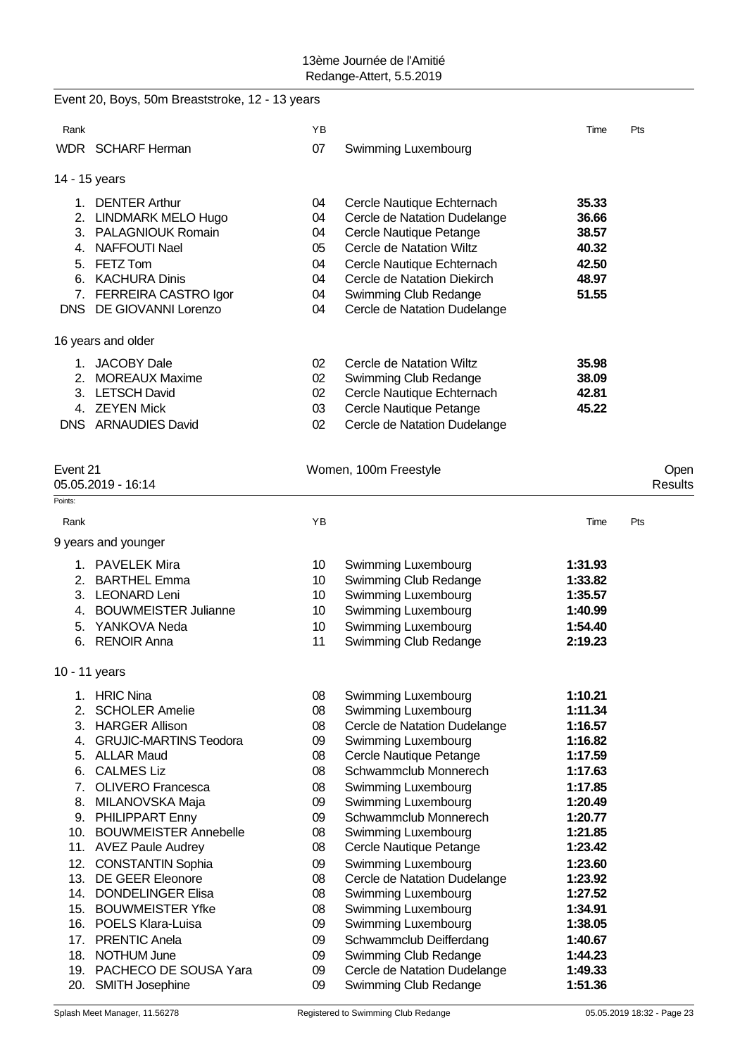|          | Event 20, Boys, 50m Breaststroke, 12 - 13 years |                 |                                              |                    |                 |
|----------|-------------------------------------------------|-----------------|----------------------------------------------|--------------------|-----------------|
| Rank     |                                                 | ΥB              |                                              | Time               | Pts             |
|          | WDR SCHARF Herman                               | 07              | Swimming Luxembourg                          |                    |                 |
|          | 14 - 15 years                                   |                 |                                              |                    |                 |
|          | 1. DENTER Arthur                                | 04              | Cercle Nautique Echternach                   | 35.33              |                 |
|          | 2. LINDMARK MELO Hugo                           | 04              | Cercle de Natation Dudelange                 | 36.66              |                 |
|          | 3. PALAGNIOUK Romain                            | 04              | Cercle Nautique Petange                      | 38.57              |                 |
|          | 4. NAFFOUTI Nael                                | 05              | Cercle de Natation Wiltz                     | 40.32              |                 |
|          | 5. FETZ Tom                                     | 04              | Cercle Nautique Echternach                   | 42.50              |                 |
|          | 6. KACHURA Dinis                                | 04              | Cercle de Natation Diekirch                  | 48.97              |                 |
|          | 7. FERREIRA CASTRO Igor                         | 04              | Swimming Club Redange                        | 51.55              |                 |
|          | DNS DE GIOVANNI Lorenzo                         | 04              | Cercle de Natation Dudelange                 |                    |                 |
|          | 16 years and older                              |                 |                                              |                    |                 |
|          | 1. JACOBY Dale                                  | 02              | Cercle de Natation Wiltz                     | 35.98              |                 |
|          | 2. MOREAUX Maxime                               | 02              | Swimming Club Redange                        | 38.09              |                 |
|          | 3. LETSCH David                                 | 02              | Cercle Nautique Echternach                   | 42.81              |                 |
|          | 4. ZEYEN Mick                                   | 03              | Cercle Nautique Petange                      | 45.22              |                 |
|          | DNS ARNAUDIES David                             | 02              | Cercle de Natation Dudelange                 |                    |                 |
|          |                                                 |                 |                                              |                    |                 |
| Event 21 | 05.05.2019 - 16:14                              |                 | Women, 100m Freestyle                        |                    | Open<br>Results |
| Points:  |                                                 |                 |                                              |                    |                 |
| Rank     |                                                 | YB              |                                              | Time               | Pts             |
|          | 9 years and younger                             |                 |                                              |                    |                 |
|          | 1. PAVELEK Mira                                 | 10 <sup>°</sup> | <b>Swimming Luxembourg</b>                   | 1:31.93            |                 |
|          | 2. BARTHEL Emma                                 | 10 <sup>°</sup> | Swimming Club Redange                        | 1:33.82            |                 |
|          | 3. LEONARD Leni                                 | 10              | Swimming Luxembourg                          | 1:35.57            |                 |
|          | 4. BOUWMEISTER Julianne                         | 10              | Swimming Luxembourg                          | 1:40.99            |                 |
|          | 5. YANKOVA Neda                                 | 10              | Swimming Luxembourg                          | 1:54.40            |                 |
| 6.       | <b>RENOIR Anna</b>                              | 11              | Swimming Club Redange                        | 2:19.23            |                 |
|          | 10 - 11 years                                   |                 |                                              |                    |                 |
| 1.       | <b>HRIC Nina</b>                                | 08              | Swimming Luxembourg                          | 1:10.21            |                 |
| 2.       | <b>SCHOLER Amelie</b>                           | 08              | Swimming Luxembourg                          | 1:11.34            |                 |
|          | 3. HARGER Allison                               | 08              | Cercle de Natation Dudelange                 | 1:16.57            |                 |
| 4.       | <b>GRUJIC-MARTINS Teodora</b>                   | 09              | Swimming Luxembourg                          | 1:16.82            |                 |
|          | 5. ALLAR Maud                                   | 08              | Cercle Nautique Petange                      | 1:17.59            |                 |
| 6.       | <b>CALMES Liz</b>                               | 08              | Schwammclub Monnerech                        | 1:17.63            |                 |
| 7.       | <b>OLIVERO Francesca</b>                        | 08              | Swimming Luxembourg                          | 1:17.85            |                 |
|          | 8. MILANOVSKA Maja<br>9. PHILIPPART Enny        | 09<br>09        | Swimming Luxembourg<br>Schwammclub Monnerech | 1:20.49<br>1:20.77 |                 |
|          | 10. BOUWMEISTER Annebelle                       | 08              | Swimming Luxembourg                          | 1:21.85            |                 |
|          | 11. AVEZ Paule Audrey                           | 08              | Cercle Nautique Petange                      | 1:23.42            |                 |
|          | 12. CONSTANTIN Sophia                           | 09              | Swimming Luxembourg                          | 1:23.60            |                 |
|          | 13. DE GEER Eleonore                            | 08              | Cercle de Natation Dudelange                 | 1:23.92            |                 |
|          | 14. DONDELINGER Elisa                           | 08              | Swimming Luxembourg                          | 1:27.52            |                 |
|          | 15. BOUWMEISTER Yfke                            | 08              | Swimming Luxembourg                          | 1:34.91            |                 |
|          | 16. POELS Klara-Luisa                           | 09              | Swimming Luxembourg                          | 1:38.05            |                 |
| 17.      | <b>PRENTIC Anela</b>                            | 09              | Schwammclub Deifferdang                      | 1:40.67            |                 |
|          | 18. NOTHUM June                                 | 09              | Swimming Club Redange                        | 1:44.23            |                 |
|          | 19. PACHECO DE SOUSA Yara                       | 09              | Cercle de Natation Dudelange                 | 1:49.33            |                 |
|          | 20. SMITH Josephine                             | 09              | Swimming Club Redange                        | 1:51.36            |                 |
|          |                                                 |                 |                                              |                    |                 |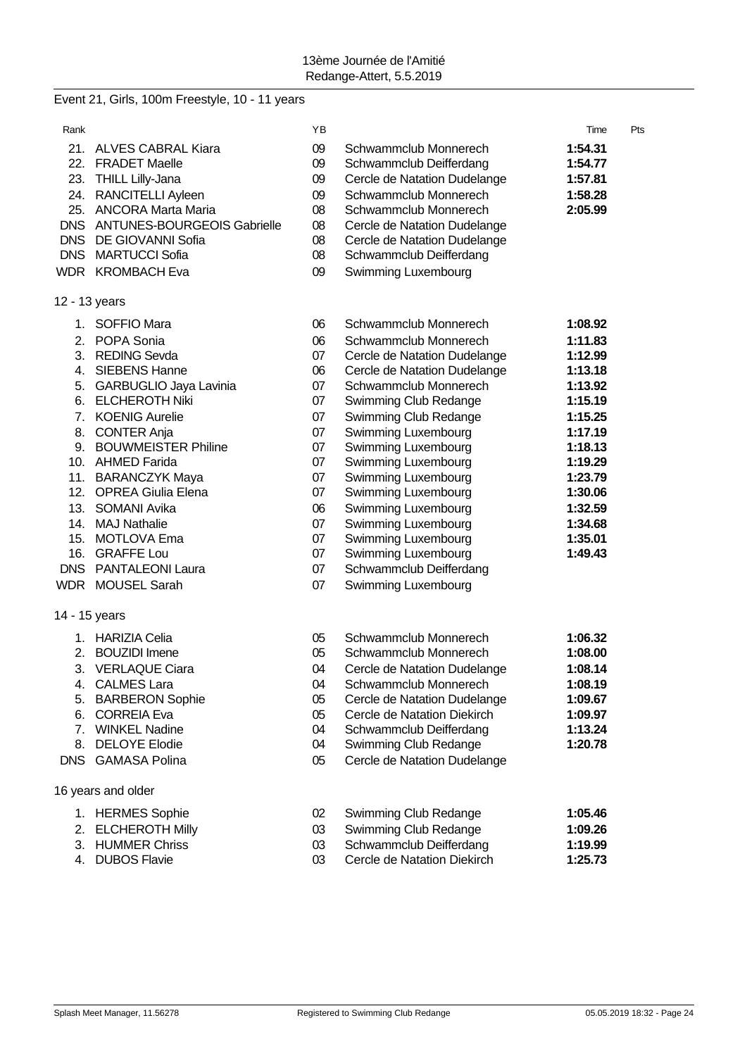# Event 21, Girls, 100m Freestyle, 10 - 11 years

| Rank                 |                                                                                                                                                                                                                                                                                                                                                                                                 | YΒ                                                                                                       |                                                                                                                                                                                                                                                                                                                                                                                                                                                            | Time                                                                                                                                                                         | Pts |
|----------------------|-------------------------------------------------------------------------------------------------------------------------------------------------------------------------------------------------------------------------------------------------------------------------------------------------------------------------------------------------------------------------------------------------|----------------------------------------------------------------------------------------------------------|------------------------------------------------------------------------------------------------------------------------------------------------------------------------------------------------------------------------------------------------------------------------------------------------------------------------------------------------------------------------------------------------------------------------------------------------------------|------------------------------------------------------------------------------------------------------------------------------------------------------------------------------|-----|
|                      | 21. ALVES CABRAL Kiara<br>22. FRADET Maelle<br>23. THILL Lilly-Jana<br>24. RANCITELLI Ayleen<br>25. ANCORA Marta Maria<br>DNS ANTUNES-BOURGEOIS Gabrielle<br>DNS DE GIOVANNI Sofia<br>DNS MARTUCCI Sofia<br>WDR KROMBACH Eva                                                                                                                                                                    | 09<br>09<br>09<br>09<br>08<br>08<br>08<br>08<br>09                                                       | Schwammclub Monnerech<br>Schwammclub Deifferdang<br>Cercle de Natation Dudelange<br>Schwammclub Monnerech<br>Schwammclub Monnerech<br>Cercle de Natation Dudelange<br>Cercle de Natation Dudelange<br>Schwammclub Deifferdang<br>Swimming Luxembourg                                                                                                                                                                                                       | 1:54.31<br>1:54.77<br>1:57.81<br>1:58.28<br>2:05.99                                                                                                                          |     |
|                      | 12 - 13 years                                                                                                                                                                                                                                                                                                                                                                                   |                                                                                                          |                                                                                                                                                                                                                                                                                                                                                                                                                                                            |                                                                                                                                                                              |     |
| 2.<br>3.<br>7.<br>8. | 1. SOFFIO Mara<br>POPA Sonia<br><b>REDING Sevda</b><br>4. SIEBENS Hanne<br>5. GARBUGLIO Jaya Lavinia<br>6. ELCHEROTH Niki<br><b>KOENIG Aurelie</b><br><b>CONTER Anja</b><br>9. BOUWMEISTER Philine<br>10. AHMED Farida<br>11. BARANCZYK Maya<br>12. OPREA Giulia Elena<br>13. SOMANI Avika<br>14. MAJ Nathalie<br>15. MOTLOVA Ema<br>16. GRAFFE Lou<br>DNS PANTALEONI Laura<br>WDR MOUSEL Sarah | 06<br>06<br>07<br>06<br>07<br>07<br>07<br>07<br>07<br>07<br>07<br>07<br>06<br>07<br>07<br>07<br>07<br>07 | Schwammclub Monnerech<br>Schwammclub Monnerech<br>Cercle de Natation Dudelange<br>Cercle de Natation Dudelange<br>Schwammclub Monnerech<br>Swimming Club Redange<br>Swimming Club Redange<br>Swimming Luxembourg<br>Swimming Luxembourg<br>Swimming Luxembourg<br>Swimming Luxembourg<br>Swimming Luxembourg<br>Swimming Luxembourg<br>Swimming Luxembourg<br>Swimming Luxembourg<br>Swimming Luxembourg<br>Schwammclub Deifferdang<br>Swimming Luxembourg | 1:08.92<br>1:11.83<br>1:12.99<br>1:13.18<br>1:13.92<br>1:15.19<br>1:15.25<br>1:17.19<br>1:18.13<br>1:19.29<br>1:23.79<br>1:30.06<br>1:32.59<br>1:34.68<br>1:35.01<br>1:49.43 |     |
|                      | 14 - 15 years                                                                                                                                                                                                                                                                                                                                                                                   |                                                                                                          |                                                                                                                                                                                                                                                                                                                                                                                                                                                            |                                                                                                                                                                              |     |
| 5.<br>6.<br>8.       | 1. HARIZIA Celia<br>2. BOUZIDI Imene<br>3. VERLAQUE Ciara<br>4. CALMES Lara<br><b>BARBERON Sophie</b><br><b>CORREIA Eva</b><br>7. WINKEL Nadine<br><b>DELOYE Elodie</b><br><b>DNS</b> GAMASA Polina                                                                                                                                                                                             | 05<br>05<br>04<br>04<br>05<br>05<br>04<br>04<br>05                                                       | Schwammclub Monnerech<br>Schwammclub Monnerech<br>Cercle de Natation Dudelange<br>Schwammclub Monnerech<br>Cercle de Natation Dudelange<br>Cercle de Natation Diekirch<br>Schwammclub Deifferdang<br>Swimming Club Redange<br>Cercle de Natation Dudelange                                                                                                                                                                                                 | 1:06.32<br>1:08.00<br>1:08.14<br>1:08.19<br>1:09.67<br>1:09.97<br>1:13.24<br>1:20.78                                                                                         |     |
|                      | 16 years and older                                                                                                                                                                                                                                                                                                                                                                              |                                                                                                          |                                                                                                                                                                                                                                                                                                                                                                                                                                                            |                                                                                                                                                                              |     |
|                      | 1. HERMES Sophie                                                                                                                                                                                                                                                                                                                                                                                | 02                                                                                                       | Swimming Club Redange                                                                                                                                                                                                                                                                                                                                                                                                                                      | 1:05.46                                                                                                                                                                      |     |

- 
- 2. ELCHEROTH Milly 03 Swimming Club Redange **1:09.26**
- 3. HUMMER Chriss **1:19.99**<br>4. DUBOS Flavie **1:25.73**<br>25.73 Cercle de Natation Diekirch
- 

03 Cercle de Natation Diekirch **1:25.73**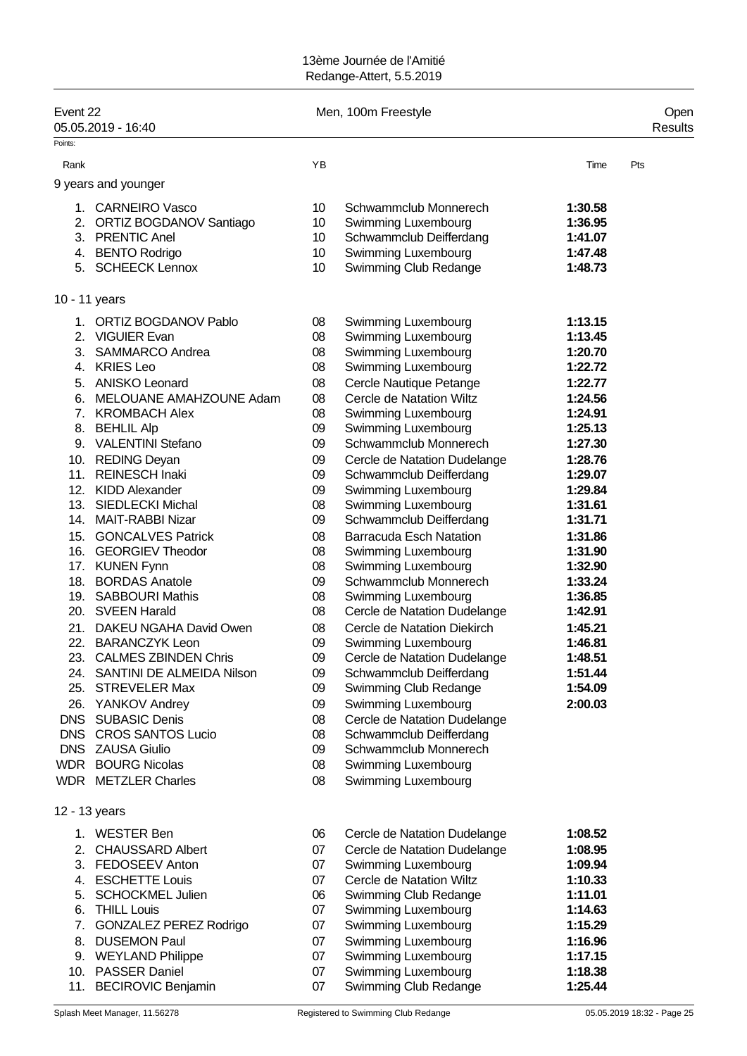| Event 22      | 05.05.2019 - 16:40                           |                 | Men, 100m Freestyle                            |                    | Open<br>Results |
|---------------|----------------------------------------------|-----------------|------------------------------------------------|--------------------|-----------------|
| Points:       |                                              |                 |                                                |                    |                 |
| Rank          |                                              | YB              |                                                | Time               | Pts             |
|               | 9 years and younger                          |                 |                                                |                    |                 |
|               | 1. CARNEIRO Vasco                            | 10              | Schwammclub Monnerech                          | 1:30.58            |                 |
|               | 2. ORTIZ BOGDANOV Santiago                   | 10 <sup>°</sup> | Swimming Luxembourg                            | 1:36.95            |                 |
|               | 3. PRENTIC Anel                              | 10              | Schwammclub Deifferdang                        | 1:41.07            |                 |
|               | 4. BENTO Rodrigo                             | 10              | Swimming Luxembourg                            | 1:47.48            |                 |
|               | 5. SCHEECK Lennox                            | 10              | Swimming Club Redange                          | 1:48.73            |                 |
| 10 - 11 years |                                              |                 |                                                |                    |                 |
|               | 1. ORTIZ BOGDANOV Pablo                      | 08              | Swimming Luxembourg                            | 1:13.15            |                 |
|               | 2. VIGUIER Evan                              | 08              | Swimming Luxembourg                            | 1:13.45            |                 |
|               | 3. SAMMARCO Andrea                           | 08              | Swimming Luxembourg                            | 1:20.70            |                 |
|               | 4. KRIES Leo                                 | 08              | Swimming Luxembourg                            | 1:22.72            |                 |
|               | 5. ANISKO Leonard                            | 08              | Cercle Nautique Petange                        | 1:22.77            |                 |
|               | 6. MELOUANE AMAHZOUNE Adam                   | 08              | Cercle de Natation Wiltz                       | 1:24.56            |                 |
|               | 7. KROMBACH Alex                             | 08              | Swimming Luxembourg                            | 1:24.91            |                 |
|               | 8. BEHLIL Alp                                | 09              | Swimming Luxembourg                            | 1:25.13            |                 |
|               | 9. VALENTINI Stefano                         | 09              | Schwammclub Monnerech                          | 1:27.30            |                 |
|               | 10. REDING Deyan                             | 09              | Cercle de Natation Dudelange                   | 1:28.76            |                 |
| 11.           | <b>REINESCH Inaki</b>                        | 09              | Schwammclub Deifferdang                        | 1:29.07            |                 |
|               | 12. KIDD Alexander                           | 09              | Swimming Luxembourg                            | 1:29.84            |                 |
|               | 13. SIEDLECKI Michal<br>14. MAIT-RABBI Nizar | 08<br>09        | Swimming Luxembourg<br>Schwammclub Deifferdang | 1:31.61<br>1:31.71 |                 |
| 15.           | <b>GONCALVES Patrick</b>                     | 08              | <b>Barracuda Esch Natation</b>                 | 1:31.86            |                 |
|               | 16. GEORGIEV Theodor                         | 08              | Swimming Luxembourg                            | 1:31.90            |                 |
|               | 17. KUNEN Fynn                               | 08              | Swimming Luxembourg                            | 1:32.90            |                 |
|               | 18. BORDAS Anatole                           | 09              | Schwammclub Monnerech                          | 1:33.24            |                 |
|               | 19. SABBOURI Mathis                          | 08              | Swimming Luxembourg                            | 1:36.85            |                 |
|               | 20. SVEEN Harald                             | 08              | Cercle de Natation Dudelange                   | 1:42.91            |                 |
|               | 21. DAKEU NGAHA David Owen                   | 08              | Cercle de Natation Diekirch                    | 1:45.21            |                 |
|               | 22. BARANCZYK Leon                           | 09              | Swimming Luxembourg                            | 1:46.81            |                 |
|               | 23. CALMES ZBINDEN Chris                     | 09              | Cercle de Natation Dudelange                   | 1:48.51            |                 |
|               | 24. SANTINI DE ALMEIDA Nilson                | 09              | Schwammclub Deifferdang                        | 1:51.44            |                 |
|               | 25. STREVELER Max                            | 09              | Swimming Club Redange                          | 1:54.09            |                 |
|               | 26. YANKOV Andrey                            | 09              | Swimming Luxembourg                            | 2:00.03            |                 |
|               | DNS SUBASIC Denis                            | 08              | Cercle de Natation Dudelange                   |                    |                 |
|               | DNS CROS SANTOS Lucio                        | 08              | Schwammclub Deifferdang                        |                    |                 |
|               | DNS ZAUSA Giulio                             | 09              | Schwammclub Monnerech                          |                    |                 |
|               | <b>WDR</b> BOURG Nicolas                     | 08              | Swimming Luxembourg                            |                    |                 |
|               | <b>WDR</b> METZLER Charles                   | 08              | Swimming Luxembourg                            |                    |                 |
| 12 - 13 years |                                              |                 |                                                |                    |                 |
|               | 1. WESTER Ben                                | 06              | Cercle de Natation Dudelange                   | 1:08.52            |                 |
| 2.            | <b>CHAUSSARD Albert</b>                      | 07              | Cercle de Natation Dudelange                   | 1:08.95            |                 |
|               | 3. FEDOSEEV Anton                            | 07              | Swimming Luxembourg                            | 1:09.94            |                 |
|               | 4. ESCHETTE Louis                            | 07              | Cercle de Natation Wiltz                       | 1:10.33            |                 |
|               | 5. SCHOCKMEL Julien                          | 06              | Swimming Club Redange                          | 1:11.01            |                 |
| 6.            | <b>THILL Louis</b>                           | 07              | Swimming Luxembourg                            | 1:14.63            |                 |
| 7.            | <b>GONZALEZ PEREZ Rodrigo</b>                | 07              | Swimming Luxembourg                            | 1:15.29            |                 |
| 8.            | <b>DUSEMON Paul</b>                          | 07              | Swimming Luxembourg                            | 1:16.96            |                 |
|               | 9. WEYLAND Philippe                          | 07              | Swimming Luxembourg                            | 1:17.15            |                 |
|               | 10. PASSER Daniel                            | 07              | Swimming Luxembourg                            | 1:18.38            |                 |
|               | 11. BECIROVIC Benjamin                       | 07              | Swimming Club Redange                          | 1:25.44            |                 |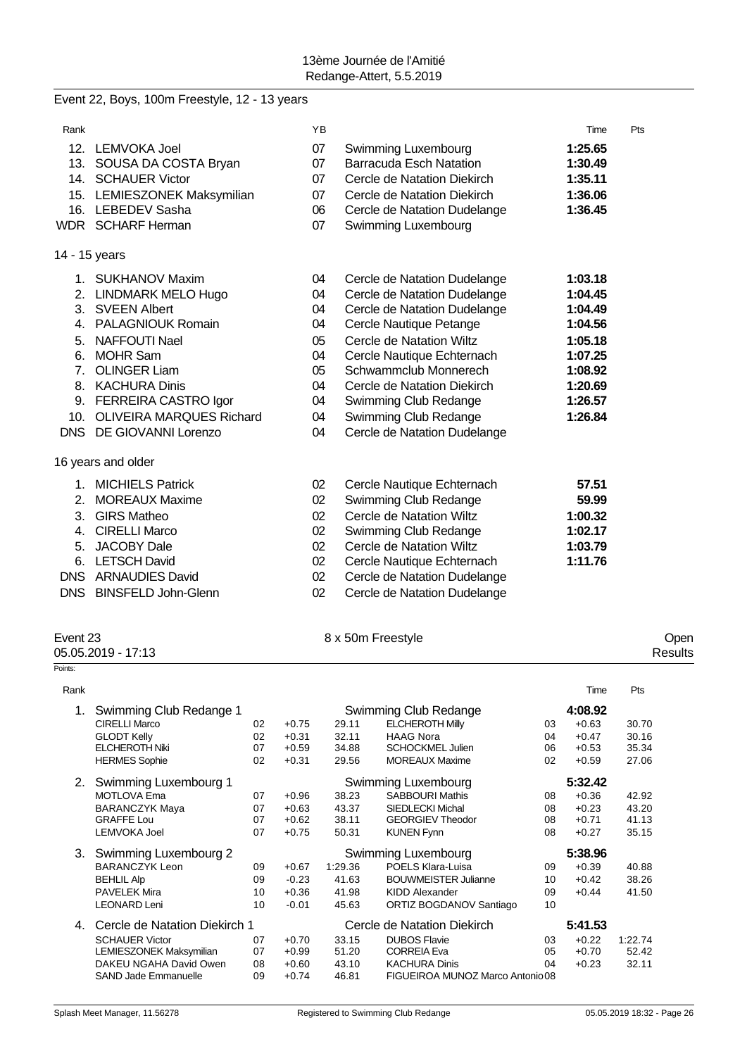|               | Event 22, Boys, 100m Freestyle, 12 - 13 years |                 |                                |         |     |
|---------------|-----------------------------------------------|-----------------|--------------------------------|---------|-----|
| Rank          |                                               | <b>YB</b>       |                                | Time    | Pts |
|               | 12. LEMVOKA Joel                              | 07              | Swimming Luxembourg            | 1:25.65 |     |
|               | 13. SOUSA DA COSTA Bryan                      | 07              | <b>Barracuda Esch Natation</b> | 1:30.49 |     |
|               | 14. SCHAUER Victor                            | 07              | Cercle de Natation Diekirch    | 1:35.11 |     |
|               | 15. LEMIESZONEK Maksymilian                   | 07              | Cercle de Natation Diekirch    | 1:36.06 |     |
|               | 16. LEBEDEV Sasha                             | 06              | Cercle de Natation Dudelange   | 1:36.45 |     |
|               | WDR SCHARF Herman                             | 07              | Swimming Luxembourg            |         |     |
| 14 - 15 years |                                               |                 |                                |         |     |
|               | 1. SUKHANOV Maxim                             | 04              | Cercle de Natation Dudelange   | 1:03.18 |     |
|               | 2. LINDMARK MELO Hugo                         | 04              | Cercle de Natation Dudelange   | 1:04.45 |     |
|               | 3. SVEEN Albert                               | 04              | Cercle de Natation Dudelange   | 1:04.49 |     |
|               | 4. PALAGNIOUK Romain                          | 04              | Cercle Nautique Petange        | 1:04.56 |     |
|               | 5. NAFFOUTI Nael                              | 05              | Cercle de Natation Wiltz       | 1:05.18 |     |
|               | 6. MOHR Sam                                   | 04              | Cercle Nautique Echternach     | 1:07.25 |     |
|               | 7. OLINGER Liam                               | 05              | Schwammclub Monnerech          | 1:08.92 |     |
|               | 8. KACHURA Dinis                              | 04              | Cercle de Natation Diekirch    | 1:20.69 |     |
|               | 9. FERREIRA CASTRO Igor                       | 04              | Swimming Club Redange          | 1:26.57 |     |
|               | 10. OLIVEIRA MARQUES Richard                  | 04              | Swimming Club Redange          | 1:26.84 |     |
|               | DNS DE GIOVANNI Lorenzo                       | 04              | Cercle de Natation Dudelange   |         |     |
|               | 16 years and older                            |                 |                                |         |     |
|               | 1. MICHIELS Patrick                           | 02 <sub>2</sub> | Cercle Nautique Echternach     | 57.51   |     |
| 2.            | <b>MOREAUX Maxime</b>                         | 02              | Swimming Club Redange          | 59.99   |     |
| 3.            | <b>GIRS Matheo</b>                            | 02              | Cercle de Natation Wiltz       | 1:00.32 |     |
| 4.            | <b>CIRELLI Marco</b>                          | 02              | Swimming Club Redange          | 1:02.17 |     |
| 5.            | <b>JACOBY Dale</b>                            | 02              | Cercle de Natation Wiltz       | 1:03.79 |     |
|               | 6. LETSCH David                               | 02              | Cercle Nautique Echternach     | 1:11.76 |     |
|               | DNS ARNAUDIES David                           | 02              | Cercle de Natation Dudelange   |         |     |
|               | DNS BINSFELD John-Glenn                       | 02              | Cercle de Natation Dudelange   |         |     |

| Event 23<br>05.05.2019 - 17:13 | 8 x 50m Freestyle | Open<br>Results |
|--------------------------------|-------------------|-----------------|
| Points:                        |                   |                 |

| Rank |                                |    |         |         |                                  |    | Time    | Pts     |
|------|--------------------------------|----|---------|---------|----------------------------------|----|---------|---------|
| 1.   | Swimming Club Redange 1        |    |         |         | Swimming Club Redange            |    | 4:08.92 |         |
|      | <b>CIRELLI Marco</b>           | 02 | $+0.75$ | 29.11   | <b>ELCHEROTH Milly</b>           | 03 | $+0.63$ | 30.70   |
|      | <b>GLODT Kelly</b>             | 02 | $+0.31$ | 32.11   | <b>HAAG Nora</b>                 | 04 | $+0.47$ | 30.16   |
|      | <b>ELCHEROTH Niki</b>          | 07 | $+0.59$ | 34.88   | <b>SCHOCKMEL Julien</b>          | 06 | $+0.53$ | 35.34   |
|      | <b>HERMES Sophie</b>           | 02 | $+0.31$ | 29.56   | <b>MOREAUX Maxime</b>            | 02 | $+0.59$ | 27.06   |
| 2.   | Swimming Luxembourg 1          |    |         |         | Swimming Luxembourg              |    | 5:32.42 |         |
|      | <b>MOTLOVA Ema</b>             | 07 | $+0.96$ | 38.23   | <b>SABBOURI Mathis</b>           | 08 | $+0.36$ | 42.92   |
|      | <b>BARANCZYK Maya</b>          | 07 | $+0.63$ | 43.37   | <b>SIEDLECKI Michal</b>          | 08 | $+0.23$ | 43.20   |
|      | GRAFFF Lou                     | 07 | $+0.62$ | 38.11   | <b>GEORGIEV Theodor</b>          | 08 | $+0.71$ | 41.13   |
|      | <b>LEMVOKA Joel</b>            | 07 | $+0.75$ | 50.31   | <b>KUNEN Fynn</b>                | 08 | $+0.27$ | 35.15   |
| 3.   | Swimming Luxembourg 2          |    |         |         | Swimming Luxembourg              |    | 5:38.96 |         |
|      | <b>BARANCZYK Leon</b>          | 09 | $+0.67$ | 1:29.36 | POELS Klara-Luisa                | 09 | $+0.39$ | 40.88   |
|      | <b>BEHLIL Alp</b>              | 09 | $-0.23$ | 41.63   | <b>BOUWMEISTER Julianne</b>      | 10 | $+0.42$ | 38.26   |
|      | <b>PAVELEK Mira</b>            | 10 | $+0.36$ | 41.98   | KIDD Alexander                   | 09 | $+0.44$ | 41.50   |
|      | <b>LEONARD Leni</b>            | 10 | $-0.01$ | 45.63   | ORTIZ BOGDANOV Santiago          | 10 |         |         |
| 4.   | Cercle de Natation Diekirch 1  |    |         |         | Cercle de Natation Diekirch      |    | 5:41.53 |         |
|      | <b>SCHAUER Victor</b>          | 07 | $+0.70$ | 33.15   | <b>DUBOS Flavie</b>              | 03 | $+0.22$ | 1:22.74 |
|      | <b>LEMIESZONEK Maksymilian</b> | 07 | $+0.99$ | 51.20   | <b>CORREIA Eva</b>               | 05 | $+0.70$ | 52.42   |
|      | DAKEU NGAHA David Owen         | 08 | $+0.60$ | 43.10   | <b>KACHURA Dinis</b>             | 04 | $+0.23$ | 32.11   |
|      | <b>SAND Jade Emmanuelle</b>    | 09 | $+0.74$ | 46.81   | FIGUEIROA MUNOZ Marco Antonio 08 |    |         |         |
|      |                                |    |         |         |                                  |    |         |         |